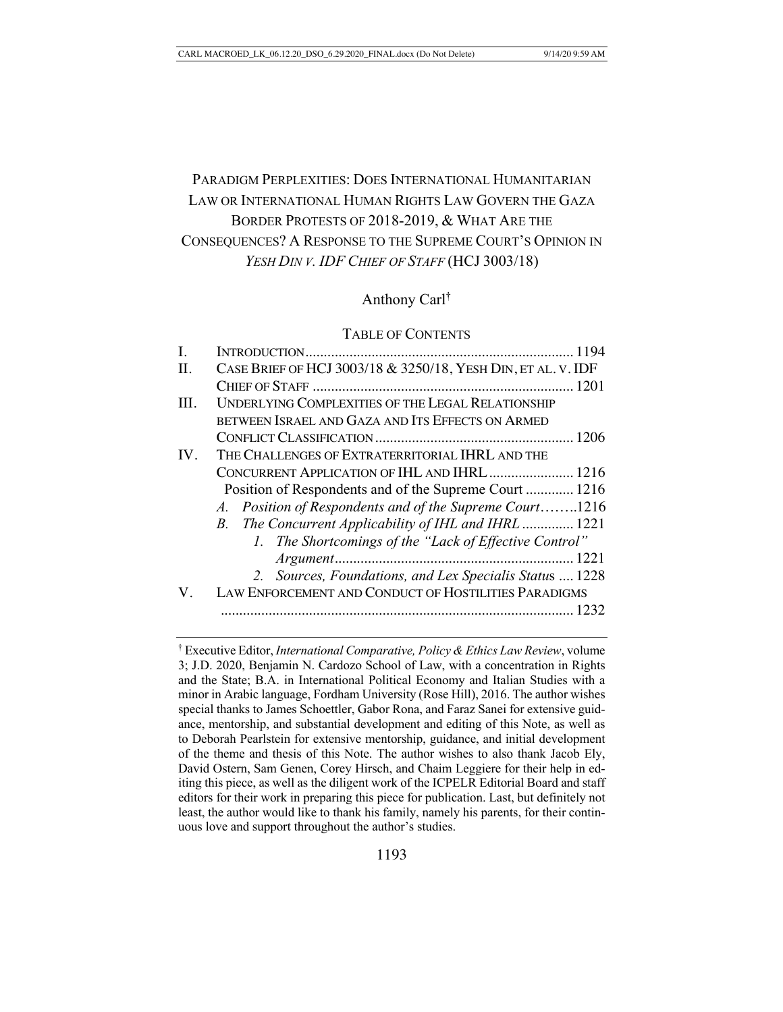# PARADIGM PERPLEXITIES: DOES INTERNATIONAL HUMANITARIAN LAW OR INTERNATIONAL HUMAN RIGHTS LAW GOVERN THE GAZA BORDER PROTESTS OF 2018-2019, & WHAT ARE THE CONSEQUENCES? A RESPONSE TO THE SUPREME COURT'S OPINION IN *YESH DIN V. IDF CHIEF OF STAFF* (HCJ 3003/18)

# Anthony Carl†

#### TABLE OF CONTENTS

| H.   | CASE BRIEF OF HCJ 3003/18 & 3250/18, YESH DIN, ET AL. V. IDF |  |
|------|--------------------------------------------------------------|--|
|      |                                                              |  |
| III. | UNDERLYING COMPLEXITIES OF THE LEGAL RELATIONSHIP            |  |
|      | BETWEEN ISRAEL AND GAZA AND ITS EFFECTS ON ARMED             |  |
|      |                                                              |  |
| IV.  | THE CHALLENGES OF EXTRATERRITORIAL IHRL AND THE              |  |
|      | CONCURRENT APPLICATION OF IHL AND IHRL  1216                 |  |
|      | Position of Respondents and of the Supreme Court  1216       |  |
|      | A. Position of Respondents and of the Supreme Court1216      |  |
|      | B. The Concurrent Applicability of IHL and IHRL  1221        |  |
|      | 1. The Shortcomings of the "Lack of Effective Control"       |  |
|      |                                                              |  |
|      | 2. Sources, Foundations, and Lex Specialis Status  1228      |  |
| V.   | LAW ENFORCEMENT AND CONDUCT OF HOSTILITIES PARADIGMS         |  |
|      |                                                              |  |
|      |                                                              |  |

<sup>†</sup> Executive Editor, *International Comparative, Policy & Ethics Law Review*, volume 3; J.D. 2020, Benjamin N. Cardozo School of Law, with a concentration in Rights and the State; B.A. in International Political Economy and Italian Studies with a minor in Arabic language, Fordham University (Rose Hill), 2016. The author wishes special thanks to James Schoettler, Gabor Rona, and Faraz Sanei for extensive guidance, mentorship, and substantial development and editing of this Note, as well as to Deborah Pearlstein for extensive mentorship, guidance, and initial development of the theme and thesis of this Note. The author wishes to also thank Jacob Ely, David Ostern, Sam Genen, Corey Hirsch, and Chaim Leggiere for their help in editing this piece, as well as the diligent work of the ICPELR Editorial Board and staff editors for their work in preparing this piece for publication. Last, but definitely not least, the author would like to thank his family, namely his parents, for their continuous love and support throughout the author's studies.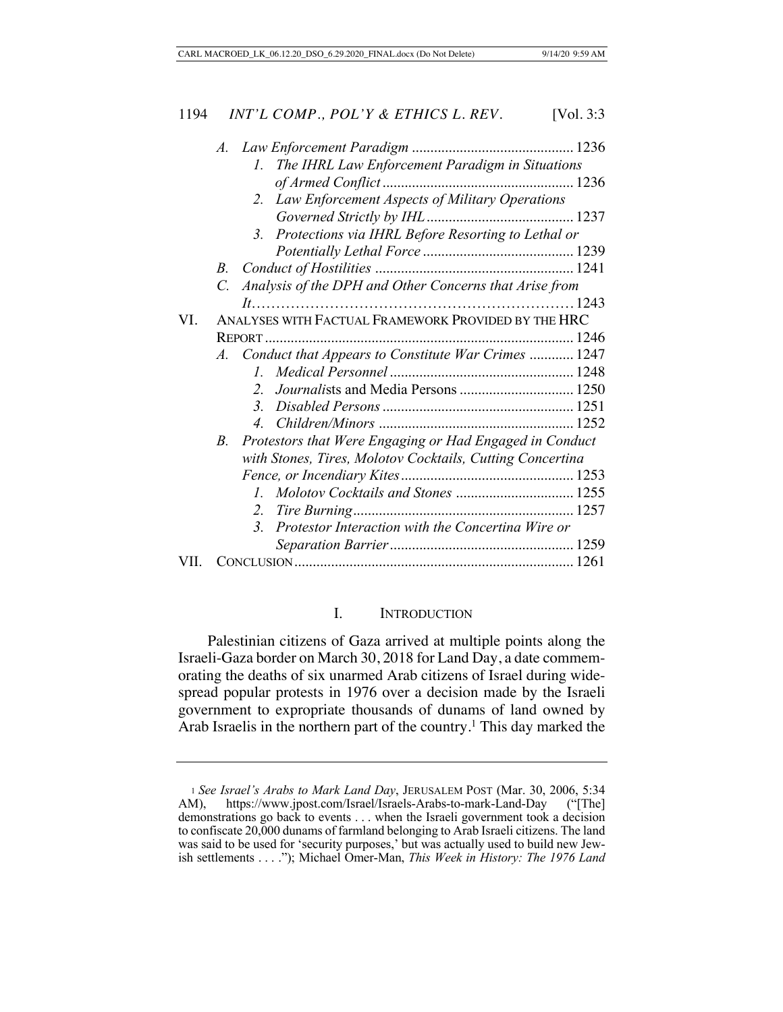|     | $\mathcal{A}$ . |                                                                     |  |
|-----|-----------------|---------------------------------------------------------------------|--|
|     |                 | The IHRL Law Enforcement Paradigm in Situations<br>$l_{\cdot}$      |  |
|     |                 |                                                                     |  |
|     |                 | Law Enforcement Aspects of Military Operations<br>2.                |  |
|     |                 |                                                                     |  |
|     |                 | Protections via IHRL Before Resorting to Lethal or<br>3.            |  |
|     |                 |                                                                     |  |
|     | В.              |                                                                     |  |
|     | $\mathcal{C}$ . | Analysis of the DPH and Other Concerns that Arise from              |  |
|     |                 |                                                                     |  |
| VI. |                 | ANALYSES WITH FACTUAL FRAMEWORK PROVIDED BY THE HRC                 |  |
|     |                 |                                                                     |  |
|     |                 | A. Conduct that Appears to Constitute War Crimes  1247              |  |
|     |                 | L                                                                   |  |
|     |                 | Journalists and Media Persons  1250<br>2.                           |  |
|     |                 | $\mathfrak{Z}$                                                      |  |
|     |                 | $4_{\scriptscriptstyle{\perp}}$                                     |  |
|     | $B_{\cdot}$     | Protestors that Were Engaging or Had Engaged in Conduct             |  |
|     |                 | with Stones, Tires, Molotov Cocktails, Cutting Concertina           |  |
|     |                 |                                                                     |  |
|     |                 | L                                                                   |  |
|     |                 | 2.                                                                  |  |
|     |                 | Protestor Interaction with the Concertina Wire or<br>3 <sub>1</sub> |  |
|     |                 |                                                                     |  |
|     |                 |                                                                     |  |

# I. INTRODUCTION

Palestinian citizens of Gaza arrived at multiple points along the Israeli-Gaza border on March 30, 2018 for Land Day, a date commemorating the deaths of six unarmed Arab citizens of Israel during widespread popular protests in 1976 over a decision made by the Israeli government to expropriate thousands of dunams of land owned by Arab Israelis in the northern part of the country.<sup>1</sup> This day marked the

<sup>&</sup>lt;sup>1</sup> *See Israel's Arabs to Mark Land Day*, JERUSALEM POST (Mar. 30, 2006, 5:34 M), https://www.jpost.com/Israel/Israels-Arabs-to-mark-Land-Day ("[The] AM), https://www.jpost.com/Israel/Israels-Arabs-to-mark-Land-Day demonstrations go back to events . . . when the Israeli government took a decision to confiscate 20,000 dunams of farmland belonging to Arab Israeli citizens. The land was said to be used for 'security purposes,' but was actually used to build new Jewish settlements . . . ."); Michael Omer-Man, *This Week in History: The 1976 Land*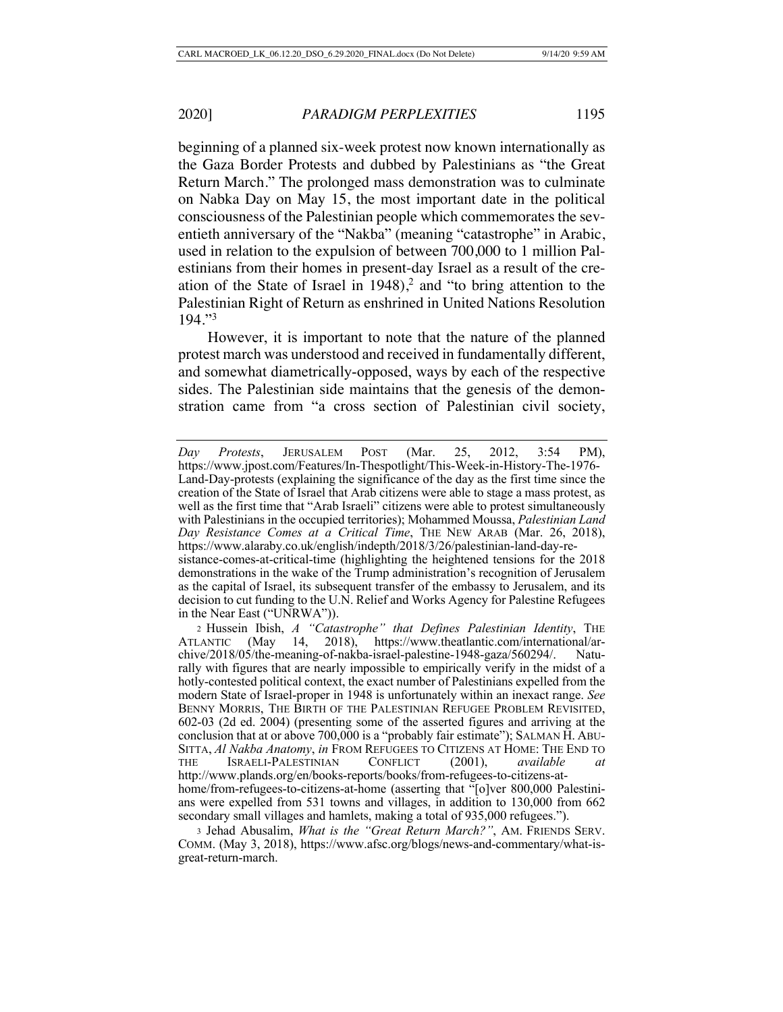beginning of a planned six-week protest now known internationally as the Gaza Border Protests and dubbed by Palestinians as "the Great Return March." The prolonged mass demonstration was to culminate on Nabka Day on May 15, the most important date in the political consciousness of the Palestinian people which commemorates the seventieth anniversary of the "Nakba" (meaning "catastrophe" in Arabic, used in relation to the expulsion of between 700,000 to 1 million Palestinians from their homes in present-day Israel as a result of the creation of the State of Israel in  $1948$ ,<sup>2</sup> and "to bring attention to the Palestinian Right of Return as enshrined in United Nations Resolution 194."3

However, it is important to note that the nature of the planned protest march was understood and received in fundamentally different, and somewhat diametrically-opposed, ways by each of the respective sides. The Palestinian side maintains that the genesis of the demonstration came from "a cross section of Palestinian civil society,

*Day Protests*, JERUSALEM POST (Mar. 25, 2012, 3:54 PM), https://www.jpost.com/Features/In-Thespotlight/This-Week-in-History-The-1976- Land-Day-protests (explaining the significance of the day as the first time since the creation of the State of Israel that Arab citizens were able to stage a mass protest, as well as the first time that "Arab Israeli" citizens were able to protest simultaneously with Palestinians in the occupied territories); Mohammed Moussa, *Palestinian Land Day Resistance Comes at a Critical Time*, THE NEW ARAB (Mar. 26, 2018), https://www.alaraby.co.uk/english/indepth/2018/3/26/palestinian-land-day-resistance-comes-at-critical-time (highlighting the heightened tensions for the 2018 demonstrations in the wake of the Trump administration's recognition of Jerusalem as the capital of Israel, its subsequent transfer of the embassy to Jerusalem, and its decision to cut funding to the U.N. Relief and Works Agency for Palestine Refugees in the Near East ("UNRWA")).

<sup>&</sup>lt;sup>2</sup> Hussein Ibish, *A "Catastrophe" that Defines Palestinian Identity*, THE LANTIC (May 14, 2018), https://www.theatlantic.com/international/ar-ATLANTIC (May 14, 2018), https://www.theatlantic.com/international/archive/2018/05/the-meaning-of-nakba-israel-palestine-1948-gaza/560294/. Naturally with figures that are nearly impossible to empirically verify in the midst of a hotly-contested political context, the exact number of Palestinians expelled from the modern State of Israel-proper in 1948 is unfortunately within an inexact range. *See*  BENNY MORRIS, THE BIRTH OF THE PALESTINIAN REFUGEE PROBLEM REVISITED, 602-03 (2d ed. 2004) (presenting some of the asserted figures and arriving at the conclusion that at or above 700,000 is a "probably fair estimate"); SALMAN H. ABU-SITTA, *Al Nakba Anatomy*, *in* FROM REFUGEES TO CITIZENS AT HOME: THE END TO THE ISRAELI-PALESTINIAN CONFLICT (2001), *available at*  http://www.plands.org/en/books-reports/books/from-refugees-to-citizens-athome/from-refugees-to-citizens-at-home (asserting that "[o]ver 800,000 Palestinians were expelled from 531 towns and villages, in addition to 130,000 from 662 secondary small villages and hamlets, making a total of 935,000 refugees.").

<sup>3</sup> Jehad Abusalim, *What is the "Great Return March?"*, AM. FRIENDS SERV. COMM. (May 3, 2018), https://www.afsc.org/blogs/news-and-commentary/what-isgreat-return-march.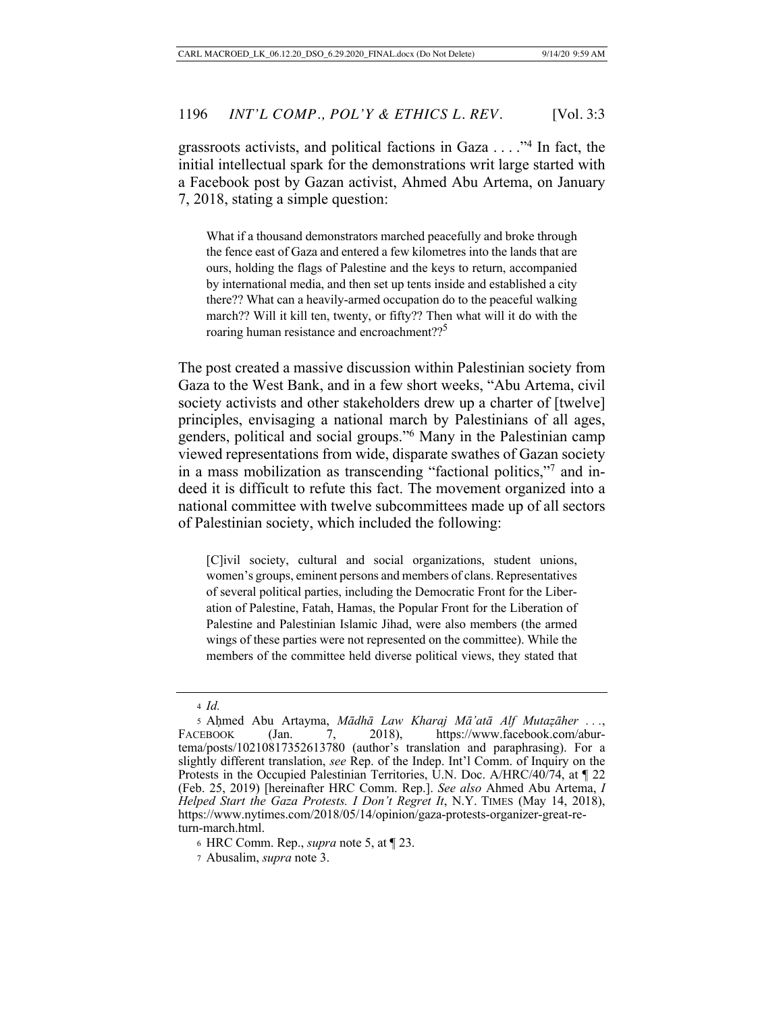grassroots activists, and political factions in Gaza . . . . "<sup>4</sup> In fact, the initial intellectual spark for the demonstrations writ large started with a Facebook post by Gazan activist, Ahmed Abu Artema, on January 7, 2018, stating a simple question:

What if a thousand demonstrators marched peacefully and broke through the fence east of Gaza and entered a few kilometres into the lands that are ours, holding the flags of Palestine and the keys to return, accompanied by international media, and then set up tents inside and established a city there?? What can a heavily-armed occupation do to the peaceful walking march?? Will it kill ten, twenty, or fifty?? Then what will it do with the roaring human resistance and encroachment??<sup>5</sup>

The post created a massive discussion within Palestinian society from Gaza to the West Bank, and in a few short weeks, "Abu Artema, civil society activists and other stakeholders drew up a charter of [twelve] principles, envisaging a national march by Palestinians of all ages, genders, political and social groups."6 Many in the Palestinian camp viewed representations from wide, disparate swathes of Gazan society in a mass mobilization as transcending "factional politics,"7 and indeed it is difficult to refute this fact. The movement organized into a national committee with twelve subcommittees made up of all sectors of Palestinian society, which included the following:

[C]ivil society, cultural and social organizations, student unions, women's groups, eminent persons and members of clans. Representatives of several political parties, including the Democratic Front for the Liberation of Palestine, Fatah, Hamas, the Popular Front for the Liberation of Palestine and Palestinian Islamic Jihad, were also members (the armed wings of these parties were not represented on the committee). While the members of the committee held diverse political views, they stated that

<sup>4</sup> *Id.*

<sup>5</sup> Aḥmed Abu Artayma, *Mādhā Law Kharaj Mā'atā Alf Mutaẓāher . . .*, FACEBOOK (Jan. 7, 2018), https://www.facebook.com/aburtema/posts/10210817352613780 (author's translation and paraphrasing). For a slightly different translation, *see* Rep. of the Indep. Int'l Comm. of Inquiry on the Protests in the Occupied Palestinian Territories, U.N. Doc. A/HRC/40/74, at ¶ 22 (Feb. 25, 2019) [hereinafter HRC Comm. Rep.]. *See also* Ahmed Abu Artema, *I Helped Start the Gaza Protests. I Don't Regret It*, N.Y. TIMES (May 14, 2018), https://www.nytimes.com/2018/05/14/opinion/gaza-protests-organizer-great-return-march.html.

<sup>6</sup> HRC Comm. Rep., *supra* note 5, at ¶ 23.

<sup>7</sup> Abusalim, *supra* note 3.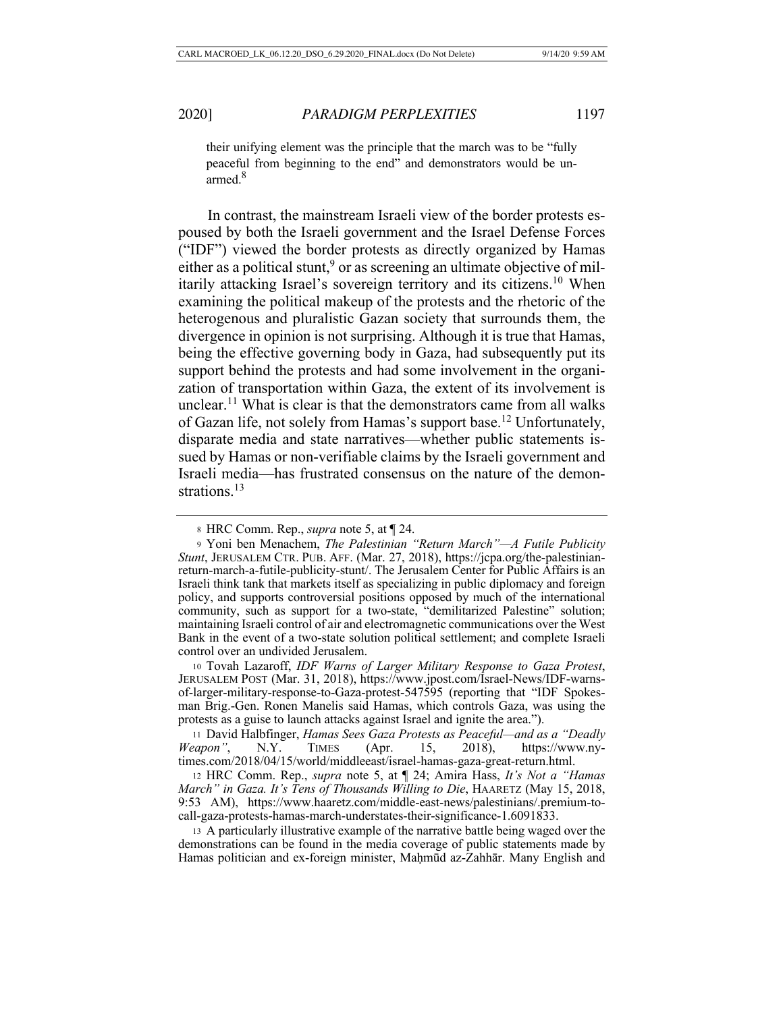their unifying element was the principle that the march was to be "fully peaceful from beginning to the end" and demonstrators would be unarmed.<sup>8</sup>

In contrast, the mainstream Israeli view of the border protests espoused by both the Israeli government and the Israel Defense Forces ("IDF") viewed the border protests as directly organized by Hamas either as a political stunt,<sup>9</sup> or as screening an ultimate objective of militarily attacking Israel's sovereign territory and its citizens.10 When examining the political makeup of the protests and the rhetoric of the heterogenous and pluralistic Gazan society that surrounds them, the divergence in opinion is not surprising. Although it is true that Hamas, being the effective governing body in Gaza, had subsequently put its support behind the protests and had some involvement in the organization of transportation within Gaza, the extent of its involvement is unclear.<sup>11</sup> What is clear is that the demonstrators came from all walks of Gazan life, not solely from Hamas's support base.12 Unfortunately, disparate media and state narratives—whether public statements issued by Hamas or non-verifiable claims by the Israeli government and Israeli media—has frustrated consensus on the nature of the demonstrations.<sup>13</sup>

<sup>10</sup> Tovah Lazaroff, *IDF Warns of Larger Military Response to Gaza Protest*, JERUSALEM POST (Mar. 31, 2018), https://www.jpost.com/Israel-News/IDF-warnsof-larger-military-response-to-Gaza-protest-547595 (reporting that "IDF Spokesman Brig.-Gen. Ronen Manelis said Hamas, which controls Gaza, was using the protests as a guise to launch attacks against Israel and ignite the area.").

<sup>11</sup> David Halbfinger, *Hamas Sees Gaza Protests as Peaceful—and as a "Deadly Weapon"*, N.Y. TIMES (Apr. 15, 2018), https://www.nytimes.com/2018/04/15/world/middleeast/israel-hamas-gaza-great-return.html.

<sup>12</sup> HRC Comm. Rep., *supra* note 5, at ¶ 24; Amira Hass, *It's Not a "Hamas March" in Gaza. It's Tens of Thousands Willing to Die*, HAARETZ (May 15, 2018, 9:53 AM), https://www.haaretz.com/middle-east-news/palestinians/.premium-tocall-gaza-protests-hamas-march-understates-their-significance-1.6091833.

<sup>13</sup> A particularly illustrative example of the narrative battle being waged over the demonstrations can be found in the media coverage of public statements made by Hamas politician and ex-foreign minister, Maḥmūd az-Zahhār. Many English and

<sup>8</sup> HRC Comm. Rep., *supra* note 5, at ¶ 24.

<sup>9</sup> Yoni ben Menachem, *The Palestinian "Return March"—A Futile Publicity Stunt*, JERUSALEM CTR. PUB. AFF. (Mar. 27, 2018), https://jcpa.org/the-palestinianreturn-march-a-futile-publicity-stunt/. The Jerusalem Center for Public Affairs is an Israeli think tank that markets itself as specializing in public diplomacy and foreign policy, and supports controversial positions opposed by much of the international community, such as support for a two-state, "demilitarized Palestine" solution; maintaining Israeli control of air and electromagnetic communications over the West Bank in the event of a two-state solution political settlement; and complete Israeli control over an undivided Jerusalem.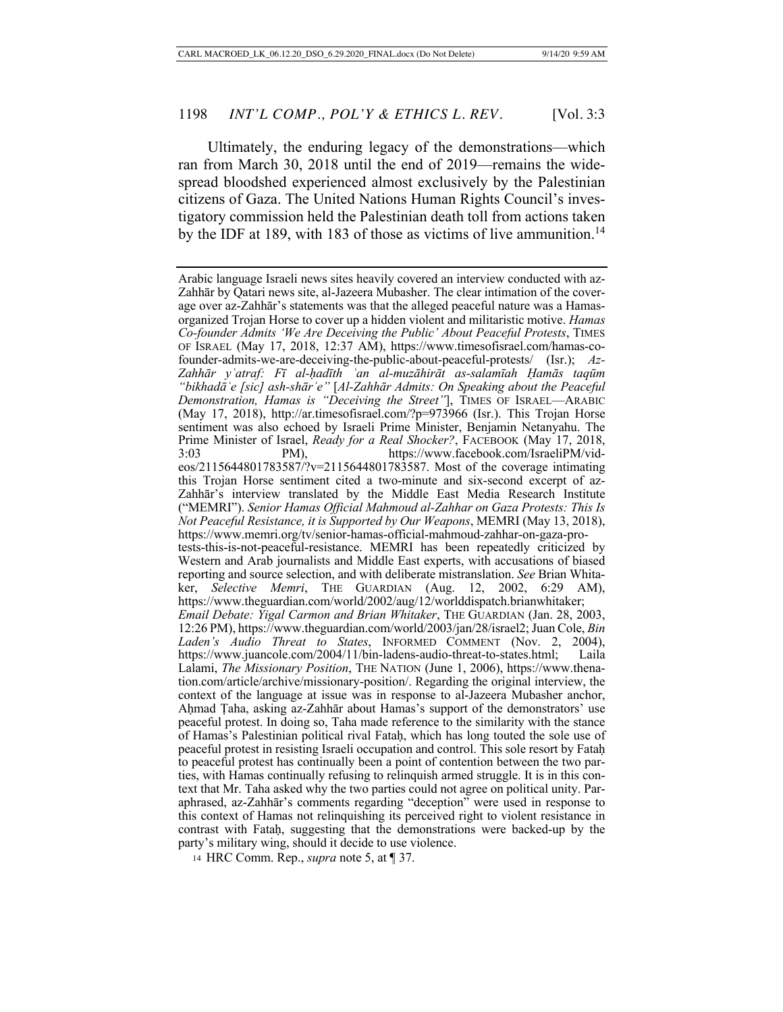Ultimately, the enduring legacy of the demonstrations—which ran from March 30, 2018 until the end of 2019—remains the widespread bloodshed experienced almost exclusively by the Palestinian citizens of Gaza. The United Nations Human Rights Council's investigatory commission held the Palestinian death toll from actions taken by the IDF at 189, with 183 of those as victims of live ammunition.<sup>14</sup>

<sup>14</sup> HRC Comm. Rep., *supra* note 5, at ¶ 37.

Arabic language Israeli news sites heavily covered an interview conducted with az-Zahhār by Qatari news site, al-Jazeera Mubasher. The clear intimation of the coverage over az-Zahhār's statements was that the alleged peaceful nature was a Hamasorganized Trojan Horse to cover up a hidden violent and militaristic motive. *Hamas Co-founder Admits 'We Are Deceiving the Public' About Peaceful Protests*, TIMES OF ISRAEL (May 17, 2018, 12:37 AM), https://www.timesofisrael.com/hamas-cofounder-admits-we-are-deceiving-the-public-about-peaceful-protests/ (Isr.); *Az-Zahhār yʿatraf: Fī al-ḥadīth ʿan al-muzāhirāt as-salamīah Ḥamās taqūm "bikhadāʿe [sic] ash-shārʿe"* [*Al-Zahhār Admits: On Speaking about the Peaceful Demonstration, Hamas is "Deceiving the Street"*], TIMES OF ISRAEL—ARABIC (May 17, 2018), http://ar.timesofisrael.com/?p=973966 (Isr.). This Trojan Horse sentiment was also echoed by Israeli Prime Minister, Benjamin Netanyahu. The Prime Minister of Israel, *Ready for a Real Shocker?*, FACEBOOK (May 17, 2018, 3:03 PM), https://www.facebook.com/IsraeliPM/videos/2115644801783587/?v=2115644801783587. Most of the coverage intimating this Trojan Horse sentiment cited a two-minute and six-second excerpt of az-Zahhār's interview translated by the Middle East Media Research Institute ("MEMRI"). *Senior Hamas Official Mahmoud al-Zahhar on Gaza Protests: This Is Not Peaceful Resistance, it is Supported by Our Weapons*, MEMRI (May 13, 2018), https://www.memri.org/tv/senior-hamas-official-mahmoud-zahhar-on-gaza-protests-this-is-not-peaceful-resistance. MEMRI has been repeatedly criticized by Western and Arab journalists and Middle East experts, with accusations of biased reporting and source selection, and with deliberate mistranslation. *See* Brian Whitaker, *Selective Memri*, THE GUARDIAN (Aug. 12, 2002, 6:29 AM), https://www.theguardian.com/world/2002/aug/12/worlddispatch.brianwhitaker; *Email Debate: Yigal Carmon and Brian Whitaker*, THE GUARDIAN (Jan. 28, 2003, 12:26 PM), https://www.theguardian.com/world/2003/jan/28/israel2; Juan Cole, *Bin Laden's Audio Threat to States*, INFORMED COMMENT (Nov. 2, 2004), https://www.juancole.com/2004/11/bin-ladens-audio-threat-to-states.html; Laila Lalami, *The Missionary Position*, THE NATION (June 1, 2006), https://www.thenation.com/article/archive/missionary-position/. Regarding the original interview, the context of the language at issue was in response to al-Jazeera Mubasher anchor, Aḥmad Ṭaha, asking az-Zahhār about Hamas's support of the demonstrators' use peaceful protest. In doing so, Taha made reference to the similarity with the stance of Hamas's Palestinian political rival Fataḥ, which has long touted the sole use of peaceful protest in resisting Israeli occupation and control. This sole resort by Fataḥ to peaceful protest has continually been a point of contention between the two parties, with Hamas continually refusing to relinquish armed struggle. It is in this context that Mr. Taha asked why the two parties could not agree on political unity. Paraphrased, az-Zahhār's comments regarding "deception" were used in response to this context of Hamas not relinquishing its perceived right to violent resistance in contrast with Fataḥ, suggesting that the demonstrations were backed-up by the party's military wing, should it decide to use violence.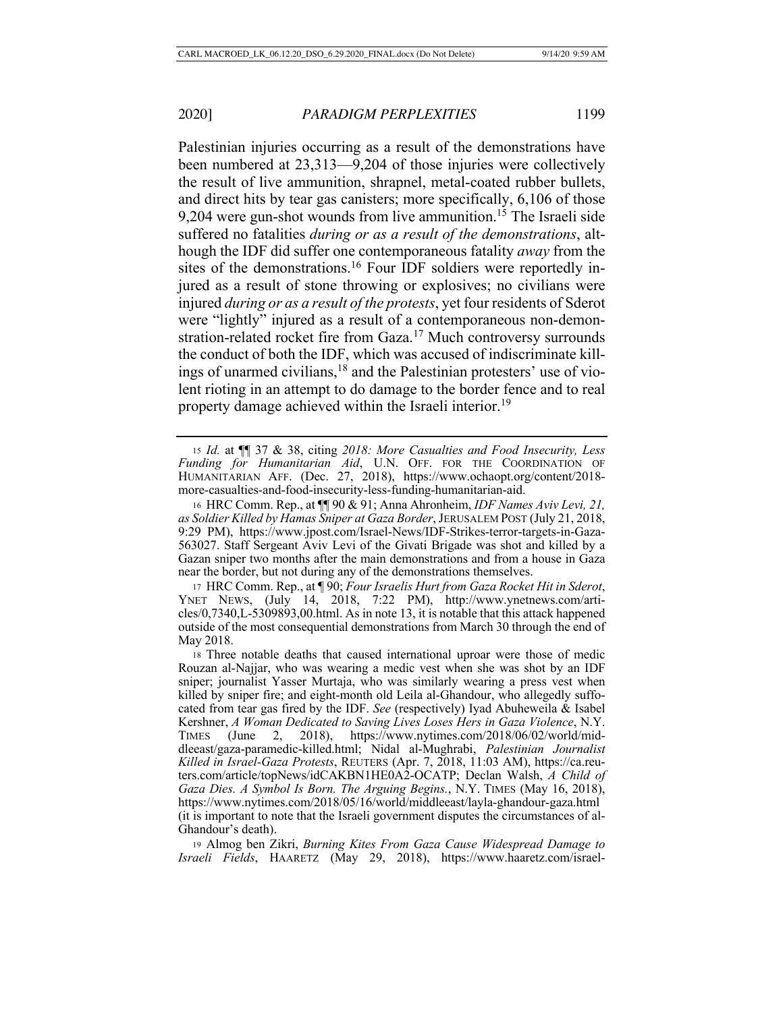Palestinian injuries occurring as a result of the demonstrations have been numbered at 23,313—9,204 of those injuries were collectively the result of live ammunition, shrapnel, metal-coated rubber bullets, and direct hits by tear gas canisters; more specifically, 6,106 of those 9,204 were gun-shot wounds from live ammunition.<sup>15</sup> The Israeli side suffered no fatalities *during or as a result of the demonstrations*, although the IDF did suffer one contemporaneous fatality *away* from the sites of the demonstrations.<sup>16</sup> Four IDF soldiers were reportedly injured as a result of stone throwing or explosives; no civilians were injured *during or as a result of the protests*, yet four residents of Sderot were "lightly" injured as a result of a contemporaneous non-demonstration-related rocket fire from Gaza.<sup>17</sup> Much controversy surrounds the conduct of both the IDF, which was accused of indiscriminate killings of unarmed civilians,18 and the Palestinian protesters' use of violent rioting in an attempt to do damage to the border fence and to real property damage achieved within the Israeli interior.<sup>19</sup>

<sup>15</sup> *Id.* at ¶¶ 37 & 38, citing *2018: More Casualties and Food Insecurity, Less Funding for Humanitarian Aid*, U.N. OFF. FOR THE COORDINATION OF HUMANITARIAN AFF. (Dec. 27, 2018), https://www.ochaopt.org/content/2018 more-casualties-and-food-insecurity-less-funding-humanitarian-aid.

<sup>16</sup> HRC Comm. Rep., at ¶¶ 90 & 91; Anna Ahronheim, *IDF Names Aviv Levi, 21, as Soldier Killed by Hamas Sniper at Gaza Border*, JERUSALEM POST (July 21, 2018, 9:29 PM), https://www.jpost.com/Israel-News/IDF-Strikes-terror-targets-in-Gaza-563027. Staff Sergeant Aviv Levi of the Givati Brigade was shot and killed by a Gazan sniper two months after the main demonstrations and from a house in Gaza near the border, but not during any of the demonstrations themselves.

<sup>17</sup> HRC Comm. Rep., at ¶ 90; *Four Israelis Hurt from Gaza Rocket Hit in Sderot*, YNET NEWS,  $(July' 14," 2018, 7:22 PM), 'http://www.ynetnews.com/arti$ cles/0,7340,L-5309893,00.html. As in note 13, it is notable that this attack happened outside of the most consequential demonstrations from March 30 through the end of May 2018.

<sup>18</sup> Three notable deaths that caused international uproar were those of medic Rouzan al-Najjar, who was wearing a medic vest when she was shot by an IDF sniper; journalist Yasser Murtaja, who was similarly wearing a press vest when killed by sniper fire; and eight-month old Leila al-Ghandour, who allegedly suffocated from tear gas fired by the IDF. *See* (respectively) Iyad Abuheweila & Isabel Kershner, *A Woman Dedicated to Saving Lives Loses Hers in Gaza Violence*, N.Y. TIMES (June 2, 2018), https://www.nytimes.com/2018/06/02/world/middleeast/gaza-paramedic-killed.html; Nidal al-Mughrabi, *Palestinian Journalist Killed in Israel-Gaza Protests*, REUTERS (Apr. 7, 2018, 11:03 AM), https://ca.reuters.com/article/topNews/idCAKBN1HE0A2-OCATP; Declan Walsh, *A Child of Gaza Dies. A Symbol Is Born. The Arguing Begins.*, N.Y. TIMES (May 16, 2018), https://www.nytimes.com/2018/05/16/world/middleeast/layla-ghandour-gaza.html (it is important to note that the Israeli government disputes the circumstances of al-Ghandour's death).

<sup>19</sup> Almog ben Zikri, *Burning Kites From Gaza Cause Widespread Damage to Israeli Fields*, HAARETZ (May 29, 2018), https://www.haaretz.com/israel-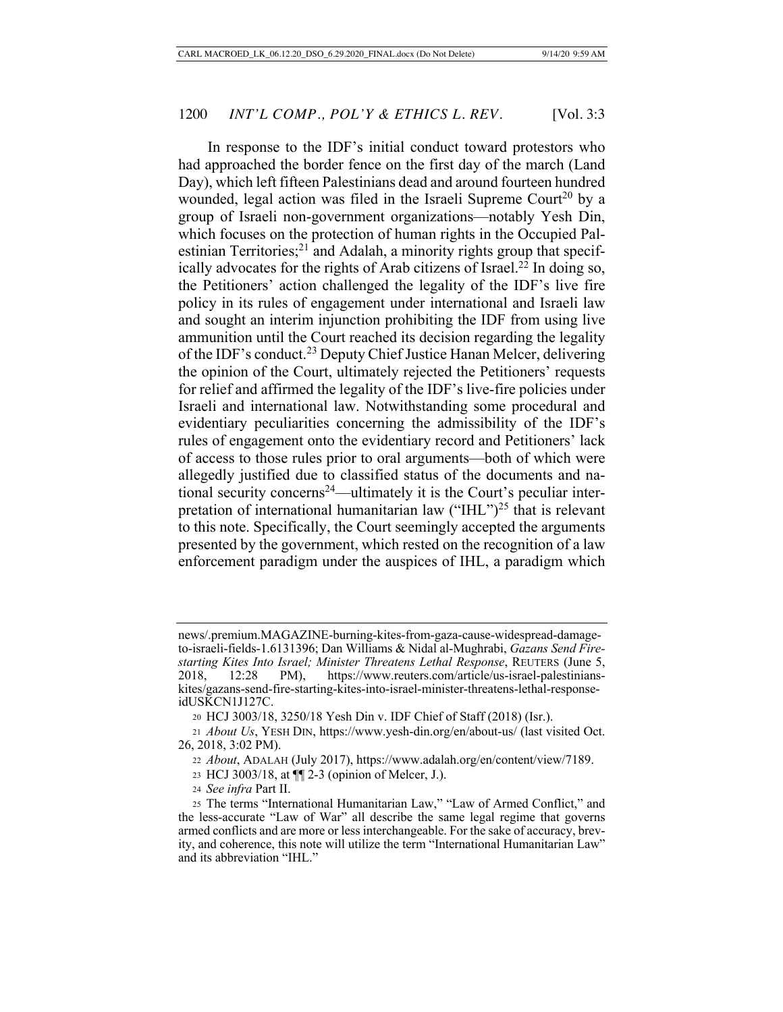In response to the IDF's initial conduct toward protestors who had approached the border fence on the first day of the march (Land Day), which left fifteen Palestinians dead and around fourteen hundred wounded, legal action was filed in the Israeli Supreme Court<sup>20</sup> by a group of Israeli non-government organizations—notably Yesh Din, which focuses on the protection of human rights in the Occupied Palestinian Territories; $^{21}$  and Adalah, a minority rights group that specifically advocates for the rights of Arab citizens of Israel.<sup>22</sup> In doing so, the Petitioners' action challenged the legality of the IDF's live fire policy in its rules of engagement under international and Israeli law and sought an interim injunction prohibiting the IDF from using live ammunition until the Court reached its decision regarding the legality of the IDF's conduct.23 Deputy Chief Justice Hanan Melcer, delivering the opinion of the Court, ultimately rejected the Petitioners' requests for relief and affirmed the legality of the IDF's live-fire policies under Israeli and international law. Notwithstanding some procedural and evidentiary peculiarities concerning the admissibility of the IDF's rules of engagement onto the evidentiary record and Petitioners' lack of access to those rules prior to oral arguments—both of which were allegedly justified due to classified status of the documents and national security concerns<sup>24</sup>—ultimately it is the Court's peculiar interpretation of international humanitarian law  $("H L")<sup>25</sup>$  that is relevant to this note. Specifically, the Court seemingly accepted the arguments presented by the government, which rested on the recognition of a law enforcement paradigm under the auspices of IHL, a paradigm which

news/.premium.MAGAZINE-burning-kites-from-gaza-cause-widespread-damageto-israeli-fields-1.6131396; Dan Williams & Nidal al-Mughrabi, *Gazans Send Firestarting Kites Into Israel; Minister Threatens Lethal Response*, REUTERS (June 5, 2018, 12:28 PM), https://www.reuters.com/article/us-israel-palestinianskites/gazans-send-fire-starting-kites-into-israel-minister-threatens-lethal-responseidUSKCN1J127C.

<sup>20</sup> HCJ 3003/18, 3250/18 Yesh Din v. IDF Chief of Staff (2018) (Isr.).

<sup>21</sup> *About Us*, YESH DIN, https://www.yesh-din.org/en/about-us/ (last visited Oct. 26, 2018, 3:02 PM).

<sup>22</sup> *About*, ADALAH (July 2017), https://www.adalah.org/en/content/view/7189.

<sup>23</sup> HCJ 3003/18, at ¶¶ 2-3 (opinion of Melcer, J.).

<sup>24</sup> *See infra* Part II.

<sup>25</sup> The terms "International Humanitarian Law," "Law of Armed Conflict," and the less-accurate "Law of War" all describe the same legal regime that governs armed conflicts and are more or less interchangeable. For the sake of accuracy, brevity, and coherence, this note will utilize the term "International Humanitarian Law" and its abbreviation "IHL."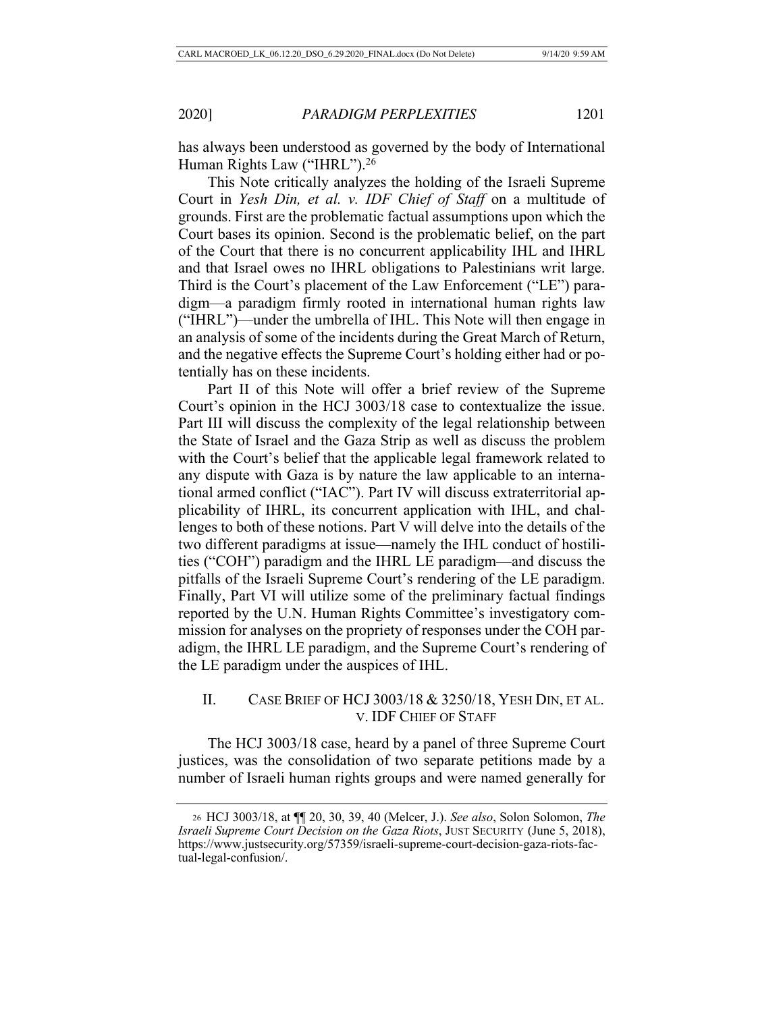has always been understood as governed by the body of International Human Rights Law ("IHRL").<sup>26</sup>

This Note critically analyzes the holding of the Israeli Supreme Court in *Yesh Din, et al. v. IDF Chief of Staff* on a multitude of grounds. First are the problematic factual assumptions upon which the Court bases its opinion. Second is the problematic belief, on the part of the Court that there is no concurrent applicability IHL and IHRL and that Israel owes no IHRL obligations to Palestinians writ large. Third is the Court's placement of the Law Enforcement ("LE") paradigm—a paradigm firmly rooted in international human rights law ("IHRL")—under the umbrella of IHL. This Note will then engage in an analysis of some of the incidents during the Great March of Return, and the negative effects the Supreme Court's holding either had or potentially has on these incidents.

Part II of this Note will offer a brief review of the Supreme Court's opinion in the HCJ 3003/18 case to contextualize the issue. Part III will discuss the complexity of the legal relationship between the State of Israel and the Gaza Strip as well as discuss the problem with the Court's belief that the applicable legal framework related to any dispute with Gaza is by nature the law applicable to an international armed conflict ("IAC"). Part IV will discuss extraterritorial applicability of IHRL, its concurrent application with IHL, and challenges to both of these notions. Part V will delve into the details of the two different paradigms at issue—namely the IHL conduct of hostilities ("COH") paradigm and the IHRL LE paradigm—and discuss the pitfalls of the Israeli Supreme Court's rendering of the LE paradigm. Finally, Part VI will utilize some of the preliminary factual findings reported by the U.N. Human Rights Committee's investigatory commission for analyses on the propriety of responses under the COH paradigm, the IHRL LE paradigm, and the Supreme Court's rendering of the LE paradigm under the auspices of IHL.

# II. CASE BRIEF OF HCJ 3003/18 & 3250/18, YESH DIN, ET AL. V. IDF CHIEF OF STAFF

The HCJ 3003/18 case, heard by a panel of three Supreme Court justices, was the consolidation of two separate petitions made by a number of Israeli human rights groups and were named generally for

<sup>26</sup> HCJ 3003/18, at ¶¶ 20, 30, 39, 40 (Melcer, J.). *See also*, Solon Solomon, *The Israeli Supreme Court Decision on the Gaza Riots*, JUST SECURITY (June 5, 2018), https://www.justsecurity.org/57359/israeli-supreme-court-decision-gaza-riots-factual-legal-confusion/.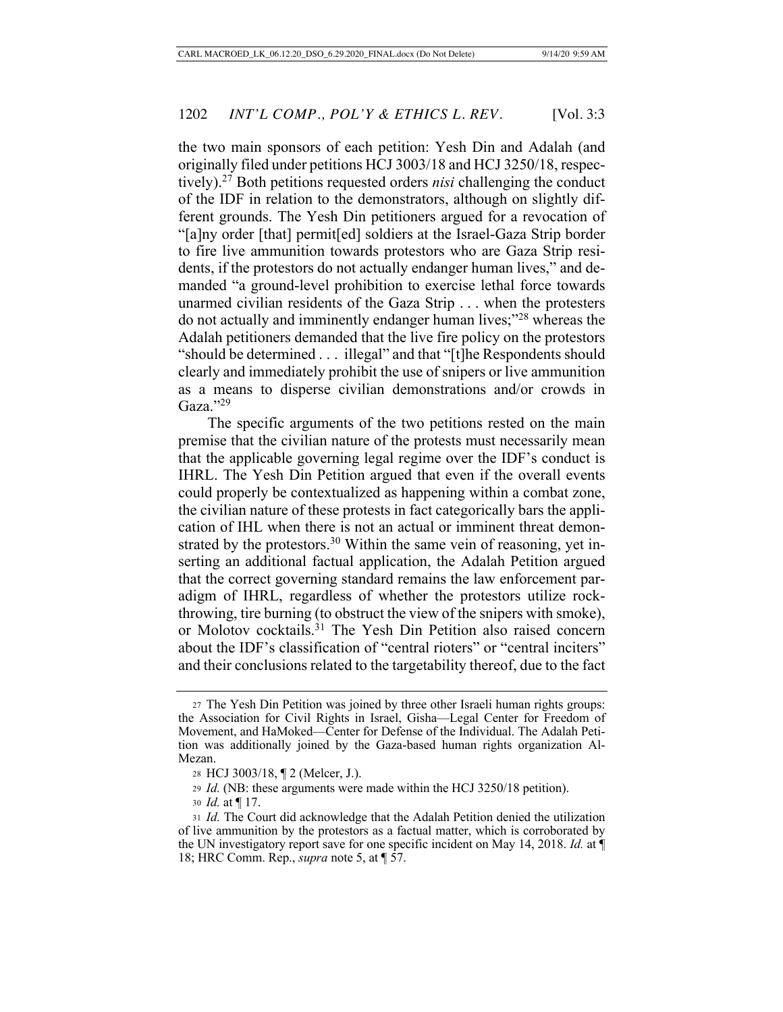the two main sponsors of each petition: Yesh Din and Adalah (and originally filed under petitions HCJ 3003/18 and HCJ 3250/18, respectively).27 Both petitions requested orders *nisi* challenging the conduct of the IDF in relation to the demonstrators, although on slightly different grounds. The Yesh Din petitioners argued for a revocation of "[a]ny order [that] permit[ed] soldiers at the Israel-Gaza Strip border to fire live ammunition towards protestors who are Gaza Strip residents, if the protestors do not actually endanger human lives," and demanded "a ground-level prohibition to exercise lethal force towards unarmed civilian residents of the Gaza Strip . . . when the protesters do not actually and imminently endanger human lives;"28 whereas the Adalah petitioners demanded that the live fire policy on the protestors "should be determined . . . illegal" and that "[t]he Respondents should clearly and immediately prohibit the use of snipers or live ammunition as a means to disperse civilian demonstrations and/or crowds in Gaza."29

The specific arguments of the two petitions rested on the main premise that the civilian nature of the protests must necessarily mean that the applicable governing legal regime over the IDF's conduct is IHRL. The Yesh Din Petition argued that even if the overall events could properly be contextualized as happening within a combat zone, the civilian nature of these protests in fact categorically bars the application of IHL when there is not an actual or imminent threat demonstrated by the protestors.<sup>30</sup> Within the same vein of reasoning, yet inserting an additional factual application, the Adalah Petition argued that the correct governing standard remains the law enforcement paradigm of IHRL, regardless of whether the protestors utilize rockthrowing, tire burning (to obstruct the view of the snipers with smoke), or Molotov cocktails.31 The Yesh Din Petition also raised concern about the IDF's classification of "central rioters" or "central inciters" and their conclusions related to the targetability thereof, due to the fact

<sup>27</sup> The Yesh Din Petition was joined by three other Israeli human rights groups: the Association for Civil Rights in Israel, Gisha—Legal Center for Freedom of Movement, and HaMoked—Center for Defense of the Individual. The Adalah Petition was additionally joined by the Gaza-based human rights organization Al-Mezan.

<sup>28</sup> HCJ 3003/18, ¶ 2 (Melcer, J.).

<sup>29</sup> *Id.* (NB: these arguments were made within the HCJ 3250/18 petition).

<sup>30</sup> *Id.* at ¶ 17.

<sup>31</sup> *Id.* The Court did acknowledge that the Adalah Petition denied the utilization of live ammunition by the protestors as a factual matter, which is corroborated by the UN investigatory report save for one specific incident on May 14, 2018. *Id.* at ¶ 18; HRC Comm. Rep., *supra* note 5, at ¶ 57.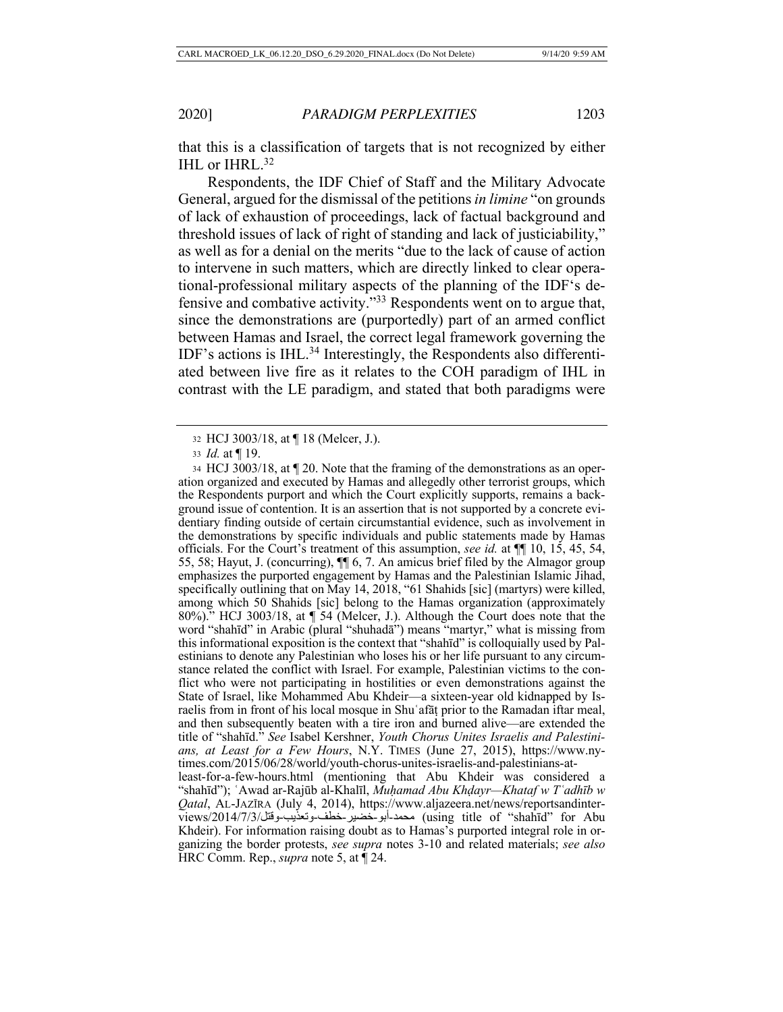that this is a classification of targets that is not recognized by either IHL or IHRL.<sup>32</sup>

Respondents, the IDF Chief of Staff and the Military Advocate General, argued for the dismissal of the petitions *in limine* "on grounds of lack of exhaustion of proceedings, lack of factual background and threshold issues of lack of right of standing and lack of justiciability," as well as for a denial on the merits "due to the lack of cause of action to intervene in such matters, which are directly linked to clear operational-professional military aspects of the planning of the IDF's defensive and combative activity."33 Respondents went on to argue that, since the demonstrations are (purportedly) part of an armed conflict between Hamas and Israel, the correct legal framework governing the IDF's actions is IHL.34 Interestingly, the Respondents also differentiated between live fire as it relates to the COH paradigm of IHL in contrast with the LE paradigm, and stated that both paradigms were

<sup>32</sup> HCJ 3003/18, at ¶ 18 (Melcer, J.).

<sup>33</sup> *Id.* at ¶ 19.

<sup>34</sup> HCJ 3003/18, at ¶ 20. Note that the framing of the demonstrations as an operation organized and executed by Hamas and allegedly other terrorist groups, which the Respondents purport and which the Court explicitly supports, remains a background issue of contention. It is an assertion that is not supported by a concrete evidentiary finding outside of certain circumstantial evidence, such as involvement in the demonstrations by specific individuals and public statements made by Hamas officials. For the Court's treatment of this assumption, *see id.* at ¶¶ 10, 15, 45, 54, 55, 58; Hayut, J. (concurring), ¶¶ 6, 7. An amicus brief filed by the Almagor group emphasizes the purported engagement by Hamas and the Palestinian Islamic Jihad, specifically outlining that on May 14, 2018, "61 Shahids [sic] (martyrs) were killed, among which 50 Shahids [sic] belong to the Hamas organization (approximately 80%)." HCJ 3003/18, at ¶ 54 (Melcer, J.). Although the Court does note that the word "shahīd" in Arabic (plural "shuhadā") means "martyr," what is missing from this informational exposition is the context that "shahīd" is colloquially used by Palestinians to denote any Palestinian who loses his or her life pursuant to any circumstance related the conflict with Israel. For example, Palestinian victims to the conflict who were not participating in hostilities or even demonstrations against the State of Israel, like Mohammed Abu Khdeir—a sixteen-year old kidnapped by Israelis from in front of his local mosque in Shuʿafāṭ prior to the Ramadan iftar meal, and then subsequently beaten with a tire iron and burned alive—are extended the title of "shahīd." *See* Isabel Kershner, *Youth Chorus Unites Israelis and Palestinians, at Least for a Few Hours*, N.Y. TIMES (June 27, 2015), https://www.nytimes.com/2015/06/28/world/youth-chorus-unites-israelis-and-palestinians-atleast-for-a-few-hours.html (mentioning that Abu Khdeir was considered a "shahīd"); ʿAwad ar-Rajūb al-Khalīl, *Muḥamad Abu Khḍayr—Khataf w Tʿadhīb w Qatal*, AL-JAZĪRA (July 4, 2014), https://www.aljazeera.net/news/reportsandinterviews/2014/7/3/ لتقو - بیذعتو - فطخ - ریضخ - وبأ - دمحم) using title of "shahīd" for Abu Khdeir). For information raising doubt as to Hamas's purported integral role in organizing the border protests, *see supra* notes 3-10 and related materials; *see also*

HRC Comm. Rep., *supra* note 5, at ¶ 24.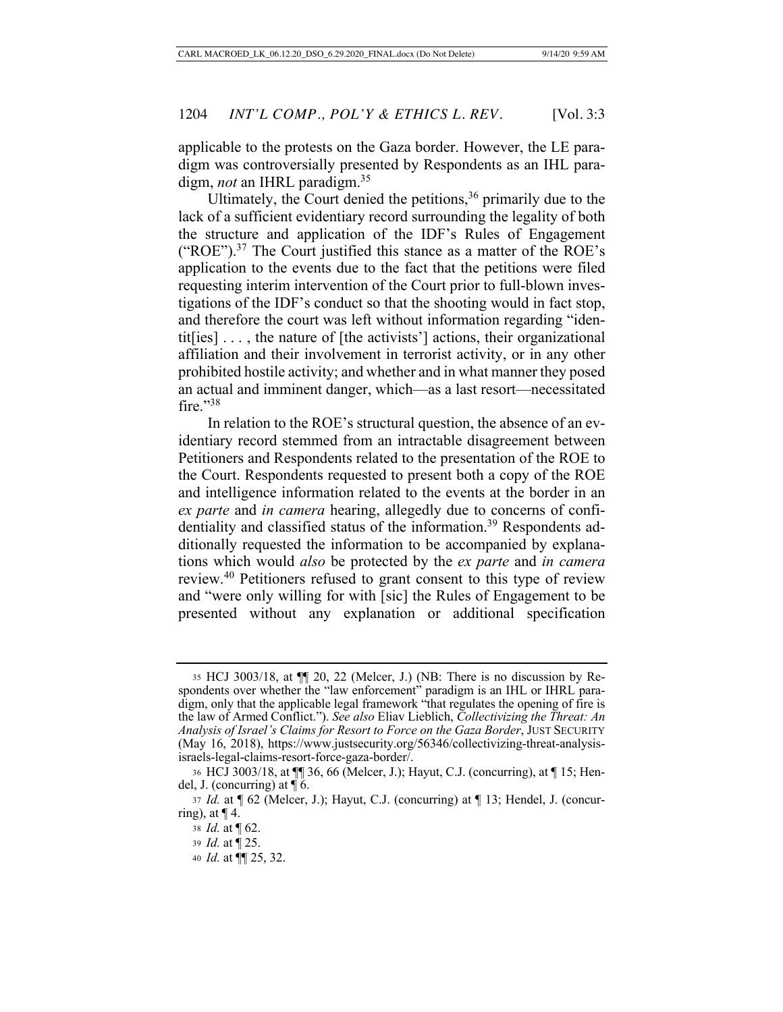applicable to the protests on the Gaza border. However, the LE paradigm was controversially presented by Respondents as an IHL paradigm, *not* an IHRL paradigm.35

Ultimately, the Court denied the petitions,  $36$  primarily due to the lack of a sufficient evidentiary record surrounding the legality of both the structure and application of the IDF's Rules of Engagement ("ROE").37 The Court justified this stance as a matter of the ROE's application to the events due to the fact that the petitions were filed requesting interim intervention of the Court prior to full-blown investigations of the IDF's conduct so that the shooting would in fact stop, and therefore the court was left without information regarding "identit[ies] . . . , the nature of [the activists'] actions, their organizational affiliation and their involvement in terrorist activity, or in any other prohibited hostile activity; and whether and in what manner they posed an actual and imminent danger, which—as a last resort—necessitated fire. $"38$ 

In relation to the ROE's structural question, the absence of an evidentiary record stemmed from an intractable disagreement between Petitioners and Respondents related to the presentation of the ROE to the Court. Respondents requested to present both a copy of the ROE and intelligence information related to the events at the border in an *ex parte* and *in camera* hearing, allegedly due to concerns of confidentiality and classified status of the information.<sup>39</sup> Respondents additionally requested the information to be accompanied by explanations which would *also* be protected by the *ex parte* and *in camera* review.40 Petitioners refused to grant consent to this type of review and "were only willing for with [sic] the Rules of Engagement to be presented without any explanation or additional specification

<sup>35</sup> HCJ 3003/18, at ¶¶ 20, 22 (Melcer, J.) (NB: There is no discussion by Respondents over whether the "law enforcement" paradigm is an IHL or IHRL paradigm, only that the applicable legal framework "that regulates the opening of fire is the law of Armed Conflict."). *See also* Eliav Lieblich, *Collectivizing the Threat: An Analysis of Israel's Claims for Resort to Force on the Gaza Border*, JUST SECURITY (May 16, 2018), https://www.justsecurity.org/56346/collectivizing-threat-analysisisraels-legal-claims-resort-force-gaza-border/.

<sup>36</sup> HCJ 3003/18, at ¶¶ 36, 66 (Melcer, J.); Hayut, C.J. (concurring), at ¶ 15; Hendel, J. (concurring) at  $\P$  6.

<sup>37</sup> *Id.* at ¶ 62 (Melcer, J.); Hayut, C.J. (concurring) at ¶ 13; Hendel, J. (concurring), at  $\P$  4.

<sup>38</sup> *Id.* at ¶ 62.

<sup>39</sup> *Id.* at ¶ 25.

<sup>40</sup> *Id.* at ¶¶ 25, 32.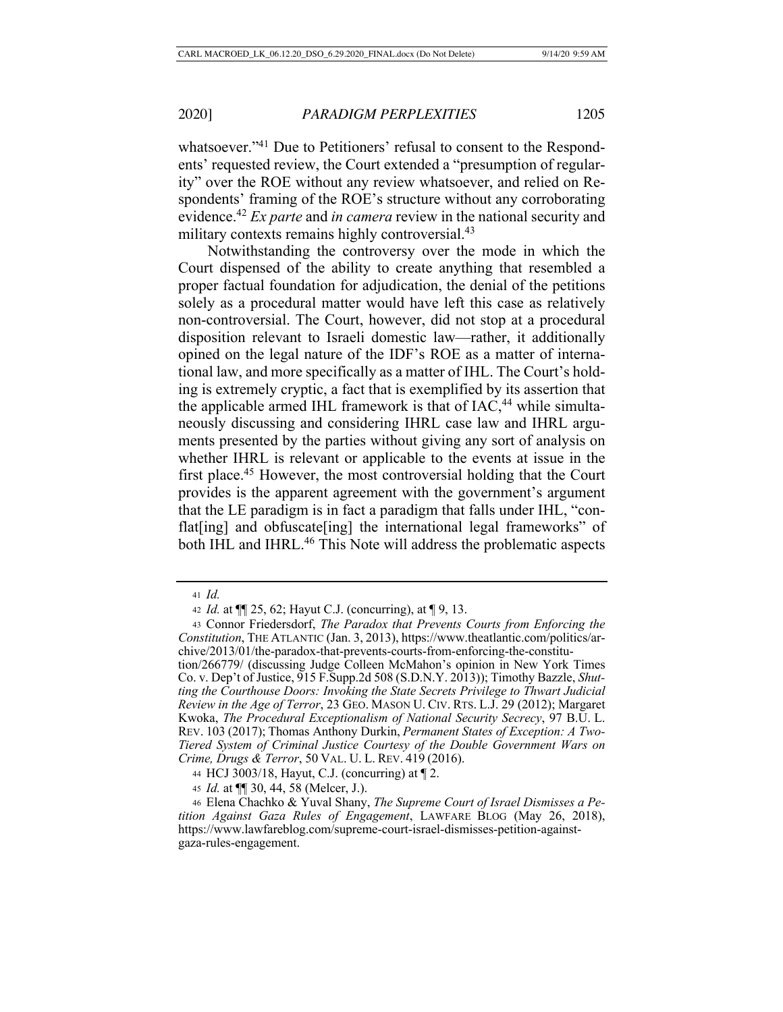whatsoever."<sup>41</sup> Due to Petitioners' refusal to consent to the Respondents' requested review, the Court extended a "presumption of regularity" over the ROE without any review whatsoever, and relied on Respondents' framing of the ROE's structure without any corroborating evidence.42 *Ex parte* and *in camera* review in the national security and military contexts remains highly controversial.<sup>43</sup>

Notwithstanding the controversy over the mode in which the Court dispensed of the ability to create anything that resembled a proper factual foundation for adjudication, the denial of the petitions solely as a procedural matter would have left this case as relatively non-controversial. The Court, however, did not stop at a procedural disposition relevant to Israeli domestic law—rather, it additionally opined on the legal nature of the IDF's ROE as a matter of international law, and more specifically as a matter of IHL. The Court's holding is extremely cryptic, a fact that is exemplified by its assertion that the applicable armed IHL framework is that of  $IAC<sub>1</sub><sup>44</sup>$  while simultaneously discussing and considering IHRL case law and IHRL arguments presented by the parties without giving any sort of analysis on whether IHRL is relevant or applicable to the events at issue in the first place.<sup>45</sup> However, the most controversial holding that the Court provides is the apparent agreement with the government's argument that the LE paradigm is in fact a paradigm that falls under IHL, "conflat<sup>[ing]</sup> and obfuscate<sup>[ing]</sup> the international legal frameworks" of both IHL and IHRL.<sup>46</sup> This Note will address the problematic aspects

<sup>41</sup> *Id.*

<sup>42</sup> *Id.* at ¶¶ 25, 62; Hayut C.J. (concurring), at ¶ 9, 13.

<sup>43</sup> Connor Friedersdorf, *The Paradox that Prevents Courts from Enforcing the Constitution*, THE ATLANTIC (Jan. 3, 2013), https://www.theatlantic.com/politics/archive/2013/01/the-paradox-that-prevents-courts-from-enforcing-the-constitution/266779/ (discussing Judge Colleen McMahon's opinion in New York Times Co. v. Dep't of Justice, 915 F.Supp.2d 508 (S.D.N.Y. 2013)); Timothy Bazzle, *Shutting the Courthouse Doors: Invoking the State Secrets Privilege to Thwart Judicial Review in the Age of Terror*, 23 GEO. MASON U. CIV. RTS. L.J. 29 (2012); Margaret Kwoka, *The Procedural Exceptionalism of National Security Secrecy*, 97 B.U. L. REV. 103 (2017); Thomas Anthony Durkin, *Permanent States of Exception: A Two-Tiered System of Criminal Justice Courtesy of the Double Government Wars on* 

*Crime, Drugs & Terror*, 50 VAL. U. L. REV. 419 (2016).

<sup>44</sup> HCJ 3003/18, Hayut, C.J. (concurring) at ¶ 2.

<sup>45</sup> *Id.* at ¶¶ 30, 44, 58 (Melcer, J.).

<sup>46</sup> Elena Chachko & Yuval Shany, *The Supreme Court of Israel Dismisses a Petition Against Gaza Rules of Engagement*, LAWFARE BLOG (May 26, 2018), https://www.lawfareblog.com/supreme-court-israel-dismisses-petition-againstgaza-rules-engagement.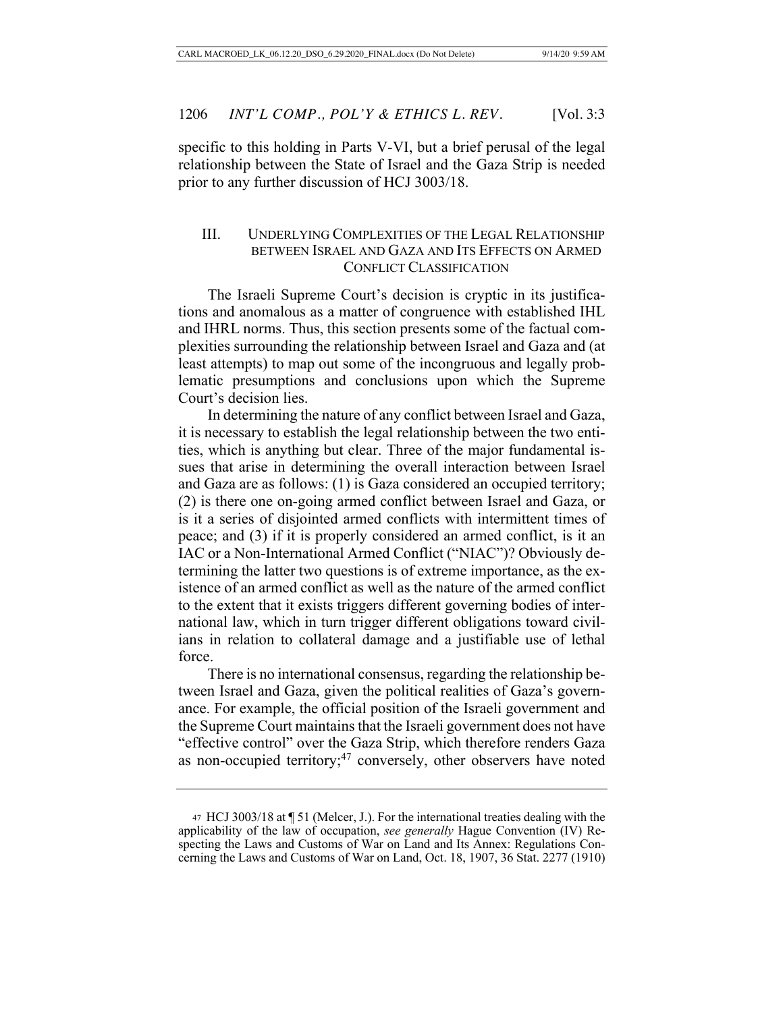specific to this holding in Parts V-VI, but a brief perusal of the legal relationship between the State of Israel and the Gaza Strip is needed prior to any further discussion of HCJ 3003/18.

# III. UNDERLYING COMPLEXITIES OF THE LEGAL RELATIONSHIP BETWEEN ISRAEL AND GAZA AND ITS EFFECTS ON ARMED CONFLICT CLASSIFICATION

The Israeli Supreme Court's decision is cryptic in its justifications and anomalous as a matter of congruence with established IHL and IHRL norms. Thus, this section presents some of the factual complexities surrounding the relationship between Israel and Gaza and (at least attempts) to map out some of the incongruous and legally problematic presumptions and conclusions upon which the Supreme Court's decision lies.

In determining the nature of any conflict between Israel and Gaza, it is necessary to establish the legal relationship between the two entities, which is anything but clear. Three of the major fundamental issues that arise in determining the overall interaction between Israel and Gaza are as follows: (1) is Gaza considered an occupied territory; (2) is there one on-going armed conflict between Israel and Gaza, or is it a series of disjointed armed conflicts with intermittent times of peace; and (3) if it is properly considered an armed conflict, is it an IAC or a Non-International Armed Conflict ("NIAC")? Obviously determining the latter two questions is of extreme importance, as the existence of an armed conflict as well as the nature of the armed conflict to the extent that it exists triggers different governing bodies of international law, which in turn trigger different obligations toward civilians in relation to collateral damage and a justifiable use of lethal force.

There is no international consensus, regarding the relationship between Israel and Gaza, given the political realities of Gaza's governance. For example, the official position of the Israeli government and the Supreme Court maintains that the Israeli government does not have "effective control" over the Gaza Strip, which therefore renders Gaza as non-occupied territory;<sup>47</sup> conversely, other observers have noted

<sup>47</sup> HCJ 3003/18 at ¶ 51 (Melcer, J.). For the international treaties dealing with the applicability of the law of occupation, *see generally* Hague Convention (IV) Respecting the Laws and Customs of War on Land and Its Annex: Regulations Concerning the Laws and Customs of War on Land, Oct. 18, 1907, 36 Stat. 2277 (1910)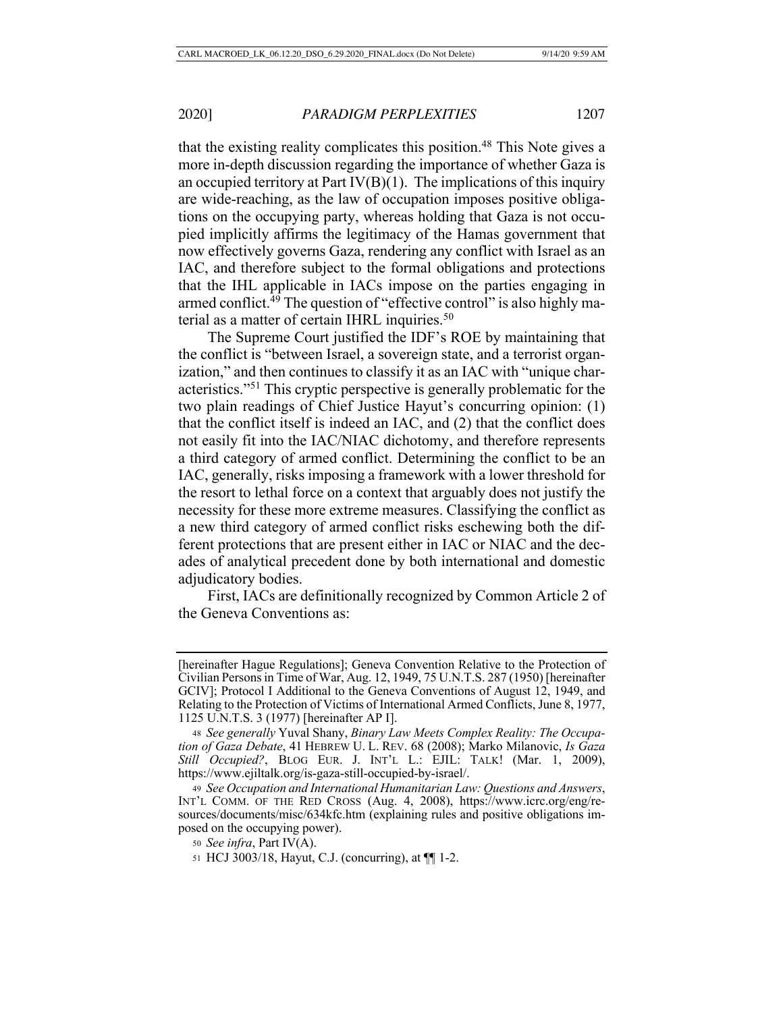that the existing reality complicates this position.<sup>48</sup> This Note gives a more in-depth discussion regarding the importance of whether Gaza is an occupied territory at Part  $IV(B)(1)$ . The implications of this inquiry are wide-reaching, as the law of occupation imposes positive obligations on the occupying party, whereas holding that Gaza is not occupied implicitly affirms the legitimacy of the Hamas government that now effectively governs Gaza, rendering any conflict with Israel as an IAC, and therefore subject to the formal obligations and protections that the IHL applicable in IACs impose on the parties engaging in armed conflict.<sup>49</sup> The question of "effective control" is also highly material as a matter of certain IHRL inquiries.<sup>50</sup>

The Supreme Court justified the IDF's ROE by maintaining that the conflict is "between Israel, a sovereign state, and a terrorist organization," and then continues to classify it as an IAC with "unique characteristics."51 This cryptic perspective is generally problematic for the two plain readings of Chief Justice Hayut's concurring opinion: (1) that the conflict itself is indeed an IAC, and (2) that the conflict does not easily fit into the IAC/NIAC dichotomy, and therefore represents a third category of armed conflict. Determining the conflict to be an IAC, generally, risks imposing a framework with a lower threshold for the resort to lethal force on a context that arguably does not justify the necessity for these more extreme measures. Classifying the conflict as a new third category of armed conflict risks eschewing both the different protections that are present either in IAC or NIAC and the decades of analytical precedent done by both international and domestic adjudicatory bodies.

First, IACs are definitionally recognized by Common Article 2 of the Geneva Conventions as:

<sup>[</sup>hereinafter Hague Regulations]; Geneva Convention Relative to the Protection of Civilian Persons in Time of War, Aug. 12, 1949, 75 U.N.T.S. 287 (1950) [hereinafter GCIV]; Protocol I Additional to the Geneva Conventions of August 12, 1949, and Relating to the Protection of Victims of International Armed Conflicts, June 8, 1977, 1125 U.N.T.S. 3 (1977) [hereinafter AP I].

<sup>48</sup> *See generally* Yuval Shany, *Binary Law Meets Complex Reality: The Occupation of Gaza Debate*, 41 HEBREW U. L. REV. 68 (2008); Marko Milanovic, *Is Gaza Still Occupied?*, BLOG EUR. J. INT'L L.: EJIL: TALK! (Mar. 1, 2009), https://www.ejiltalk.org/is-gaza-still-occupied-by-israel/.

<sup>49</sup> *See Occupation and International Humanitarian Law: Questions and Answers*, INT'L COMM. OF THE RED CROSS (Aug. 4, 2008), https://www.icrc.org/eng/resources/documents/misc/634kfc.htm (explaining rules and positive obligations imposed on the occupying power).

<sup>50</sup> *See infra*, Part IV(A).

<sup>51</sup> HCJ 3003/18, Hayut, C.J. (concurring), at ¶¶ 1-2.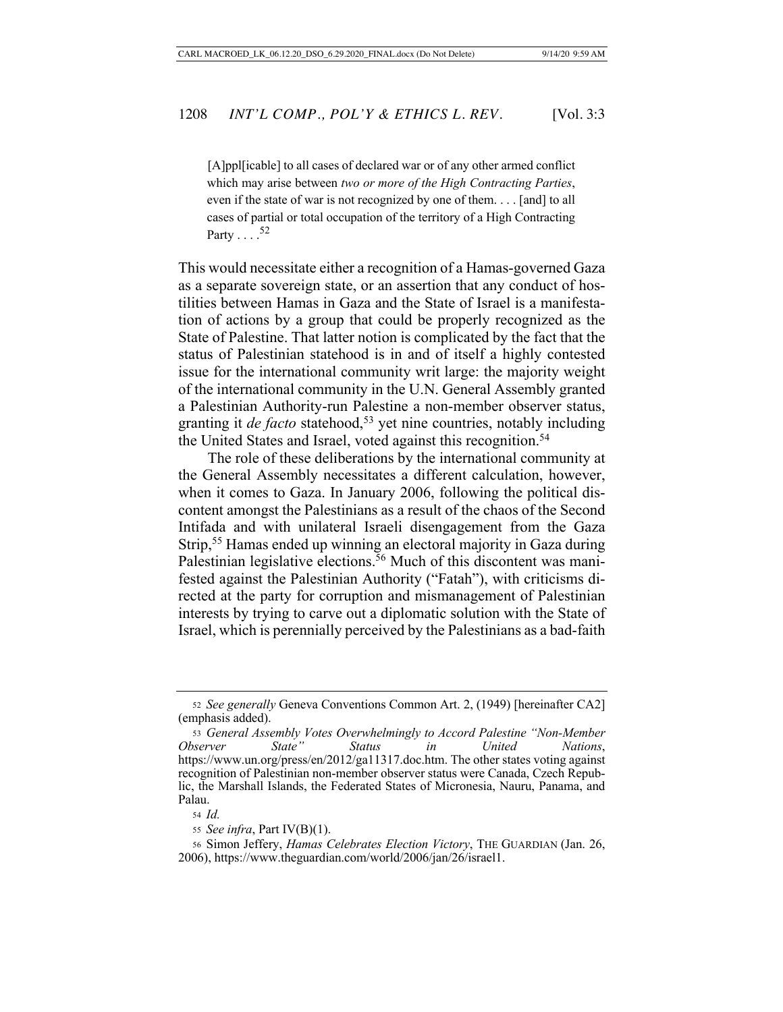[A]ppl[icable] to all cases of declared war or of any other armed conflict which may arise between *two or more of the High Contracting Parties*, even if the state of war is not recognized by one of them. . . . [and] to all cases of partial or total occupation of the territory of a High Contracting Party  $\ldots$ .<sup>52</sup>

This would necessitate either a recognition of a Hamas-governed Gaza as a separate sovereign state, or an assertion that any conduct of hostilities between Hamas in Gaza and the State of Israel is a manifestation of actions by a group that could be properly recognized as the State of Palestine. That latter notion is complicated by the fact that the status of Palestinian statehood is in and of itself a highly contested issue for the international community writ large: the majority weight of the international community in the U.N. General Assembly granted a Palestinian Authority-run Palestine a non-member observer status, granting it *de facto* statehood,<sup>53</sup> yet nine countries, notably including the United States and Israel, voted against this recognition.<sup>54</sup>

The role of these deliberations by the international community at the General Assembly necessitates a different calculation, however, when it comes to Gaza. In January 2006, following the political discontent amongst the Palestinians as a result of the chaos of the Second Intifada and with unilateral Israeli disengagement from the Gaza Strip,55 Hamas ended up winning an electoral majority in Gaza during Palestinian legislative elections.<sup>56</sup> Much of this discontent was manifested against the Palestinian Authority ("Fatah"), with criticisms directed at the party for corruption and mismanagement of Palestinian interests by trying to carve out a diplomatic solution with the State of Israel, which is perennially perceived by the Palestinians as a bad-faith

<sup>52</sup> *See generally* Geneva Conventions Common Art. 2, (1949) [hereinafter CA2] (emphasis added).

<sup>53</sup> *General Assembly Votes Overwhelmingly to Accord Palestine "Non-Member Observer State" Status in United Nations*, https://www.un.org/press/en/2012/ga11317.doc.htm. The other states voting against recognition of Palestinian non-member observer status were Canada, Czech Republic, the Marshall Islands, the Federated States of Micronesia, Nauru, Panama, and Palau.

<sup>54</sup> *Id.*

<sup>55</sup> *See infra*, Part IV(B)(1).

<sup>56</sup> Simon Jeffery, *Hamas Celebrates Election Victory*, THE GUARDIAN (Jan. 26, 2006), https://www.theguardian.com/world/2006/jan/26/israel1.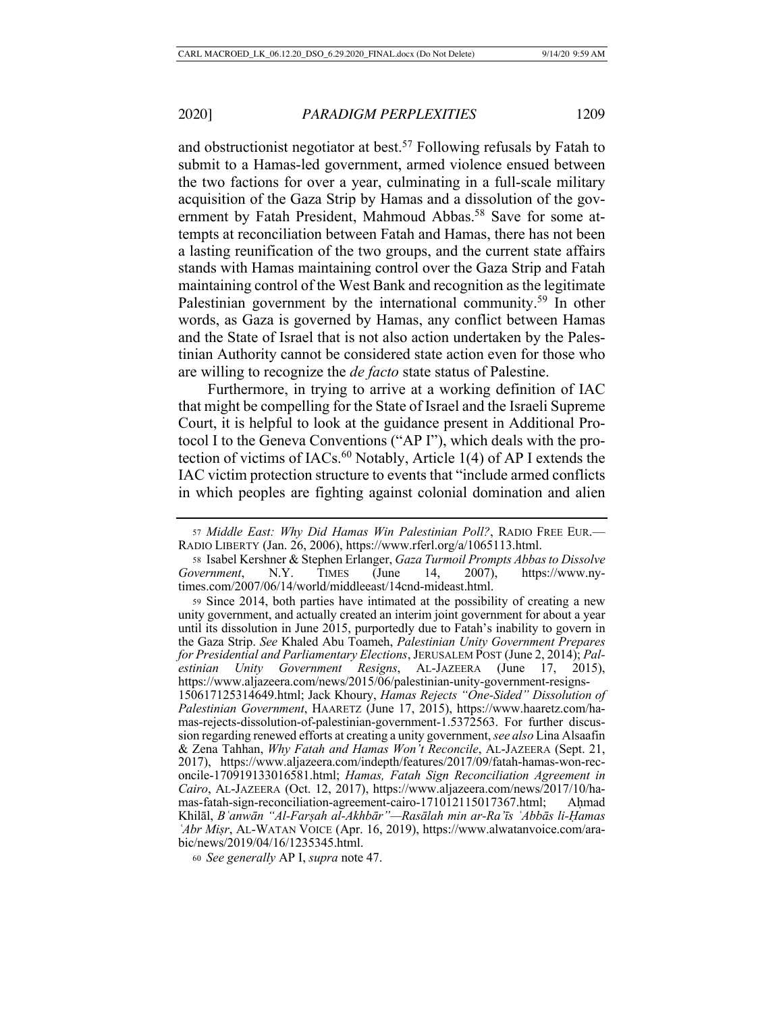and obstructionist negotiator at best.<sup>57</sup> Following refusals by Fatah to submit to a Hamas-led government, armed violence ensued between the two factions for over a year, culminating in a full-scale military acquisition of the Gaza Strip by Hamas and a dissolution of the government by Fatah President, Mahmoud Abbas.<sup>58</sup> Save for some attempts at reconciliation between Fatah and Hamas, there has not been a lasting reunification of the two groups, and the current state affairs stands with Hamas maintaining control over the Gaza Strip and Fatah maintaining control of the West Bank and recognition as the legitimate Palestinian government by the international community.<sup>59</sup> In other words, as Gaza is governed by Hamas, any conflict between Hamas and the State of Israel that is not also action undertaken by the Palestinian Authority cannot be considered state action even for those who are willing to recognize the *de facto* state status of Palestine.

Furthermore, in trying to arrive at a working definition of IAC that might be compelling for the State of Israel and the Israeli Supreme Court, it is helpful to look at the guidance present in Additional Protocol I to the Geneva Conventions ("AP I"), which deals with the protection of victims of IACs. $^{60}$  Notably, Article 1(4) of AP I extends the IAC victim protection structure to events that "include armed conflicts in which peoples are fighting against colonial domination and alien

<sup>57</sup> *Middle East: Why Did Hamas Win Palestinian Poll?*, RADIO FREE EUR.— RADIO LIBERTY (Jan. 26, 2006), https://www.rferl.org/a/1065113.html.

<sup>58</sup> Isabel Kershner & Stephen Erlanger, *Gaza Turmoil Prompts Abbas to Dissolve Government*, N.Y. TIMES (June 14, 2007), https://www.nytimes.com/2007/06/14/world/middleeast/14cnd-mideast.html.

<sup>59</sup> Since 2014, both parties have intimated at the possibility of creating a new unity government, and actually created an interim joint government for about a year until its dissolution in June 2015, purportedly due to Fatah's inability to govern in the Gaza Strip. *See* Khaled Abu Toameh, *Palestinian Unity Government Prepares for Presidential and Parliamentary Elections*, JERUSALEM POST (June 2, 2014); *Palestinian Unity Government Resigns*, AL-JAZEERA (June 17, 2015), https://www.aljazeera.com/news/2015/06/palestinian-unity-government-resigns-150617125314649.html; Jack Khoury, *Hamas Rejects "One-Sided" Dissolution of Palestinian Government*, HAARETZ (June 17, 2015), https://www.haaretz.com/hamas-rejects-dissolution-of-palestinian-government-1.5372563. For further discussion regarding renewed efforts at creating a unity government, *see also* Lina Alsaafin & Zena Tahhan, *Why Fatah and Hamas Won't Reconcile*, AL-JAZEERA (Sept. 21, 2017), https://www.aljazeera.com/indepth/features/2017/09/fatah-hamas-won-reconcile-170919133016581.html; *Hamas, Fatah Sign Reconciliation Agreement in Cairo*, AL-JAZEERA (Oct. 12, 2017), https://www.aljazeera.com/news/2017/10/hamas-fatah-sign-reconciliation-agreement-cairo-171012115017367.html; Aḥmad Khilāl, *Bʿanwān "Al-Farṣah al-Akhbār"—Rasālah min ar-Ra'īs ʿAbbās li-Ḥamas ʿAbr Miṣr*, AL-WATAN VOICE (Apr. 16, 2019), https://www.alwatanvoice.com/arabic/news/2019/04/16/1235345.html.

<sup>60</sup> *See generally* AP I, *supra* note 47.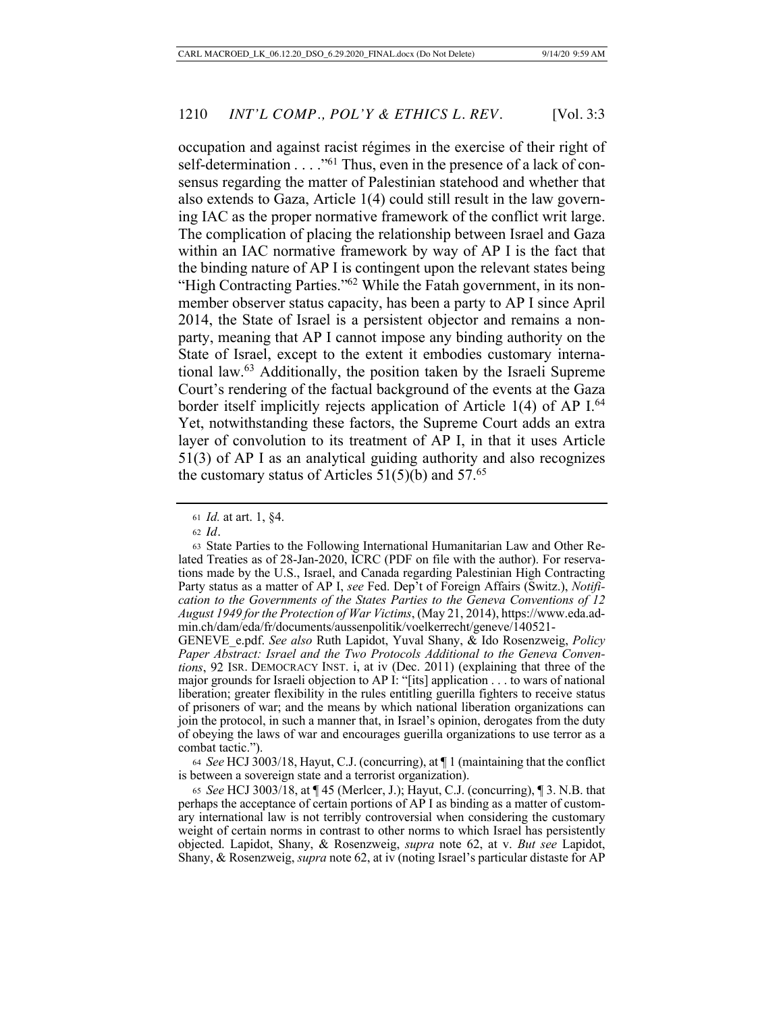occupation and against racist régimes in the exercise of their right of self-determination  $\dots$  ."<sup>61</sup> Thus, even in the presence of a lack of consensus regarding the matter of Palestinian statehood and whether that also extends to Gaza, Article 1(4) could still result in the law governing IAC as the proper normative framework of the conflict writ large. The complication of placing the relationship between Israel and Gaza within an IAC normative framework by way of AP I is the fact that the binding nature of AP I is contingent upon the relevant states being "High Contracting Parties."<sup>62</sup> While the Fatah government, in its nonmember observer status capacity, has been a party to AP I since April 2014, the State of Israel is a persistent objector and remains a nonparty, meaning that AP I cannot impose any binding authority on the State of Israel, except to the extent it embodies customary international law.63 Additionally, the position taken by the Israeli Supreme Court's rendering of the factual background of the events at the Gaza border itself implicitly rejects application of Article 1(4) of AP I.<sup>64</sup> Yet, notwithstanding these factors, the Supreme Court adds an extra layer of convolution to its treatment of AP I, in that it uses Article 51(3) of AP I as an analytical guiding authority and also recognizes the customary status of Articles  $51(5)(b)$  and  $57.^{65}$ 

<sup>64</sup> *See* HCJ 3003/18, Hayut, C.J. (concurring), at ¶ 1 (maintaining that the conflict is between a sovereign state and a terrorist organization).

<sup>65</sup> *See* HCJ 3003/18, at ¶ 45 (Merlcer, J.); Hayut, C.J. (concurring), ¶ 3. N.B. that perhaps the acceptance of certain portions of AP I as binding as a matter of customary international law is not terribly controversial when considering the customary weight of certain norms in contrast to other norms to which Israel has persistently objected. Lapidot, Shany, & Rosenzweig, *supra* note 62, at v. *But see* Lapidot, Shany, & Rosenzweig, *supra* note 62, at iv (noting Israel's particular distaste for AP

<sup>61</sup> *Id.* at art. 1, §4.

<sup>62</sup> *Id.*

<sup>63</sup> State Parties to the Following International Humanitarian Law and Other Related Treaties as of 28-Jan-2020, ICRC (PDF on file with the author). For reservations made by the U.S., Israel, and Canada regarding Palestinian High Contracting Party status as a matter of AP I, *see* Fed. Dep't of Foreign Affairs (Switz.), *Notification to the Governments of the States Parties to the Geneva Conventions of 12 August 1949 for the Protection of War Victims*, (May 21, 2014), https://www.eda.admin.ch/dam/eda/fr/documents/aussenpolitik/voelkerrecht/geneve/140521-

GENEVE\_e.pdf. *See also* Ruth Lapidot, Yuval Shany, & Ido Rosenzweig, *Policy Paper Abstract: Israel and the Two Protocols Additional to the Geneva Conventions*, 92 ISR. DEMOCRACY INST. i, at iv (Dec. 2011) (explaining that three of the major grounds for Israeli objection to AP I: "[its] application . . . to wars of national liberation; greater flexibility in the rules entitling guerilla fighters to receive status of prisoners of war; and the means by which national liberation organizations can join the protocol, in such a manner that, in Israel's opinion, derogates from the duty of obeying the laws of war and encourages guerilla organizations to use terror as a combat tactic.").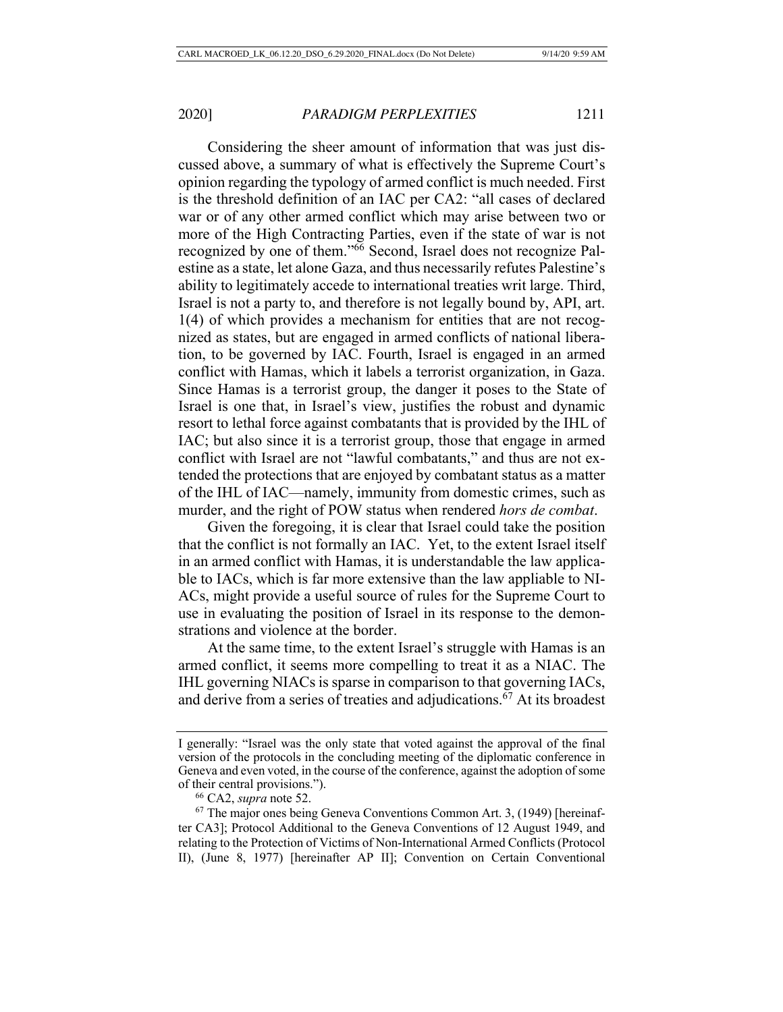Considering the sheer amount of information that was just discussed above, a summary of what is effectively the Supreme Court's opinion regarding the typology of armed conflict is much needed. First is the threshold definition of an IAC per CA2: "all cases of declared war or of any other armed conflict which may arise between two or more of the High Contracting Parties, even if the state of war is not recognized by one of them."66 Second, Israel does not recognize Palestine as a state, let alone Gaza, and thus necessarily refutes Palestine's ability to legitimately accede to international treaties writ large. Third, Israel is not a party to, and therefore is not legally bound by, API, art. 1(4) of which provides a mechanism for entities that are not recognized as states, but are engaged in armed conflicts of national liberation, to be governed by IAC. Fourth, Israel is engaged in an armed conflict with Hamas, which it labels a terrorist organization, in Gaza. Since Hamas is a terrorist group, the danger it poses to the State of Israel is one that, in Israel's view, justifies the robust and dynamic resort to lethal force against combatants that is provided by the IHL of IAC; but also since it is a terrorist group, those that engage in armed conflict with Israel are not "lawful combatants," and thus are not extended the protections that are enjoyed by combatant status as a matter of the IHL of IAC—namely, immunity from domestic crimes, such as murder, and the right of POW status when rendered *hors de combat*.

Given the foregoing, it is clear that Israel could take the position that the conflict is not formally an IAC. Yet, to the extent Israel itself in an armed conflict with Hamas, it is understandable the law applicable to IACs, which is far more extensive than the law appliable to NI-ACs, might provide a useful source of rules for the Supreme Court to use in evaluating the position of Israel in its response to the demonstrations and violence at the border.

At the same time, to the extent Israel's struggle with Hamas is an armed conflict, it seems more compelling to treat it as a NIAC. The IHL governing NIACs is sparse in comparison to that governing IACs, and derive from a series of treaties and adjudications.67 At its broadest

I generally: "Israel was the only state that voted against the approval of the final version of the protocols in the concluding meeting of the diplomatic conference in Geneva and even voted, in the course of the conference, against the adoption of some of their central provisions.").

<sup>66</sup> CA2, *supra* note 52.

 $67$  The major ones being Geneva Conventions Common Art. 3, (1949) [hereinafter CA3]; Protocol Additional to the Geneva Conventions of 12 August 1949, and relating to the Protection of Victims of Non-International Armed Conflicts (Protocol II), (June 8, 1977) [hereinafter AP II]; Convention on Certain Conventional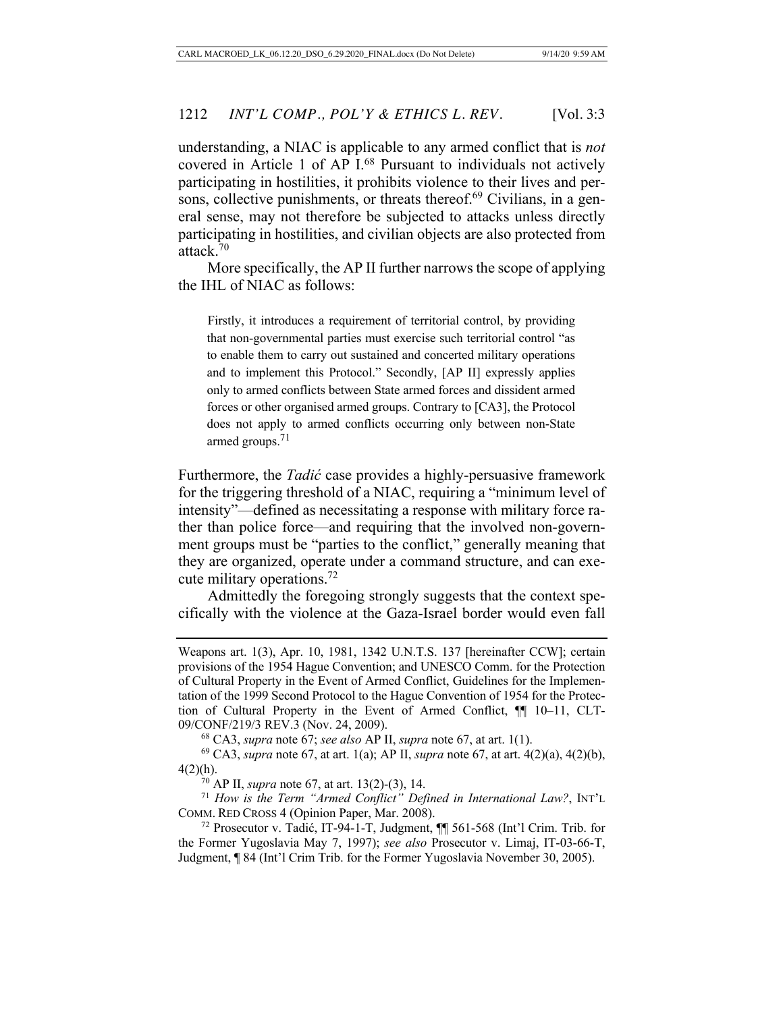understanding, a NIAC is applicable to any armed conflict that is *not*  covered in Article 1 of AP I.68 Pursuant to individuals not actively participating in hostilities, it prohibits violence to their lives and persons, collective punishments, or threats thereof.<sup>69</sup> Civilians, in a general sense, may not therefore be subjected to attacks unless directly participating in hostilities, and civilian objects are also protected from attack.70

More specifically, the AP II further narrows the scope of applying the IHL of NIAC as follows:

Firstly, it introduces a requirement of territorial control, by providing that non-governmental parties must exercise such territorial control "as to enable them to carry out sustained and concerted military operations and to implement this Protocol." Secondly, [AP II] expressly applies only to armed conflicts between State armed forces and dissident armed forces or other organised armed groups. Contrary to [CA3], the Protocol does not apply to armed conflicts occurring only between non-State armed groups. $71$ 

Furthermore, the *Tadić* case provides a highly-persuasive framework for the triggering threshold of a NIAC, requiring a "minimum level of intensity"—defined as necessitating a response with military force rather than police force—and requiring that the involved non-government groups must be "parties to the conflict," generally meaning that they are organized, operate under a command structure, and can execute military operations.72

Admittedly the foregoing strongly suggests that the context specifically with the violence at the Gaza-Israel border would even fall

Weapons art. 1(3), Apr. 10, 1981, 1342 U.N.T.S. 137 [hereinafter CCW]; certain provisions of the 1954 Hague Convention; and UNESCO Comm. for the Protection of Cultural Property in the Event of Armed Conflict, Guidelines for the Implementation of the 1999 Second Protocol to the Hague Convention of 1954 for the Protection of Cultural Property in the Event of Armed Conflict, ¶¶ 10–11, CLT-09/CONF/219/3 REV.3 (Nov. 24, 2009). 68 CA3, *supra* note 67; *see also* AP II, *supra* note 67, at art. 1(1).

<sup>69</sup> CA3, *supra* note 67, at art. 1(a); AP II, *supra* note 67, at art. 4(2)(a), 4(2)(b),  $4(2)(h)$ .

<sup>70</sup> AP II, *supra* note 67, at art. 13(2)-(3), 14.

<sup>71</sup> *How is the Term "Armed Conflict" Defined in International Law?*, INT'L COMM. RED CROSS 4 (Opinion Paper, Mar. 2008).

<sup>72</sup> Prosecutor v. Tadić, IT-94-1-T, Judgment, ¶¶ 561-568 (Int'l Crim. Trib. for the Former Yugoslavia May 7, 1997); *see also* Prosecutor v. Limaj, IT-03-66-T, Judgment, ¶ 84 (Int'l Crim Trib. for the Former Yugoslavia November 30, 2005).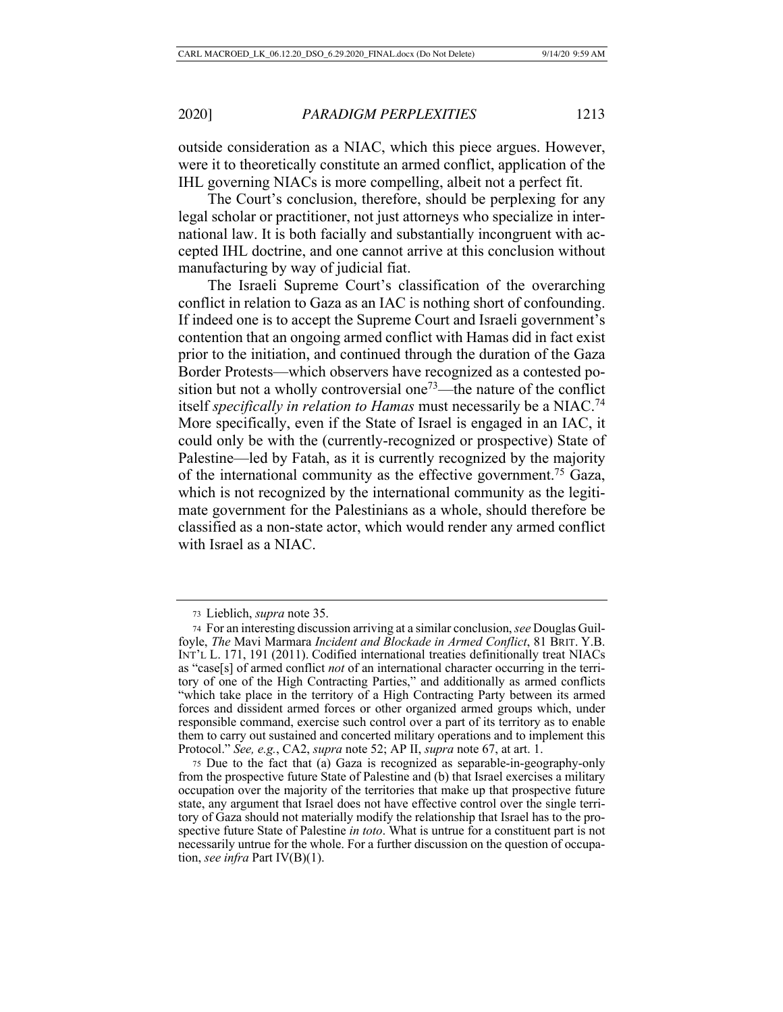outside consideration as a NIAC, which this piece argues. However, were it to theoretically constitute an armed conflict, application of the IHL governing NIACs is more compelling, albeit not a perfect fit.

The Court's conclusion, therefore, should be perplexing for any legal scholar or practitioner, not just attorneys who specialize in international law. It is both facially and substantially incongruent with accepted IHL doctrine, and one cannot arrive at this conclusion without manufacturing by way of judicial fiat.

The Israeli Supreme Court's classification of the overarching conflict in relation to Gaza as an IAC is nothing short of confounding. If indeed one is to accept the Supreme Court and Israeli government's contention that an ongoing armed conflict with Hamas did in fact exist prior to the initiation, and continued through the duration of the Gaza Border Protests—which observers have recognized as a contested position but not a wholly controversial one<sup> $73$ </sup>—the nature of the conflict itself *specifically in relation to Hamas* must necessarily be a NIAC.74 More specifically, even if the State of Israel is engaged in an IAC, it could only be with the (currently-recognized or prospective) State of Palestine—led by Fatah, as it is currently recognized by the majority of the international community as the effective government.<sup>75</sup> Gaza, which is not recognized by the international community as the legitimate government for the Palestinians as a whole, should therefore be classified as a non-state actor, which would render any armed conflict with Israel as a NIAC.

<sup>73</sup> Lieblich, *supra* note 35.

<sup>74</sup> For an interesting discussion arriving at a similar conclusion, *see* Douglas Guilfoyle, *The* Mavi Marmara *Incident and Blockade in Armed Conflict*, 81 BRIT. Y.B. INT'L L. 171, 191 (2011). Codified international treaties definitionally treat NIACs as "case[s] of armed conflict *not* of an international character occurring in the territory of one of the High Contracting Parties," and additionally as armed conflicts "which take place in the territory of a High Contracting Party between its armed forces and dissident armed forces or other organized armed groups which, under responsible command, exercise such control over a part of its territory as to enable them to carry out sustained and concerted military operations and to implement this Protocol." *See, e.g.*, CA2, *supra* note 52; AP II, *supra* note 67, at art. 1.

<sup>75</sup> Due to the fact that (a) Gaza is recognized as separable-in-geography-only from the prospective future State of Palestine and (b) that Israel exercises a military occupation over the majority of the territories that make up that prospective future state, any argument that Israel does not have effective control over the single territory of Gaza should not materially modify the relationship that Israel has to the prospective future State of Palestine *in toto*. What is untrue for a constituent part is not necessarily untrue for the whole. For a further discussion on the question of occupation, *see infra* Part IV(B)(1).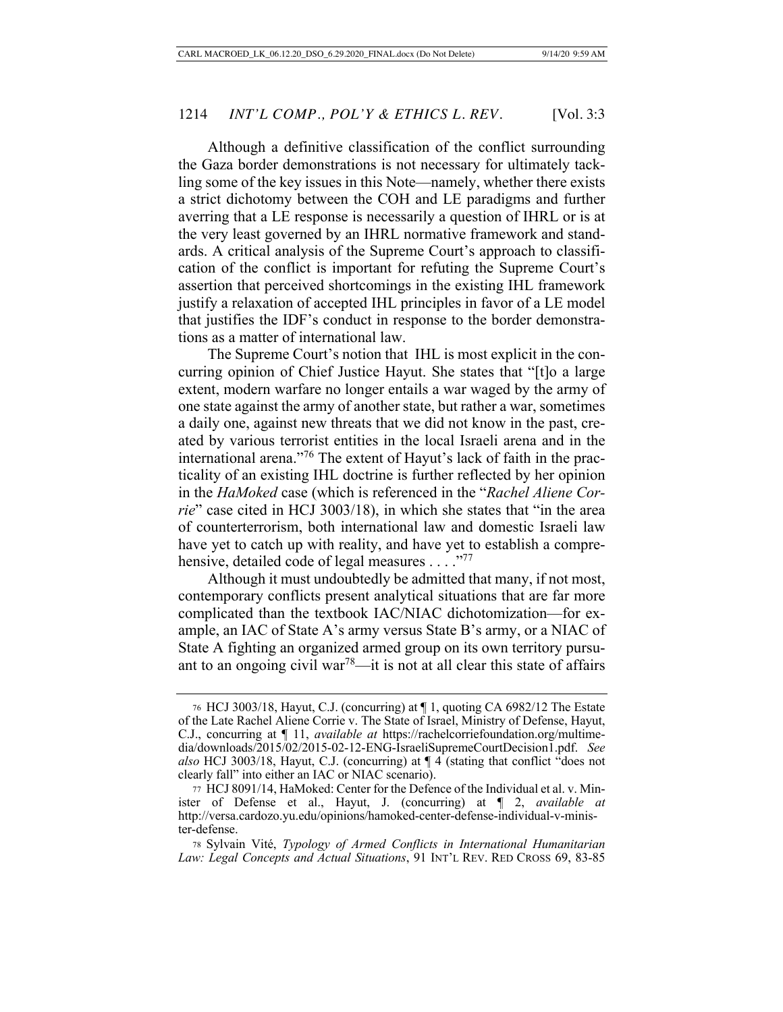Although a definitive classification of the conflict surrounding the Gaza border demonstrations is not necessary for ultimately tackling some of the key issues in this Note—namely, whether there exists a strict dichotomy between the COH and LE paradigms and further averring that a LE response is necessarily a question of IHRL or is at the very least governed by an IHRL normative framework and standards. A critical analysis of the Supreme Court's approach to classification of the conflict is important for refuting the Supreme Court's assertion that perceived shortcomings in the existing IHL framework justify a relaxation of accepted IHL principles in favor of a LE model that justifies the IDF's conduct in response to the border demonstrations as a matter of international law.

The Supreme Court's notion that IHL is most explicit in the concurring opinion of Chief Justice Hayut. She states that "[t]o a large extent, modern warfare no longer entails a war waged by the army of one state against the army of another state, but rather a war, sometimes a daily one, against new threats that we did not know in the past, created by various terrorist entities in the local Israeli arena and in the international arena."76 The extent of Hayut's lack of faith in the practicality of an existing IHL doctrine is further reflected by her opinion in the *HaMoked* case (which is referenced in the "*Rachel Aliene Corrie*" case cited in HCJ 3003/18), in which she states that "in the area of counterterrorism, both international law and domestic Israeli law have yet to catch up with reality, and have yet to establish a comprehensive, detailed code of legal measures . . . . "77"

Although it must undoubtedly be admitted that many, if not most, contemporary conflicts present analytical situations that are far more complicated than the textbook IAC/NIAC dichotomization—for example, an IAC of State A's army versus State B's army, or a NIAC of State A fighting an organized armed group on its own territory pursuant to an ongoing civil war<sup>78</sup>—it is not at all clear this state of affairs

<sup>76</sup> HCJ 3003/18, Hayut, C.J. (concurring) at ¶ 1, quoting CA 6982/12 The Estate of the Late Rachel Aliene Corrie v. The State of Israel, Ministry of Defense, Hayut, C.J., concurring at ¶ 11, *available at* https://rachelcorriefoundation.org/multimedia/downloads/2015/02/2015-02-12-ENG-IsraeliSupremeCourtDecision1.pdf. *See also* HCJ 3003/18, Hayut, C.J. (concurring) at ¶ 4 (stating that conflict "does not clearly fall" into either an IAC or NIAC scenario).

<sup>77</sup> HCJ 8091/14, HaMoked: Center for the Defence of the Individual et al. v. Minister of Defense et al., Hayut, J. (concurring) at ¶ 2, *available at* http://versa.cardozo.yu.edu/opinions/hamoked-center-defense-individual-v-minister-defense.

<sup>78</sup> Sylvain Vité, *Typology of Armed Conflicts in International Humanitarian Law: Legal Concepts and Actual Situations*, 91 INT'L REV. RED CROSS 69, 83-85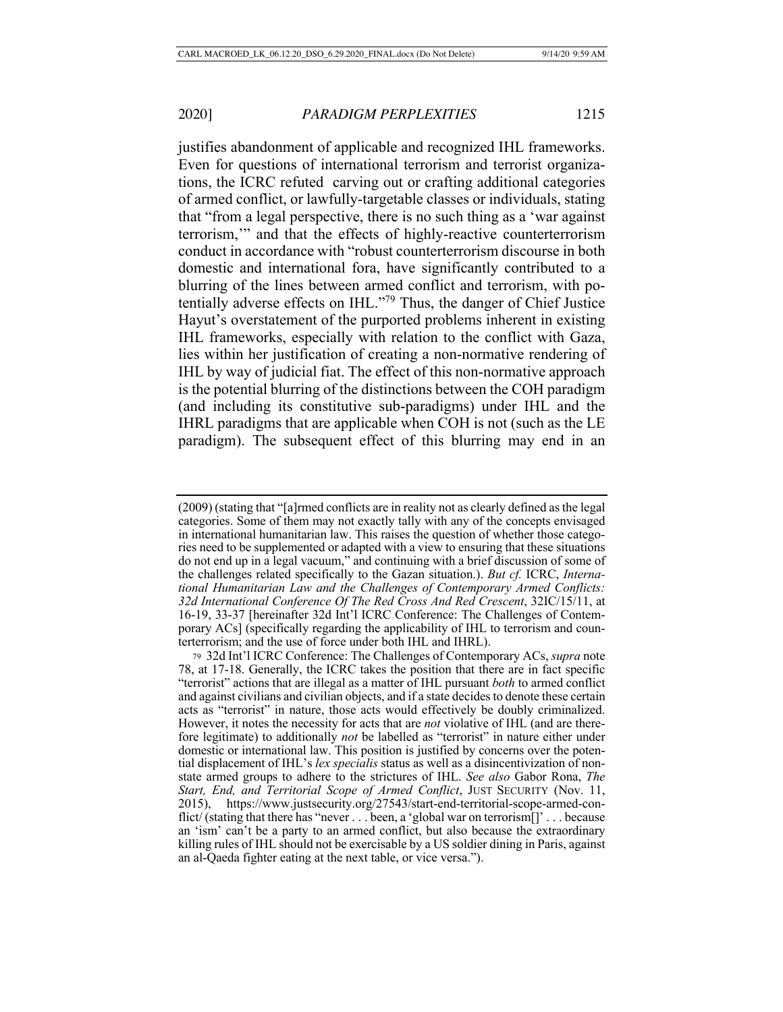justifies abandonment of applicable and recognized IHL frameworks. Even for questions of international terrorism and terrorist organizations, the ICRC refuted carving out or crafting additional categories of armed conflict, or lawfully-targetable classes or individuals, stating that "from a legal perspective, there is no such thing as a 'war against terrorism,'" and that the effects of highly-reactive counterterrorism conduct in accordance with "robust counterterrorism discourse in both domestic and international fora, have significantly contributed to a blurring of the lines between armed conflict and terrorism, with potentially adverse effects on IHL."79 Thus, the danger of Chief Justice Hayut's overstatement of the purported problems inherent in existing IHL frameworks, especially with relation to the conflict with Gaza, lies within her justification of creating a non-normative rendering of IHL by way of judicial fiat. The effect of this non-normative approach is the potential blurring of the distinctions between the COH paradigm (and including its constitutive sub-paradigms) under IHL and the IHRL paradigms that are applicable when COH is not (such as the LE paradigm). The subsequent effect of this blurring may end in an

<sup>(2009) (</sup>stating that "[a]rmed conflicts are in reality not as clearly defined as the legal categories. Some of them may not exactly tally with any of the concepts envisaged in international humanitarian law. This raises the question of whether those categories need to be supplemented or adapted with a view to ensuring that these situations do not end up in a legal vacuum," and continuing with a brief discussion of some of the challenges related specifically to the Gazan situation.). *But cf.* ICRC, *International Humanitarian Law and the Challenges of Contemporary Armed Conflicts: 32d International Conference Of The Red Cross And Red Crescent*, 32IC/15/11, at 16-19, 33-37 [hereinafter 32d Int'l ICRC Conference: The Challenges of Contemporary ACs] (specifically regarding the applicability of IHL to terrorism and counterterrorism; and the use of force under both IHL and IHRL).

<sup>79</sup> 32d Int'l ICRC Conference: The Challenges of Contemporary ACs, *supra* note 78, at 17-18. Generally, the ICRC takes the position that there are in fact specific "terrorist" actions that are illegal as a matter of IHL pursuant *both* to armed conflict and against civilians and civilian objects, and if a state decides to denote these certain acts as "terrorist" in nature, those acts would effectively be doubly criminalized. However, it notes the necessity for acts that are *not* violative of IHL (and are therefore legitimate) to additionally *not* be labelled as "terrorist" in nature either under domestic or international law. This position is justified by concerns over the potential displacement of IHL's *lex specialis* status as well as a disincentivization of nonstate armed groups to adhere to the strictures of IHL. *See also* Gabor Rona, *The Start, End, and Territorial Scope of Armed Conflict*, JUST SECURITY (Nov. 11, 2015), https://www.justsecurity.org/27543/start-end-territorial-scope-armed-conflict/ (stating that there has "never . . . been, a 'global war on terrorism[]' . . . because an 'ism' can't be a party to an armed conflict, but also because the extraordinary killing rules of IHL should not be exercisable by a US soldier dining in Paris, against an al-Qaeda fighter eating at the next table, or vice versa.").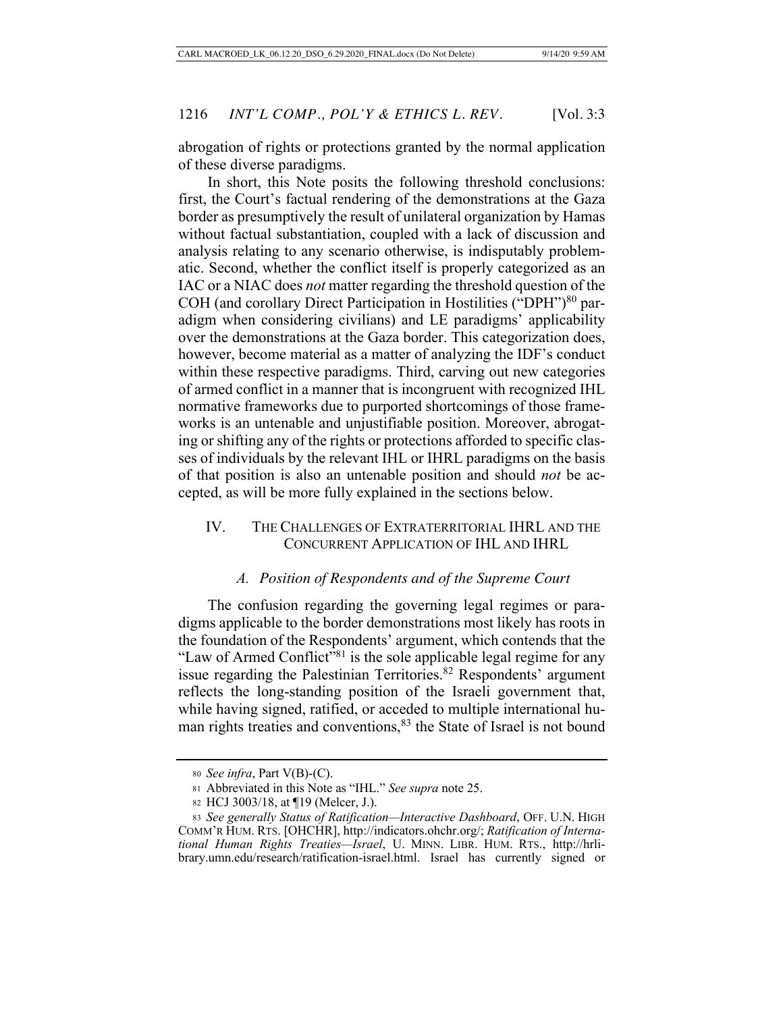abrogation of rights or protections granted by the normal application of these diverse paradigms.

In short, this Note posits the following threshold conclusions: first, the Court's factual rendering of the demonstrations at the Gaza border as presumptively the result of unilateral organization by Hamas without factual substantiation, coupled with a lack of discussion and analysis relating to any scenario otherwise, is indisputably problematic. Second, whether the conflict itself is properly categorized as an IAC or a NIAC does *not* matter regarding the threshold question of the COH (and corollary Direct Participation in Hostilities ("DPH")<sup>80</sup> paradigm when considering civilians) and LE paradigms' applicability over the demonstrations at the Gaza border. This categorization does, however, become material as a matter of analyzing the IDF's conduct within these respective paradigms. Third, carving out new categories of armed conflict in a manner that is incongruent with recognized IHL normative frameworks due to purported shortcomings of those frameworks is an untenable and unjustifiable position. Moreover, abrogating or shifting any of the rights or protections afforded to specific classes of individuals by the relevant IHL or IHRL paradigms on the basis of that position is also an untenable position and should *not* be accepted, as will be more fully explained in the sections below.

# IV. THE CHALLENGES OF EXTRATERRITORIAL IHRL AND THE CONCURRENT APPLICATION OF IHL AND IHRL

# *A. Position of Respondents and of the Supreme Court*

The confusion regarding the governing legal regimes or paradigms applicable to the border demonstrations most likely has roots in the foundation of the Respondents' argument, which contends that the "Law of Armed Conflict"<sup>81</sup> is the sole applicable legal regime for any issue regarding the Palestinian Territories.<sup>82</sup> Respondents' argument reflects the long-standing position of the Israeli government that, while having signed, ratified, or acceded to multiple international human rights treaties and conventions,<sup>83</sup> the State of Israel is not bound

<sup>80</sup> *See infra*, Part V(B)-(C).

<sup>81</sup> Abbreviated in this Note as "IHL." *See supra* note 25.

<sup>82</sup> HCJ 3003/18, at ¶19 (Melcer, J.).

<sup>83</sup> *See generally Status of Ratification—Interactive Dashboard*, OFF. U.N. HIGH COMM'R HUM. RTS. [OHCHR], http://indicators.ohchr.org/; *Ratification of International Human Rights Treaties—Israel*, U. MINN. LIBR. HUM. RTS., http://hrlibrary.umn.edu/research/ratification-israel.html. Israel has currently signed or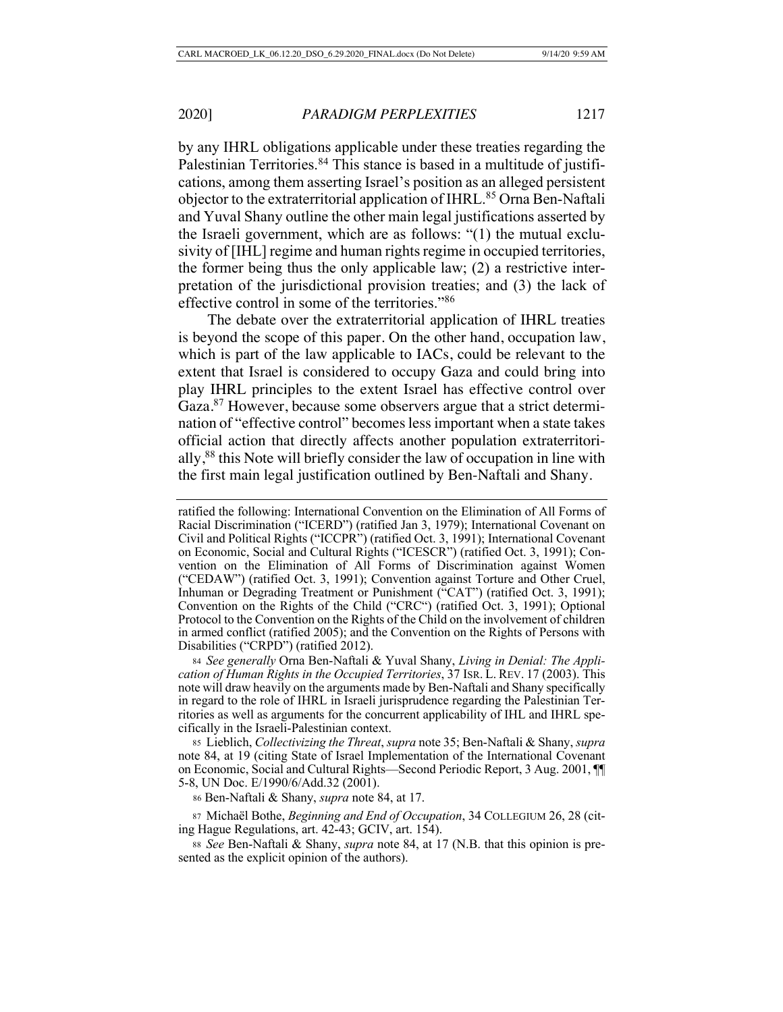by any IHRL obligations applicable under these treaties regarding the Palestinian Territories.<sup>84</sup> This stance is based in a multitude of justifications, among them asserting Israel's position as an alleged persistent objector to the extraterritorial application of IHRL.<sup>85</sup> Orna Ben-Naftali and Yuval Shany outline the other main legal justifications asserted by the Israeli government, which are as follows: "(1) the mutual exclusivity of [IHL] regime and human rights regime in occupied territories, the former being thus the only applicable law; (2) a restrictive interpretation of the jurisdictional provision treaties; and (3) the lack of effective control in some of the territories."86

The debate over the extraterritorial application of IHRL treaties is beyond the scope of this paper. On the other hand, occupation law, which is part of the law applicable to IACs, could be relevant to the extent that Israel is considered to occupy Gaza and could bring into play IHRL principles to the extent Israel has effective control over Gaza.<sup>87</sup> However, because some observers argue that a strict determination of "effective control" becomes less important when a state takes official action that directly affects another population extraterritorially,<sup>88</sup> this Note will briefly consider the law of occupation in line with the first main legal justification outlined by Ben-Naftali and Shany.

<sup>84</sup> *See generally* Orna Ben-Naftali & Yuval Shany, *Living in Denial: The Application of Human Rights in the Occupied Territories*, 37 ISR. L. REV. 17 (2003). This note will draw heavily on the arguments made by Ben-Naftali and Shany specifically in regard to the role of IHRL in Israeli jurisprudence regarding the Palestinian Territories as well as arguments for the concurrent applicability of IHL and IHRL specifically in the Israeli-Palestinian context.

<sup>85</sup> Lieblich, *Collectivizing the Threat*, *supra* note 35; Ben-Naftali & Shany, *supra* note 84, at 19 (citing State of Israel Implementation of the International Covenant on Economic, Social and Cultural Rights—Second Periodic Report, 3 Aug. 2001, ¶¶ 5-8, UN Doc. E/1990/6/Add.32 (2001).

<sup>86</sup> Ben-Naftali & Shany, *supra* note 84, at 17.

<sup>87</sup> Michaël Bothe, *Beginning and End of Occupation*, 34 COLLEGIUM 26, 28 (citing Hague Regulations, art. 42-43; GCIV, art. 154).

<sup>88</sup> *See* Ben-Naftali & Shany, *supra* note 84, at 17 (N.B. that this opinion is presented as the explicit opinion of the authors).

ratified the following: International Convention on the Elimination of All Forms of Racial Discrimination ("ICERD") (ratified Jan 3, 1979); International Covenant on Civil and Political Rights ("ICCPR") (ratified Oct. 3, 1991); International Covenant on Economic, Social and Cultural Rights ("ICESCR") (ratified Oct. 3, 1991); Convention on the Elimination of All Forms of Discrimination against Women ("CEDAW") (ratified Oct. 3, 1991); Convention against Torture and Other Cruel, Inhuman or Degrading Treatment or Punishment ("CAT") (ratified Oct. 3, 1991); Convention on the Rights of the Child ("CRC") (ratified Oct. 3, 1991); Optional Protocol to the Convention on the Rights of the Child on the involvement of children in armed conflict (ratified 2005); and the Convention on the Rights of Persons with Disabilities ("CRPD") (ratified 2012).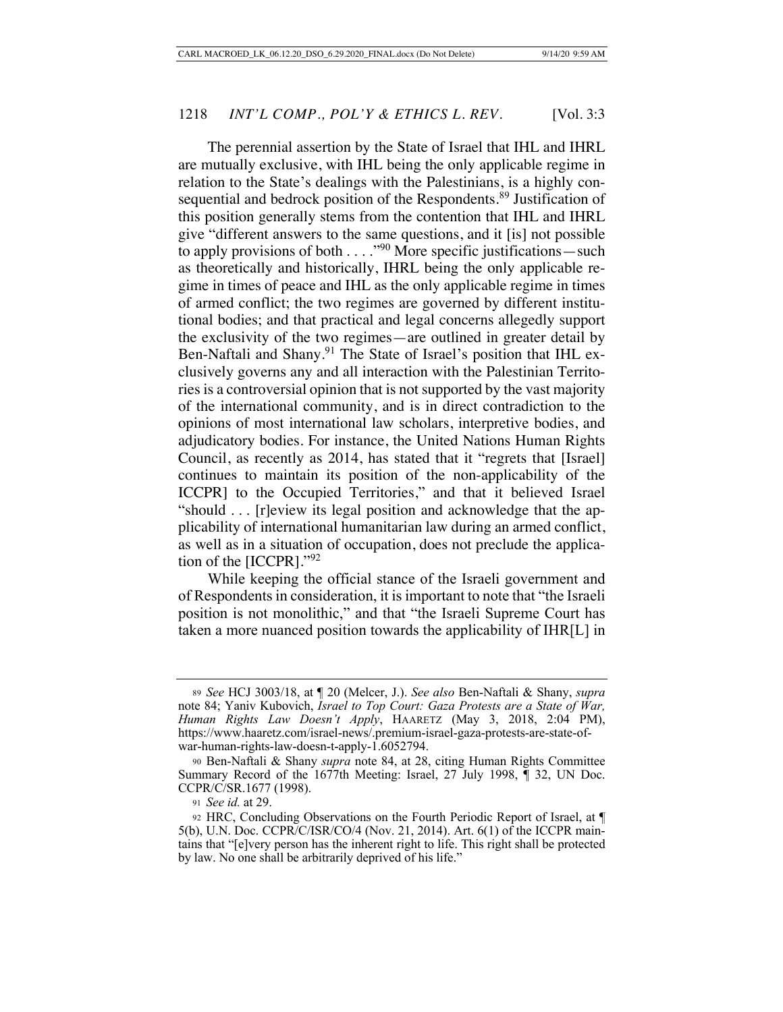The perennial assertion by the State of Israel that IHL and IHRL are mutually exclusive, with IHL being the only applicable regime in relation to the State's dealings with the Palestinians, is a highly consequential and bedrock position of the Respondents.<sup>89</sup> Justification of this position generally stems from the contention that IHL and IHRL give "different answers to the same questions, and it [is] not possible to apply provisions of both  $\dots$ ."<sup>90</sup> More specific justifications — such as theoretically and historically, IHRL being the only applicable regime in times of peace and IHL as the only applicable regime in times of armed conflict; the two regimes are governed by different institutional bodies; and that practical and legal concerns allegedly support the exclusivity of the two regimes—are outlined in greater detail by Ben-Naftali and Shany.<sup>91</sup> The State of Israel's position that IHL exclusively governs any and all interaction with the Palestinian Territories is a controversial opinion that is not supported by the vast majority of the international community, and is in direct contradiction to the opinions of most international law scholars, interpretive bodies, and adjudicatory bodies. For instance, the United Nations Human Rights Council, as recently as 2014, has stated that it "regrets that [Israel] continues to maintain its position of the non-applicability of the ICCPR] to the Occupied Territories," and that it believed Israel "should . . . [r]eview its legal position and acknowledge that the applicability of international humanitarian law during an armed conflict, as well as in a situation of occupation, does not preclude the application of the [ICCPR]."92

While keeping the official stance of the Israeli government and of Respondents in consideration, it is important to note that "the Israeli position is not monolithic," and that "the Israeli Supreme Court has taken a more nuanced position towards the applicability of IHR[L] in

<sup>89</sup> *See* HCJ 3003/18, at ¶ 20 (Melcer, J.). *See also* Ben-Naftali & Shany, *supra* note 84; Yaniv Kubovich, *Israel to Top Court: Gaza Protests are a State of War, Human Rights Law Doesn't Apply*, HAARETZ (May 3, 2018, 2:04 PM), https://www.haaretz.com/israel-news/.premium-israel-gaza-protests-are-state-ofwar-human-rights-law-doesn-t-apply-1.6052794.

<sup>90</sup> Ben-Naftali & Shany *supra* note 84, at 28, citing Human Rights Committee Summary Record of the 1677th Meeting: Israel, 27 July 1998, ¶ 32, UN Doc. CCPR/C/SR.1677 (1998).

<sup>91</sup> *See id.* at 29.

<sup>92</sup> HRC, Concluding Observations on the Fourth Periodic Report of Israel, at ¶ 5(b), U.N. Doc. CCPR/C/ISR/CO/4 (Nov. 21, 2014). Art. 6(1) of the ICCPR maintains that "[e]very person has the inherent right to life. This right shall be protected by law. No one shall be arbitrarily deprived of his life."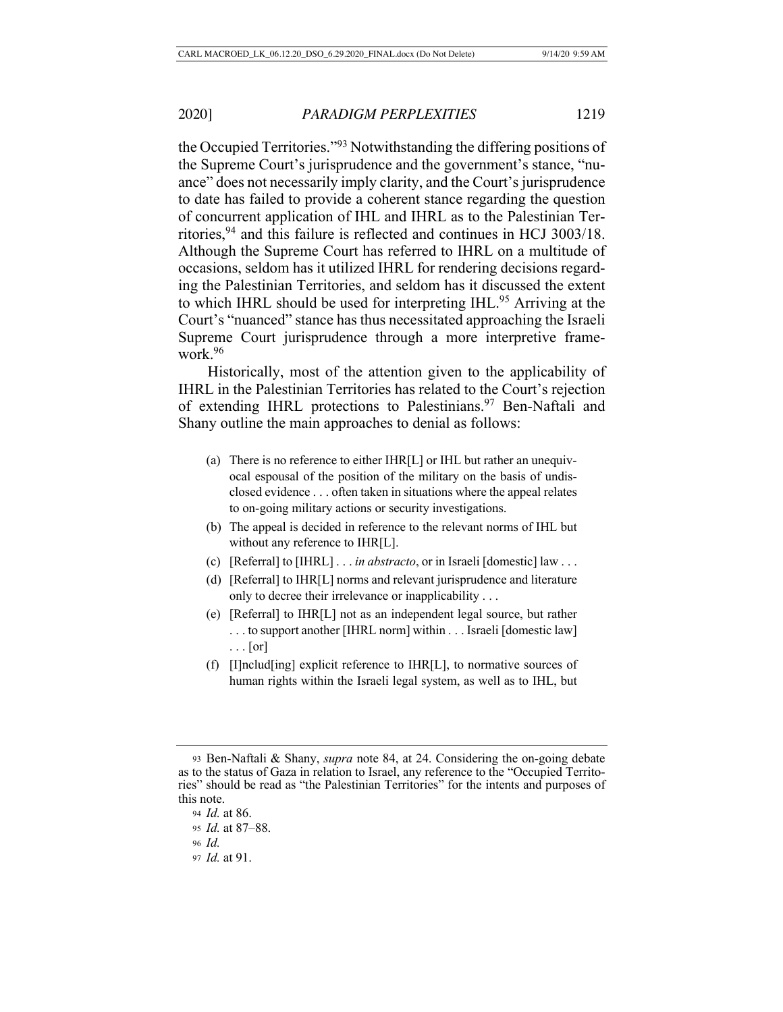the Occupied Territories."93 Notwithstanding the differing positions of the Supreme Court's jurisprudence and the government's stance, "nuance" does not necessarily imply clarity, and the Court's jurisprudence to date has failed to provide a coherent stance regarding the question of concurrent application of IHL and IHRL as to the Palestinian Territories,94 and this failure is reflected and continues in HCJ 3003/18. Although the Supreme Court has referred to IHRL on a multitude of occasions, seldom has it utilized IHRL for rendering decisions regarding the Palestinian Territories, and seldom has it discussed the extent to which IHRL should be used for interpreting IHL.<sup>95</sup> Arriving at the Court's "nuanced" stance has thus necessitated approaching the Israeli Supreme Court jurisprudence through a more interpretive framework.96

Historically, most of the attention given to the applicability of IHRL in the Palestinian Territories has related to the Court's rejection of extending IHRL protections to Palestinians.<sup>97</sup> Ben-Naftali and Shany outline the main approaches to denial as follows:

- (a) There is no reference to either IHR[L] or IHL but rather an unequivocal espousal of the position of the military on the basis of undisclosed evidence . . . often taken in situations where the appeal relates to on-going military actions or security investigations.
- (b) The appeal is decided in reference to the relevant norms of IHL but without any reference to IHR[L].
- (c) [Referral] to [IHRL] . . . *in abstracto*, or in Israeli [domestic] law . . .
- (d) [Referral] to IHR[L] norms and relevant jurisprudence and literature only to decree their irrelevance or inapplicability . . .
- (e) [Referral] to IHR[L] not as an independent legal source, but rather . . . to support another [IHRL norm] within . . . Israeli [domestic law] . . . [or]
- (f) [I]nclud[ing] explicit reference to IHR[L], to normative sources of human rights within the Israeli legal system, as well as to IHL, but

<sup>97</sup> *Id.* at 91.

<sup>93</sup> Ben-Naftali & Shany, *supra* note 84, at 24. Considering the on-going debate as to the status of Gaza in relation to Israel, any reference to the "Occupied Territories" should be read as "the Palestinian Territories" for the intents and purposes of this note.

<sup>94</sup> *Id.* at 86.

<sup>95</sup> *Id.* at 87–88.

<sup>96</sup> *Id.*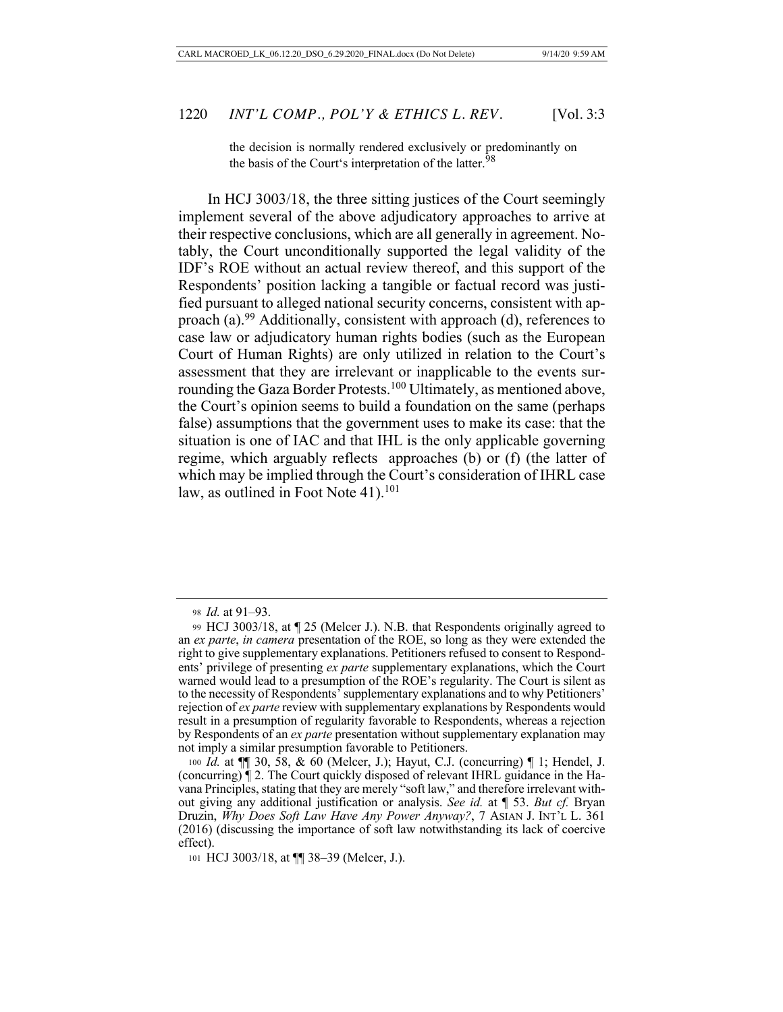the decision is normally rendered exclusively or predominantly on the basis of the Court's interpretation of the latter.<sup>98</sup>

In HCJ 3003/18, the three sitting justices of the Court seemingly implement several of the above adjudicatory approaches to arrive at their respective conclusions, which are all generally in agreement. Notably, the Court unconditionally supported the legal validity of the IDF's ROE without an actual review thereof, and this support of the Respondents' position lacking a tangible or factual record was justified pursuant to alleged national security concerns, consistent with approach (a).99 Additionally, consistent with approach (d), references to case law or adjudicatory human rights bodies (such as the European Court of Human Rights) are only utilized in relation to the Court's assessment that they are irrelevant or inapplicable to the events surrounding the Gaza Border Protests.<sup>100</sup> Ultimately, as mentioned above, the Court's opinion seems to build a foundation on the same (perhaps false) assumptions that the government uses to make its case: that the situation is one of IAC and that IHL is the only applicable governing regime, which arguably reflects approaches (b) or (f) (the latter of which may be implied through the Court's consideration of IHRL case law, as outlined in Foot Note  $41$ ).<sup>101</sup>

<sup>98</sup> *Id.* at 91–93.

<sup>99</sup> HCJ 3003/18, at ¶ 25 (Melcer J.). N.B. that Respondents originally agreed to an *ex parte*, *in camera* presentation of the ROE, so long as they were extended the right to give supplementary explanations. Petitioners refused to consent to Respondents' privilege of presenting *ex parte* supplementary explanations, which the Court warned would lead to a presumption of the ROE's regularity. The Court is silent as to the necessity of Respondents' supplementary explanations and to why Petitioners' rejection of *ex parte* review with supplementary explanations by Respondents would result in a presumption of regularity favorable to Respondents, whereas a rejection by Respondents of an *ex parte* presentation without supplementary explanation may not imply a similar presumption favorable to Petitioners.

<sup>100</sup> *Id.* at ¶¶ 30, 58, & 60 (Melcer, J.); Hayut, C.J. (concurring) ¶ 1; Hendel, J. (concurring) ¶ 2. The Court quickly disposed of relevant IHRL guidance in the Havana Principles, stating that they are merely "soft law," and therefore irrelevant without giving any additional justification or analysis. *See id.* at ¶ 53. *But cf.* Bryan Druzin, *Why Does Soft Law Have Any Power Anyway?*, 7 ASIAN J. INT'L L. 361 (2016) (discussing the importance of soft law notwithstanding its lack of coercive effect).

<sup>101</sup> HCJ 3003/18, at  $\P$  38–39 (Melcer, J.).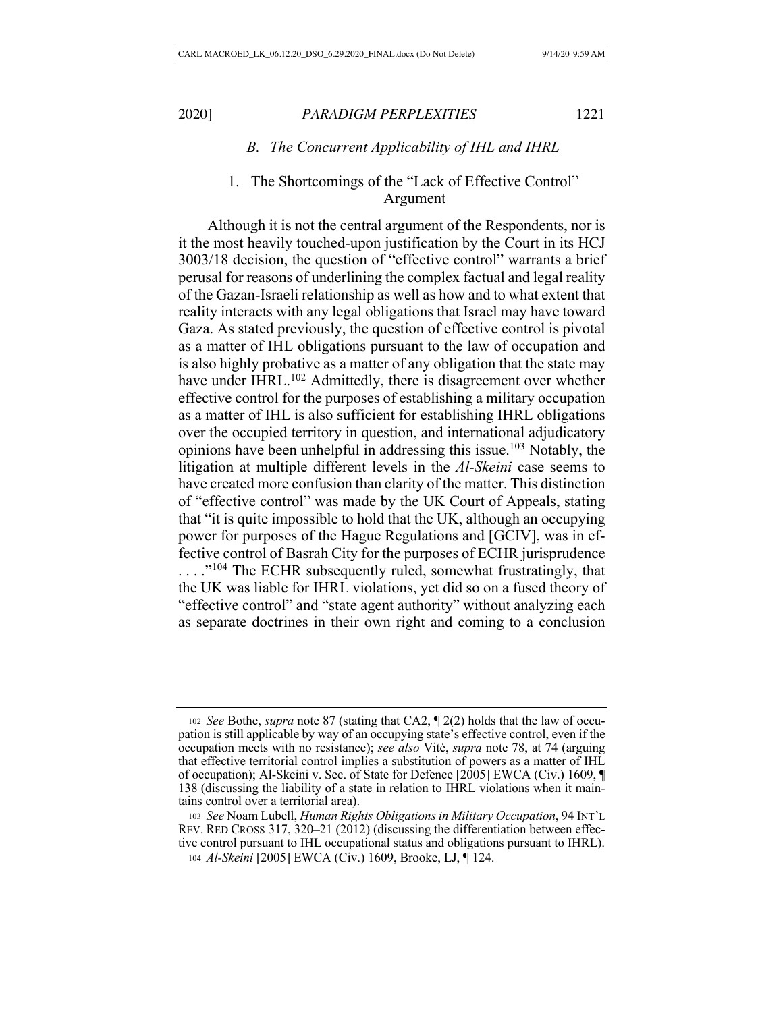# *B. The Concurrent Applicability of IHL and IHRL*

# 1. The Shortcomings of the "Lack of Effective Control" Argument

Although it is not the central argument of the Respondents, nor is it the most heavily touched-upon justification by the Court in its HCJ 3003/18 decision, the question of "effective control" warrants a brief perusal for reasons of underlining the complex factual and legal reality of the Gazan-Israeli relationship as well as how and to what extent that reality interacts with any legal obligations that Israel may have toward Gaza. As stated previously, the question of effective control is pivotal as a matter of IHL obligations pursuant to the law of occupation and is also highly probative as a matter of any obligation that the state may have under IHRL.<sup>102</sup> Admittedly, there is disagreement over whether effective control for the purposes of establishing a military occupation as a matter of IHL is also sufficient for establishing IHRL obligations over the occupied territory in question, and international adjudicatory opinions have been unhelpful in addressing this issue.103 Notably, the litigation at multiple different levels in the *Al-Skeini* case seems to have created more confusion than clarity of the matter. This distinction of "effective control" was made by the UK Court of Appeals, stating that "it is quite impossible to hold that the UK, although an occupying power for purposes of the Hague Regulations and [GCIV], was in effective control of Basrah City for the purposes of ECHR jurisprudence ...."<sup>104</sup> The ECHR subsequently ruled, somewhat frustratingly, that the UK was liable for IHRL violations, yet did so on a fused theory of "effective control" and "state agent authority" without analyzing each as separate doctrines in their own right and coming to a conclusion

<sup>102</sup> *See* Bothe, *supra* note 87 (stating that CA2, ¶ 2(2) holds that the law of occupation is still applicable by way of an occupying state's effective control, even if the occupation meets with no resistance); *see also* Vité, *supra* note 78, at 74 (arguing that effective territorial control implies a substitution of powers as a matter of IHL of occupation); Al-Skeini v. Sec. of State for Defence [2005] EWCA (Civ.) 1609, ¶ 138 (discussing the liability of a state in relation to IHRL violations when it maintains control over a territorial area).

<sup>103</sup> *See* Noam Lubell, *Human Rights Obligations in Military Occupation*, 94 INT'L REV. RED CROSS 317, 320–21 (2012) (discussing the differentiation between effective control pursuant to IHL occupational status and obligations pursuant to IHRL). <sup>104</sup> *Al-Skeini* [2005] EWCA (Civ.) 1609, Brooke, LJ, ¶ 124.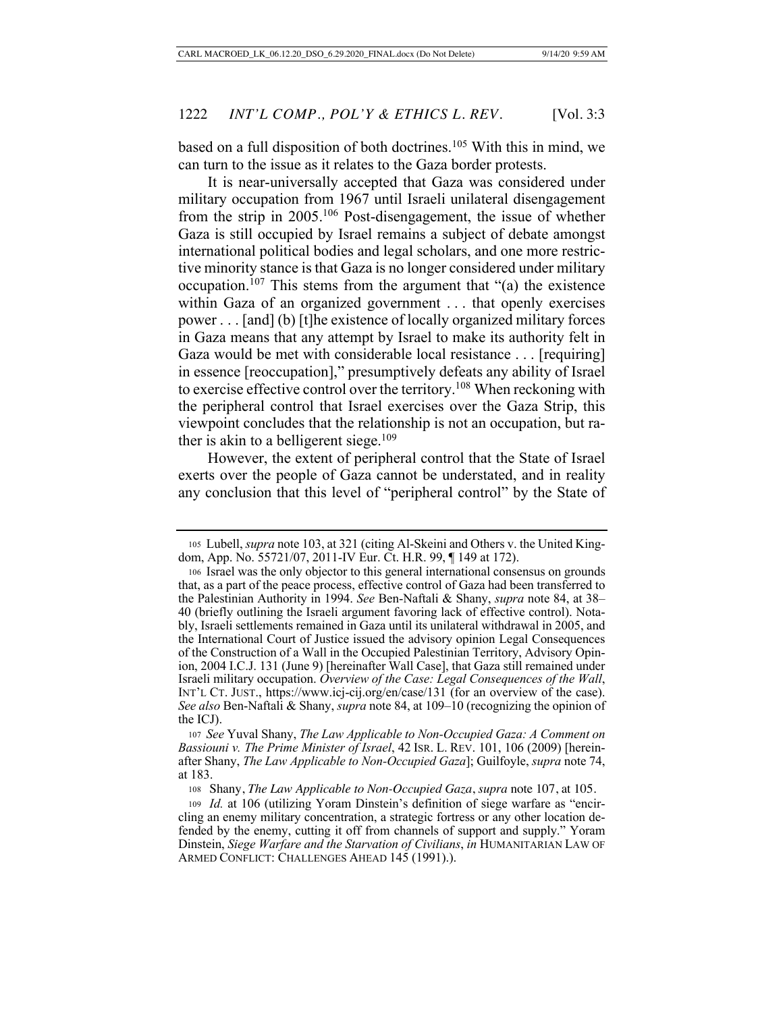based on a full disposition of both doctrines.<sup>105</sup> With this in mind, we can turn to the issue as it relates to the Gaza border protests.

It is near-universally accepted that Gaza was considered under military occupation from 1967 until Israeli unilateral disengagement from the strip in  $2005$ .<sup>106</sup> Post-disengagement, the issue of whether Gaza is still occupied by Israel remains a subject of debate amongst international political bodies and legal scholars, and one more restrictive minority stance is that Gaza is no longer considered under military occupation.<sup>107</sup> This stems from the argument that "(a) the existence within Gaza of an organized government . . . that openly exercises power . . . [and] (b) [t]he existence of locally organized military forces in Gaza means that any attempt by Israel to make its authority felt in Gaza would be met with considerable local resistance . . . [requiring] in essence [reoccupation]," presumptively defeats any ability of Israel to exercise effective control over the territory.108 When reckoning with the peripheral control that Israel exercises over the Gaza Strip, this viewpoint concludes that the relationship is not an occupation, but rather is akin to a belligerent siege.<sup>109</sup>

However, the extent of peripheral control that the State of Israel exerts over the people of Gaza cannot be understated, and in reality any conclusion that this level of "peripheral control" by the State of

<sup>107</sup> *See* Yuval Shany, *The Law Applicable to Non-Occupied Gaza: A Comment on Bassiouni v. The Prime Minister of Israel*, 42 ISR. L. REV. 101, 106 (2009) [hereinafter Shany, *The Law Applicable to Non-Occupied Gaza*]; Guilfoyle, *supra* note 74, at 183.

<sup>108</sup> Shany, *The Law Applicable to Non-Occupied Gaza*, *supra* note 107, at 105.

<sup>105</sup> Lubell, *supra* note 103, at 321 (citing Al-Skeini and Others v. the United Kingdom, App. No. 55721/07, 2011-IV Eur. Ct. H.R. 99, ¶ 149 at 172).

<sup>106</sup> Israel was the only objector to this general international consensus on grounds that, as a part of the peace process, effective control of Gaza had been transferred to the Palestinian Authority in 1994. *See* Ben-Naftali & Shany, *supra* note 84, at 38– 40 (briefly outlining the Israeli argument favoring lack of effective control). Notably, Israeli settlements remained in Gaza until its unilateral withdrawal in 2005, and the International Court of Justice issued the advisory opinion Legal Consequences of the Construction of a Wall in the Occupied Palestinian Territory, Advisory Opinion, 2004 I.C.J. 131 (June 9) [hereinafter Wall Case], that Gaza still remained under Israeli military occupation. *Overview of the Case: Legal Consequences of the Wall*, INT'L CT. JUST., https://www.icj-cij.org/en/case/131 (for an overview of the case). *See also* Ben-Naftali & Shany, *supra* note 84, at 109–10 (recognizing the opinion of the ICJ).

<sup>109</sup> *Id.* at 106 (utilizing Yoram Dinstein's definition of siege warfare as "encircling an enemy military concentration, a strategic fortress or any other location defended by the enemy, cutting it off from channels of support and supply." Yoram Dinstein, *Siege Warfare and the Starvation of Civilians*, *in* HUMANITARIAN LAW OF ARMED CONFLICT: CHALLENGES AHEAD 145 (1991).).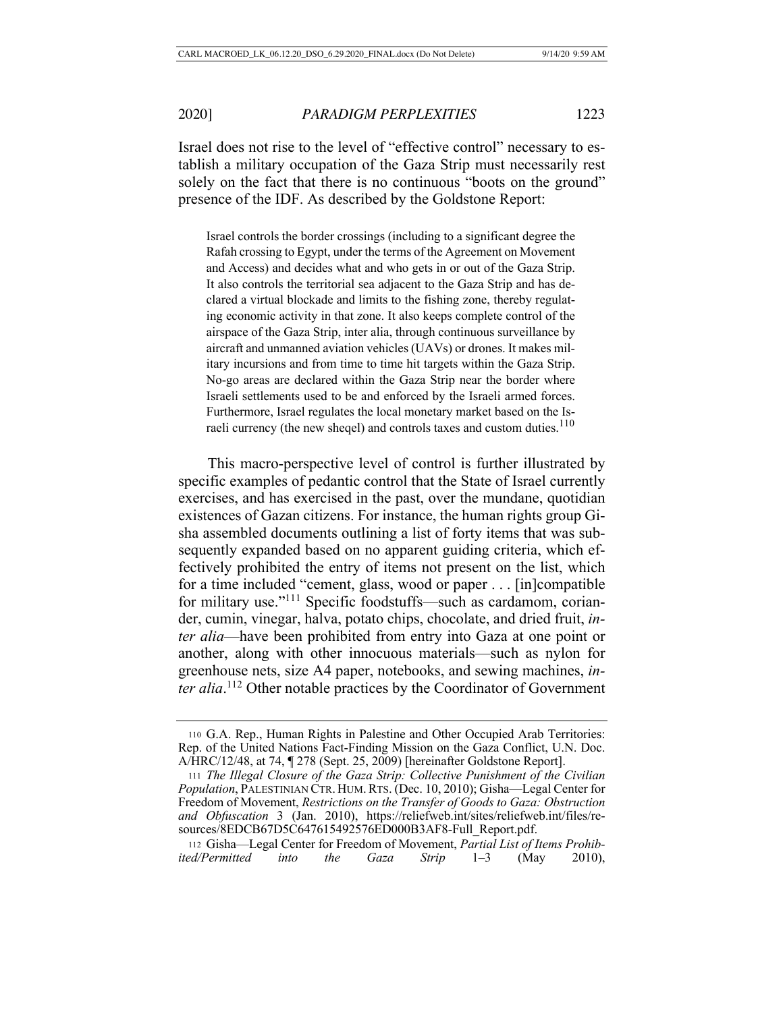Israel does not rise to the level of "effective control" necessary to establish a military occupation of the Gaza Strip must necessarily rest solely on the fact that there is no continuous "boots on the ground" presence of the IDF. As described by the Goldstone Report:

Israel controls the border crossings (including to a significant degree the Rafah crossing to Egypt, under the terms of the Agreement on Movement and Access) and decides what and who gets in or out of the Gaza Strip. It also controls the territorial sea adjacent to the Gaza Strip and has declared a virtual blockade and limits to the fishing zone, thereby regulating economic activity in that zone. It also keeps complete control of the airspace of the Gaza Strip, inter alia, through continuous surveillance by aircraft and unmanned aviation vehicles (UAVs) or drones. It makes military incursions and from time to time hit targets within the Gaza Strip. No-go areas are declared within the Gaza Strip near the border where Israeli settlements used to be and enforced by the Israeli armed forces. Furthermore, Israel regulates the local monetary market based on the Israeli currency (the new sheqel) and controls taxes and custom duties.<sup>110</sup>

This macro-perspective level of control is further illustrated by specific examples of pedantic control that the State of Israel currently exercises, and has exercised in the past, over the mundane, quotidian existences of Gazan citizens. For instance, the human rights group Gisha assembled documents outlining a list of forty items that was subsequently expanded based on no apparent guiding criteria, which effectively prohibited the entry of items not present on the list, which for a time included "cement, glass, wood or paper . . . [in]compatible for military use."111 Specific foodstuffs—such as cardamom, coriander, cumin, vinegar, halva, potato chips, chocolate, and dried fruit, *inter alia*—have been prohibited from entry into Gaza at one point or another, along with other innocuous materials—such as nylon for greenhouse nets, size A4 paper, notebooks, and sewing machines, *inter alia*. 112 Other notable practices by the Coordinator of Government

<sup>110</sup> G.A. Rep., Human Rights in Palestine and Other Occupied Arab Territories: Rep. of the United Nations Fact-Finding Mission on the Gaza Conflict, U.N. Doc. A/HRC/12/48, at 74, ¶ 278 (Sept. 25, 2009) [hereinafter Goldstone Report].

<sup>111</sup> *The Illegal Closure of the Gaza Strip: Collective Punishment of the Civilian Population*, PALESTINIAN CTR. HUM.RTS. (Dec. 10, 2010); Gisha—Legal Center for Freedom of Movement, *Restrictions on the Transfer of Goods to Gaza: Obstruction and Obfuscation* 3 (Jan. 2010), https://reliefweb.int/sites/reliefweb.int/files/resources/8EDCB67D5C647615492576ED000B3AF8-Full\_Report.pdf.

<sup>112</sup> Gisha—Legal Center for Freedom of Movement, *Partial List of Items Prohibited/Permitted into the Gaza Strip* 1–3 (May 2010),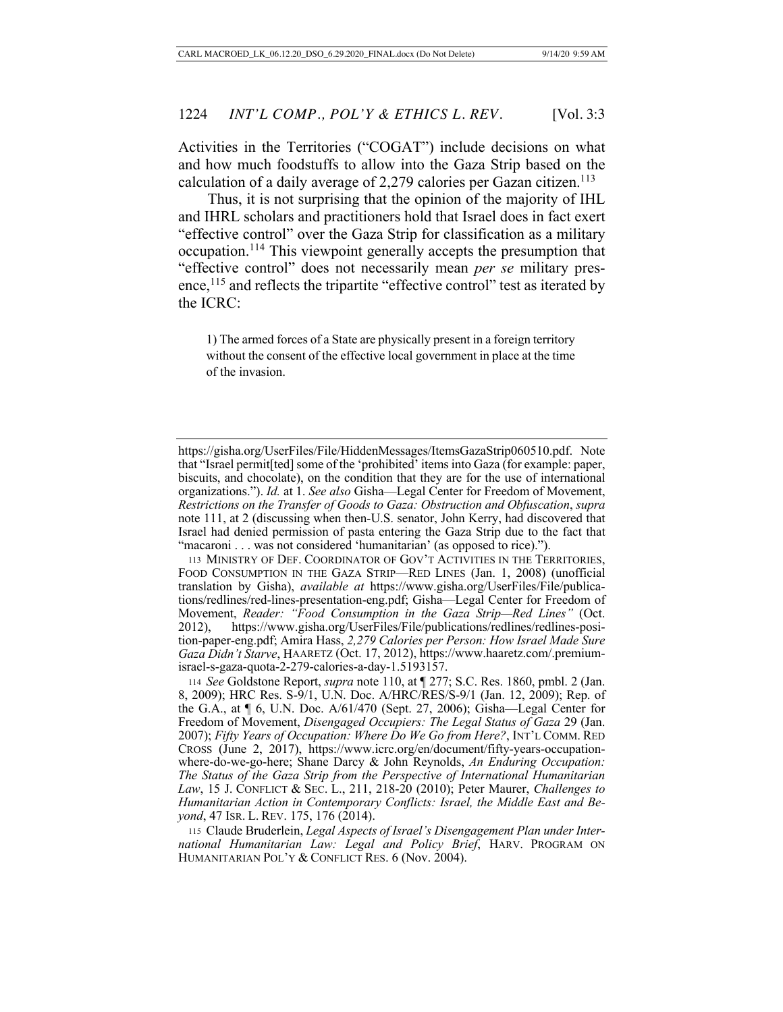Activities in the Territories ("COGAT") include decisions on what and how much foodstuffs to allow into the Gaza Strip based on the calculation of a daily average of  $2,279$  calories per Gazan citizen.<sup>113</sup>

Thus, it is not surprising that the opinion of the majority of IHL and IHRL scholars and practitioners hold that Israel does in fact exert "effective control" over the Gaza Strip for classification as a military occupation.114 This viewpoint generally accepts the presumption that "effective control" does not necessarily mean *per se* military presence,<sup>115</sup> and reflects the tripartite "effective control" test as iterated by the ICRC:

1) The armed forces of a State are physically present in a foreign territory without the consent of the effective local government in place at the time of the invasion.

https://gisha.org/UserFiles/File/HiddenMessages/ItemsGazaStrip060510.pdf. Note that "Israel permit[ted] some of the 'prohibited' items into Gaza (for example: paper, biscuits, and chocolate), on the condition that they are for the use of international organizations."). *Id.* at 1. *See also* Gisha—Legal Center for Freedom of Movement, *Restrictions on the Transfer of Goods to Gaza: Obstruction and Obfuscation*, *supra* note 111, at 2 (discussing when then-U.S. senator, John Kerry, had discovered that Israel had denied permission of pasta entering the Gaza Strip due to the fact that "macaroni . . . was not considered 'humanitarian' (as opposed to rice).").

<sup>113</sup> MINISTRY OF DEF. COORDINATOR OF GOV'T ACTIVITIES IN THE TERRITORIES, FOOD CONSUMPTION IN THE GAZA STRIP—RED LINES (Jan. 1, 2008) (unofficial translation by Gisha), *available at* https://www.gisha.org/UserFiles/File/publications/redlines/red-lines-presentation-eng.pdf; Gisha—Legal Center for Freedom of Movement, *Reader: "Food Consumption in the Gaza Strip—Red Lines"* (Oct. 2012), https://www.gisha.org/UserFiles/File/publications/redlines/redlines-position-paper-eng.pdf; Amira Hass, *2,279 Calories per Person: How Israel Made Sure Gaza Didn't Starve*, HAARETZ (Oct. 17, 2012), https://www.haaretz.com/.premiumisrael-s-gaza-quota-2-279-calories-a-day-1.5193157.

<sup>114</sup> *See* Goldstone Report, *supra* note 110, at ¶ 277; S.C. Res. 1860, pmbl. 2 (Jan. 8, 2009); HRC Res. S-9/1, U.N. Doc. A/HRC/RES/S-9/1 (Jan. 12, 2009); Rep. of the G.A., at ¶ 6, U.N. Doc. A/61/470 (Sept. 27, 2006); Gisha—Legal Center for Freedom of Movement, *Disengaged Occupiers: The Legal Status of Gaza* 29 (Jan. 2007); *Fifty Years of Occupation: Where Do We Go from Here?*, INT'L COMM. RED CROSS (June 2, 2017), https://www.icrc.org/en/document/fifty-years-occupationwhere-do-we-go-here; Shane Darcy & John Reynolds, *An Enduring Occupation: The Status of the Gaza Strip from the Perspective of International Humanitarian Law*, 15 J. CONFLICT & SEC. L., 211, 218-20 (2010); Peter Maurer, *Challenges to Humanitarian Action in Contemporary Conflicts: Israel, the Middle East and Beyond*, 47 ISR. L. REV. 175, 176 (2014).

<sup>115</sup> Claude Bruderlein, *Legal Aspects of Israel's Disengagement Plan under International Humanitarian Law: Legal and Policy Brief*, HARV. PROGRAM ON HUMANITARIAN POL'Y & CONFLICT RES. 6 (Nov. 2004).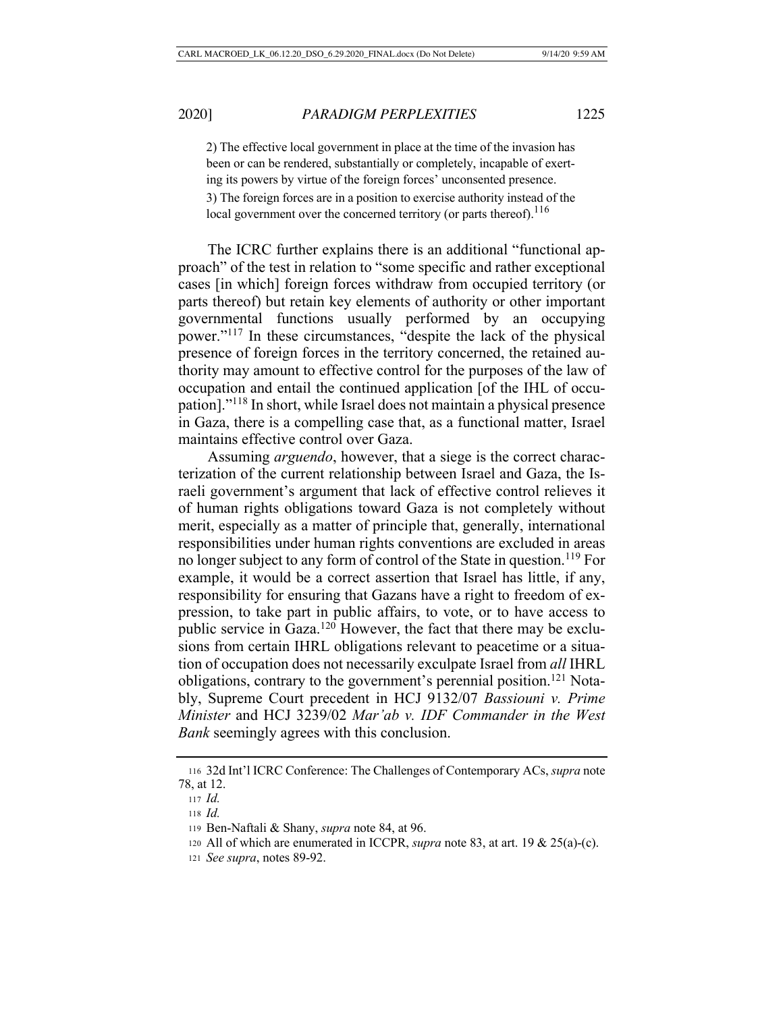2) The effective local government in place at the time of the invasion has been or can be rendered, substantially or completely, incapable of exerting its powers by virtue of the foreign forces' unconsented presence. 3) The foreign forces are in a position to exercise authority instead of the local government over the concerned territory (or parts thereof).<sup>116</sup>

The ICRC further explains there is an additional "functional approach" of the test in relation to "some specific and rather exceptional cases [in which] foreign forces withdraw from occupied territory (or parts thereof) but retain key elements of authority or other important governmental functions usually performed by an occupying power."117 In these circumstances, "despite the lack of the physical presence of foreign forces in the territory concerned, the retained authority may amount to effective control for the purposes of the law of occupation and entail the continued application [of the IHL of occupation]."118 In short, while Israel does not maintain a physical presence in Gaza, there is a compelling case that, as a functional matter, Israel maintains effective control over Gaza.

Assuming *arguendo*, however, that a siege is the correct characterization of the current relationship between Israel and Gaza, the Israeli government's argument that lack of effective control relieves it of human rights obligations toward Gaza is not completely without merit, especially as a matter of principle that, generally, international responsibilities under human rights conventions are excluded in areas no longer subject to any form of control of the State in question.119 For example, it would be a correct assertion that Israel has little, if any, responsibility for ensuring that Gazans have a right to freedom of expression, to take part in public affairs, to vote, or to have access to public service in Gaza.<sup>120</sup> However, the fact that there may be exclusions from certain IHRL obligations relevant to peacetime or a situation of occupation does not necessarily exculpate Israel from *all* IHRL obligations, contrary to the government's perennial position.<sup>121</sup> Notably, Supreme Court precedent in HCJ 9132/07 *Bassiouni v. Prime Minister* and HCJ 3239/02 *Mar'ab v. IDF Commander in the West Bank* seemingly agrees with this conclusion.

<sup>116</sup> 32d Int'l ICRC Conference: The Challenges of Contemporary ACs, *supra* note 78, at 12.

<sup>117</sup> *Id.*

<sup>118</sup> *Id.*

<sup>119</sup> Ben-Naftali & Shany, *supra* note 84, at 96.

<sup>120</sup> All of which are enumerated in ICCPR, *supra* note 83, at art. 19 & 25(a)-(c).

<sup>121</sup> *See supra*, notes 89-92.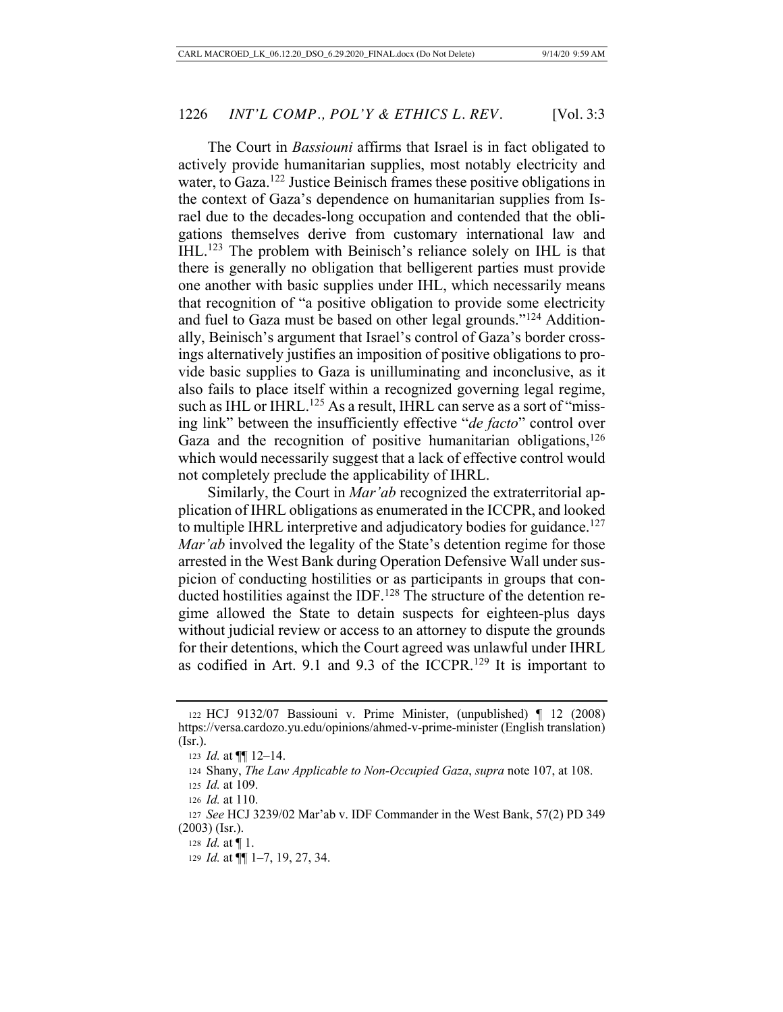The Court in *Bassiouni* affirms that Israel is in fact obligated to actively provide humanitarian supplies, most notably electricity and water, to Gaza.<sup>122</sup> Justice Beinisch frames these positive obligations in the context of Gaza's dependence on humanitarian supplies from Israel due to the decades-long occupation and contended that the obligations themselves derive from customary international law and IHL.123 The problem with Beinisch's reliance solely on IHL is that there is generally no obligation that belligerent parties must provide one another with basic supplies under IHL, which necessarily means that recognition of "a positive obligation to provide some electricity and fuel to Gaza must be based on other legal grounds."124 Additionally, Beinisch's argument that Israel's control of Gaza's border crossings alternatively justifies an imposition of positive obligations to provide basic supplies to Gaza is unilluminating and inconclusive, as it also fails to place itself within a recognized governing legal regime, such as IHL or IHRL.<sup>125</sup> As a result, IHRL can serve as a sort of "missing link" between the insufficiently effective "*de facto*" control over Gaza and the recognition of positive humanitarian obligations,  $126$ which would necessarily suggest that a lack of effective control would not completely preclude the applicability of IHRL.

Similarly, the Court in *Mar'ab* recognized the extraterritorial application of IHRL obligations as enumerated in the ICCPR, and looked to multiple IHRL interpretive and adjudicatory bodies for guidance.<sup>127</sup> *Mar'ab* involved the legality of the State's detention regime for those arrested in the West Bank during Operation Defensive Wall under suspicion of conducting hostilities or as participants in groups that conducted hostilities against the IDF.<sup>128</sup> The structure of the detention regime allowed the State to detain suspects for eighteen-plus days without judicial review or access to an attorney to dispute the grounds for their detentions, which the Court agreed was unlawful under IHRL as codified in Art. 9.1 and 9.3 of the ICCPR.<sup>129</sup> It is important to

<sup>122</sup> HCJ 9132/07 Bassiouni v. Prime Minister, (unpublished) ¶ 12 (2008) https://versa.cardozo.yu.edu/opinions/ahmed-v-prime-minister (English translation) (Isr.).

<sup>123</sup> *Id.* at ¶¶ 12–14.

<sup>124</sup> Shany, *The Law Applicable to Non-Occupied Gaza*, *supra* note 107, at 108.

<sup>125</sup> *Id.* at 109.

<sup>126</sup> *Id.* at 110.

<sup>127</sup> *See* HCJ 3239/02 Mar'ab v. IDF Commander in the West Bank, 57(2) PD 349 (2003) (Isr.).

<sup>128</sup> *Id.* at ¶ 1.

<sup>129</sup> *Id.* at ¶¶ 1–7, 19, 27, 34.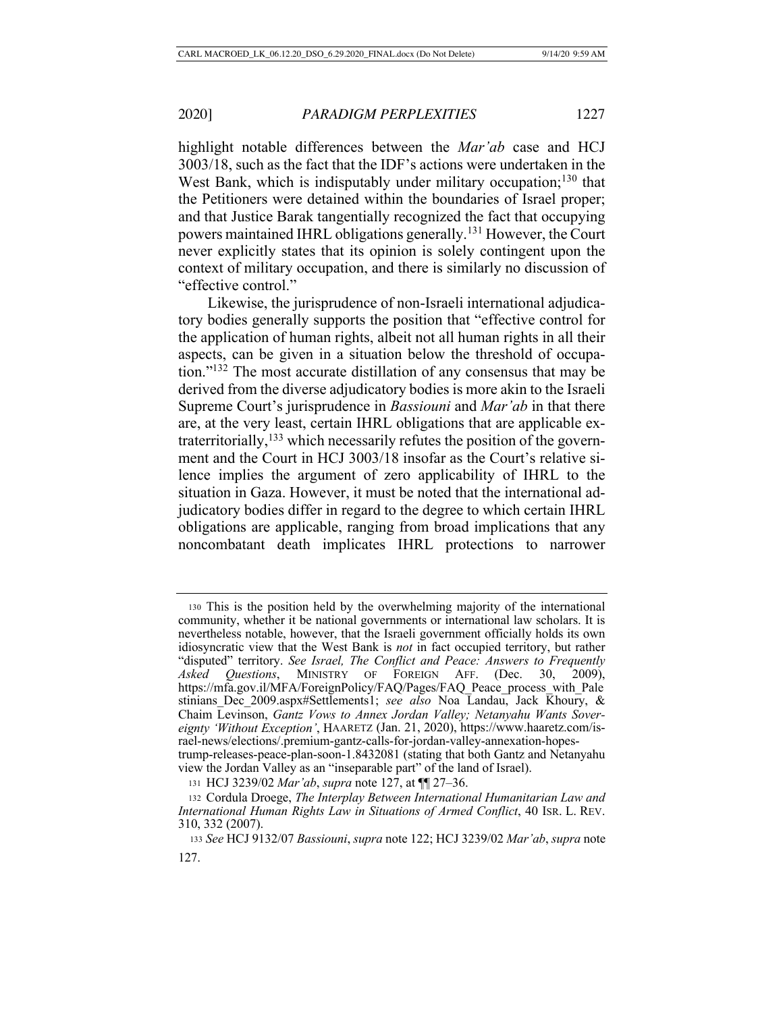highlight notable differences between the *Mar'ab* case and HCJ 3003/18, such as the fact that the IDF's actions were undertaken in the West Bank, which is indisputably under military occupation;<sup>130</sup> that the Petitioners were detained within the boundaries of Israel proper; and that Justice Barak tangentially recognized the fact that occupying powers maintained IHRL obligations generally.131 However, the Court never explicitly states that its opinion is solely contingent upon the context of military occupation, and there is similarly no discussion of "effective control."

Likewise, the jurisprudence of non-Israeli international adjudicatory bodies generally supports the position that "effective control for the application of human rights, albeit not all human rights in all their aspects, can be given in a situation below the threshold of occupation."132 The most accurate distillation of any consensus that may be derived from the diverse adjudicatory bodies is more akin to the Israeli Supreme Court's jurisprudence in *Bassiouni* and *Mar'ab* in that there are, at the very least, certain IHRL obligations that are applicable extraterritorially, $133$  which necessarily refutes the position of the government and the Court in HCJ 3003/18 insofar as the Court's relative silence implies the argument of zero applicability of IHRL to the situation in Gaza. However, it must be noted that the international adjudicatory bodies differ in regard to the degree to which certain IHRL obligations are applicable, ranging from broad implications that any noncombatant death implicates IHRL protections to narrower

<sup>130</sup> This is the position held by the overwhelming majority of the international community, whether it be national governments or international law scholars. It is nevertheless notable, however, that the Israeli government officially holds its own idiosyncratic view that the West Bank is *not* in fact occupied territory, but rather "disputed" territory. *See Israel, The Conflict and Peace: Answers to Frequently Asked Questions*, MINISTRY OF FOREIGN AFF. (Dec. 30, 2009), https://mfa.gov.il/MFA/ForeignPolicy/FAQ/Pages/FAQ\_Peace\_process\_with\_Pale stinians\_Dec\_2009.aspx#Settlements1; *see also* Noa Landau, Jack Khoury, & Chaim Levinson, *Gantz Vows to Annex Jordan Valley; Netanyahu Wants Sovereignty 'Without Exception'*, HAARETZ (Jan. 21, 2020), https://www.haaretz.com/israel-news/elections/.premium-gantz-calls-for-jordan-valley-annexation-hopestrump-releases-peace-plan-soon-1.8432081 (stating that both Gantz and Netanyahu view the Jordan Valley as an "inseparable part" of the land of Israel).

<sup>131</sup> HCJ 3239/02 *Mar'ab*, *supra* note 127, at ¶¶ 27–36.

<sup>132</sup> Cordula Droege, *The Interplay Between International Humanitarian Law and International Human Rights Law in Situations of Armed Conflict*, 40 ISR. L. REV. 310, 332 (2007).

<sup>133</sup> *See* HCJ 9132/07 *Bassiouni*, *supra* note 122; HCJ 3239/02 *Mar'ab*, *supra* note 127.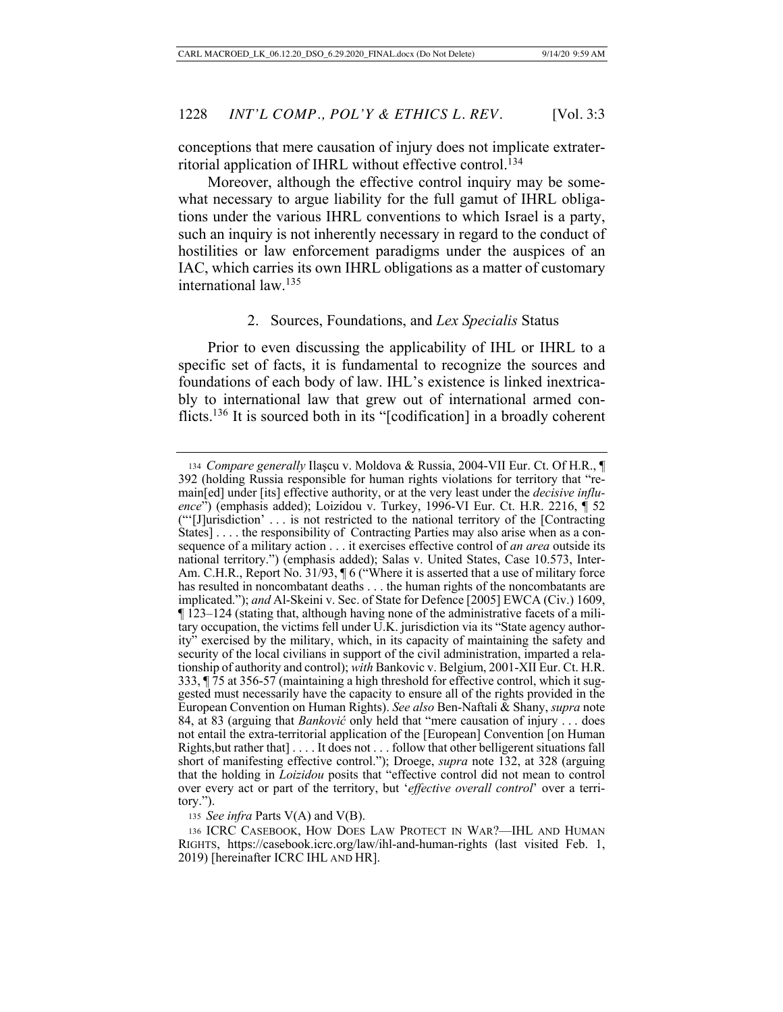conceptions that mere causation of injury does not implicate extraterritorial application of IHRL without effective control.134

Moreover, although the effective control inquiry may be somewhat necessary to argue liability for the full gamut of IHRL obligations under the various IHRL conventions to which Israel is a party, such an inquiry is not inherently necessary in regard to the conduct of hostilities or law enforcement paradigms under the auspices of an IAC, which carries its own IHRL obligations as a matter of customary international law.135

#### 2. Sources, Foundations, and *Lex Specialis* Status

Prior to even discussing the applicability of IHL or IHRL to a specific set of facts, it is fundamental to recognize the sources and foundations of each body of law. IHL's existence is linked inextricably to international law that grew out of international armed conflicts.136 It is sourced both in its "[codification] in a broadly coherent

<sup>135</sup> *See infra* Parts V(A) and V(B).

<sup>134</sup> *Compare generally* Ilaşcu v. Moldova & Russia, 2004-VII Eur. Ct. Of H.R., ¶ 392 (holding Russia responsible for human rights violations for territory that "remain[ed] under [its] effective authority, or at the very least under the *decisive influence*") (emphasis added); Loizidou v. Turkey, 1996-VI Eur. Ct. H.R. 2216, ¶ 52 ("'[J]urisdiction' . . . is not restricted to the national territory of the [Contracting States] . . . . the responsibility of Contracting Parties may also arise when as a consequence of a military action . . . it exercises effective control of *an area* outside its national territory.") (emphasis added); Salas v. United States, Case 10.573, Inter-Am. C.H.R., Report No. 31/93,  $\frac{1}{16}$  ("Where it is asserted that a use of military force has resulted in noncombatant deaths . . . the human rights of the noncombatants are implicated."); *and* Al-Skeini v. Sec. of State for Defence [2005] EWCA (Civ.) 1609, ¶ 123–124 (stating that, although having none of the administrative facets of a military occupation, the victims fell under U.K. jurisdiction via its "State agency authority" exercised by the military, which, in its capacity of maintaining the safety and security of the local civilians in support of the civil administration, imparted a relationship of authority and control); *with* Bankovic v. Belgium, 2001-XII Eur. Ct. H.R. 333, ¶ 75 at 356-57 (maintaining a high threshold for effective control, which it suggested must necessarily have the capacity to ensure all of the rights provided in the European Convention on Human Rights). *See also* Ben-Naftali & Shany, *supra* note 84, at 83 (arguing that *Banković* only held that "mere causation of injury . . . does not entail the extra-territorial application of the [European] Convention [on Human Rights,but rather that] . . . . It does not . . . follow that other belligerent situations fall short of manifesting effective control."); Droege, *supra* note 132, at 328 (arguing that the holding in *Loizidou* posits that "effective control did not mean to control over every act or part of the territory, but '*effective overall control*' over a territory.").

<sup>136</sup> ICRC CASEBOOK, HOW DOES LAW PROTECT IN WAR?—IHL AND HUMAN RIGHTS, https://casebook.icrc.org/law/ihl-and-human-rights (last visited Feb. 1, 2019) [hereinafter ICRC IHL AND HR].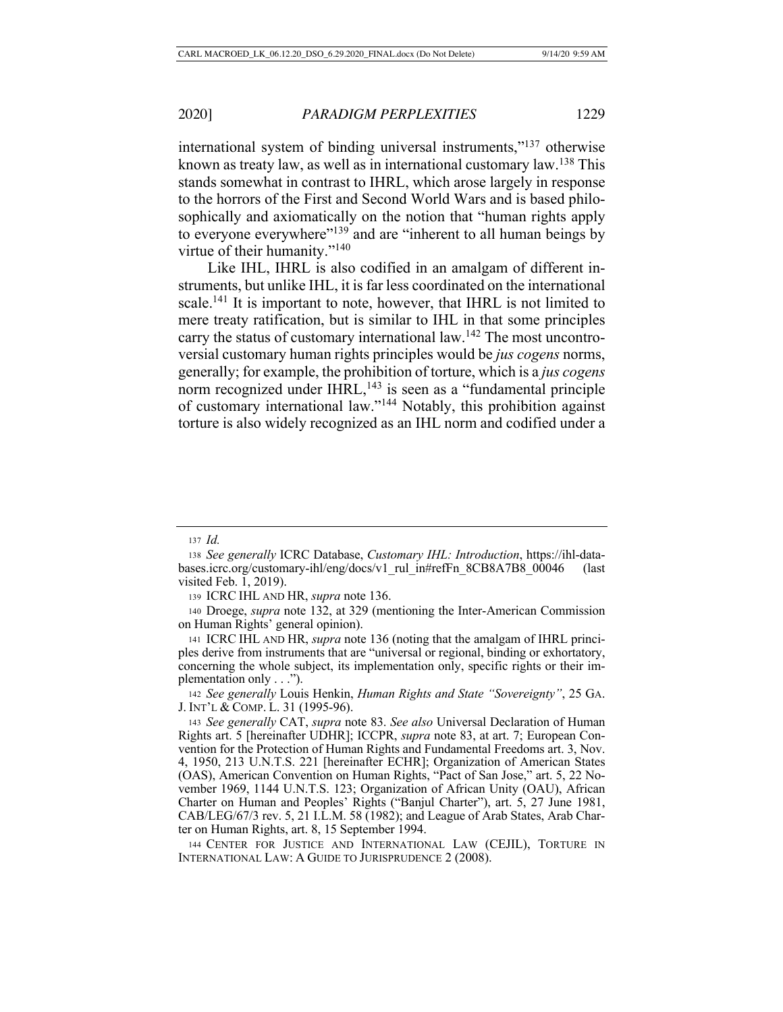international system of binding universal instruments,"137 otherwise known as treaty law, as well as in international customary law.138 This stands somewhat in contrast to IHRL, which arose largely in response to the horrors of the First and Second World Wars and is based philosophically and axiomatically on the notion that "human rights apply to everyone everywhere"<sup>139</sup> and are "inherent to all human beings by virtue of their humanity."<sup>140</sup>

Like IHL, IHRL is also codified in an amalgam of different instruments, but unlike IHL, it is far less coordinated on the international scale.<sup>141</sup> It is important to note, however, that IHRL is not limited to mere treaty ratification, but is similar to IHL in that some principles carry the status of customary international law.<sup>142</sup> The most uncontroversial customary human rights principles would be *jus cogens* norms, generally; for example, the prohibition of torture, which is a *jus cogens*  norm recognized under  $I HRL$ ,<sup>143</sup> is seen as a "fundamental principle of customary international law."144 Notably, this prohibition against torture is also widely recognized as an IHL norm and codified under a

<sup>137</sup> *Id.*

<sup>138</sup> *See generally* ICRC Database, *Customary IHL: Introduction*, https://ihl-databases.icrc.org/customary-ihl/eng/docs/v1\_rul\_in#refFn\_8CB8A7B8\_00046 (last visited Feb. 1, 2019).

<sup>139</sup> ICRC IHL AND HR, *supra* note 136.

<sup>140</sup> Droege, *supra* note 132, at 329 (mentioning the Inter-American Commission on Human Rights' general opinion).

<sup>141</sup> ICRC IHL AND HR, *supra* note 136 (noting that the amalgam of IHRL principles derive from instruments that are "universal or regional, binding or exhortatory, concerning the whole subject, its implementation only, specific rights or their implementation only . . .").

<sup>142</sup> *See generally* Louis Henkin, *Human Rights and State "Sovereignty"*, 25 GA. J. INT'L & COMP. L. 31 (1995-96).

<sup>143</sup> *See generally* CAT, *supra* note 83. *See also* Universal Declaration of Human Rights art. 5 [hereinafter UDHR]; ICCPR, *supra* note 83, at art. 7; European Convention for the Protection of Human Rights and Fundamental Freedoms art. 3, Nov. 4, 1950, 213 U.N.T.S. 221 [hereinafter ECHR]; Organization of American States (OAS), American Convention on Human Rights, "Pact of San Jose," art. 5, 22 November 1969, 1144 U.N.T.S. 123; Organization of African Unity (OAU), African Charter on Human and Peoples' Rights ("Banjul Charter"), art. 5, 27 June 1981, CAB/LEG/67/3 rev. 5, 21 I.L.M. 58 (1982); and League of Arab States, Arab Charter on Human Rights, art. 8, 15 September 1994.

<sup>144</sup> CENTER FOR JUSTICE AND INTERNATIONAL LAW (CEJIL), TORTURE IN INTERNATIONAL LAW: A GUIDE TO JURISPRUDENCE 2 (2008).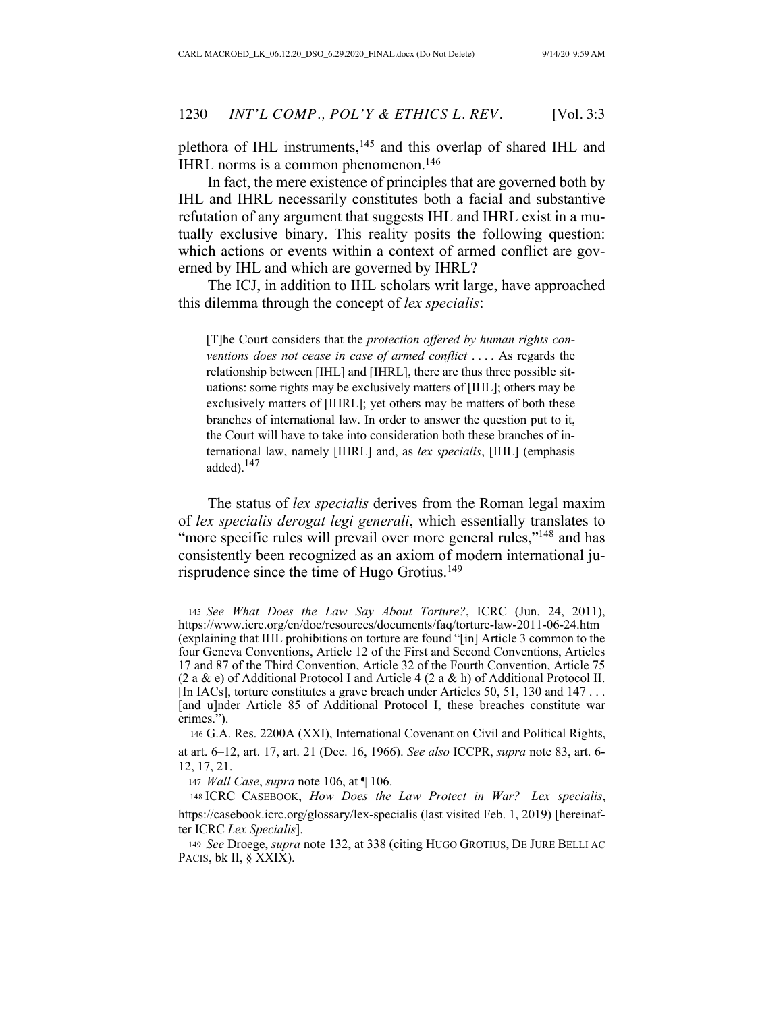plethora of IHL instruments,145 and this overlap of shared IHL and IHRL norms is a common phenomenon.146

In fact, the mere existence of principles that are governed both by IHL and IHRL necessarily constitutes both a facial and substantive refutation of any argument that suggests IHL and IHRL exist in a mutually exclusive binary. This reality posits the following question: which actions or events within a context of armed conflict are governed by IHL and which are governed by IHRL?

The ICJ, in addition to IHL scholars writ large, have approached this dilemma through the concept of *lex specialis*:

[T]he Court considers that the *protection offered by human rights conventions does not cease in case of armed conflict* . . . . As regards the relationship between [IHL] and [IHRL], there are thus three possible situations: some rights may be exclusively matters of [IHL]; others may be exclusively matters of [IHRL]; yet others may be matters of both these branches of international law. In order to answer the question put to it, the Court will have to take into consideration both these branches of international law, namely [IHRL] and, as *lex specialis*, [IHL] (emphasis added).<sup>147</sup>

The status of *lex specialis* derives from the Roman legal maxim of *lex specialis derogat legi generali*, which essentially translates to "more specific rules will prevail over more general rules,"<sup>148</sup> and has consistently been recognized as an axiom of modern international jurisprudence since the time of Hugo Grotius.<sup>149</sup>

<sup>145</sup> *See What Does the Law Say About Torture?*, ICRC (Jun. 24, 2011), https://www.icrc.org/en/doc/resources/documents/faq/torture-law-2011-06-24.htm (explaining that IHL prohibitions on torture are found "[in] Article 3 common to the four Geneva Conventions, Article 12 of the First and Second Conventions, Articles 17 and 87 of the Third Convention, Article 32 of the Fourth Convention, Article 75 (2 a & e) of Additional Protocol I and Article 4 (2 a & h) of Additional Protocol II. [In IACs], torture constitutes a grave breach under Articles 50, 51, 130 and 147 . . . [and u]nder Article 85 of Additional Protocol I, these breaches constitute war crimes.").

<sup>146</sup> G.A. Res. 2200A (XXI), International Covenant on Civil and Political Rights, at art. 6–12, art. 17, art. 21 (Dec. 16, 1966). *See also* ICCPR, *supra* note 83, art. 6- 12, 17, 21.

<sup>147</sup> *Wall Case*, *supra* note 106, at ¶ 106.

<sup>148</sup> ICRC CASEBOOK, *How Does the Law Protect in War?—Lex specialis*, https://casebook.icrc.org/glossary/lex-specialis (last visited Feb. 1, 2019) [hereinafter ICRC *Lex Specialis*].

<sup>149</sup> *See* Droege, *supra* note 132, at 338 (citing HUGO GROTIUS, DE JURE BELLI AC PACIS, bk II, § XXIX).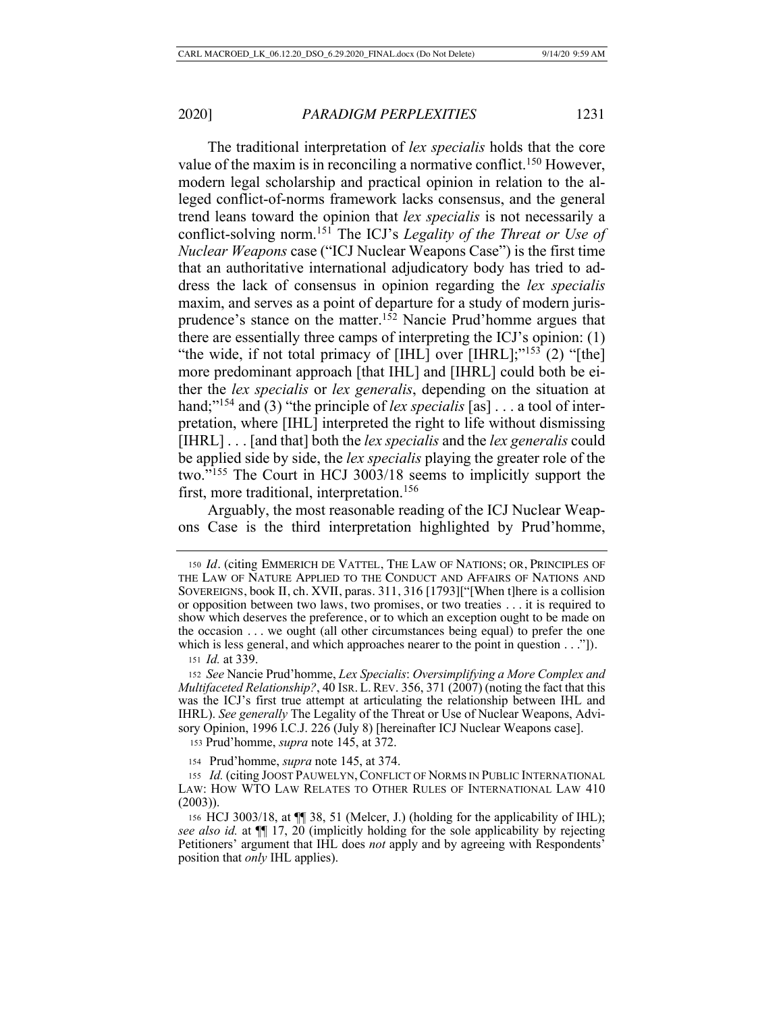The traditional interpretation of *lex specialis* holds that the core value of the maxim is in reconciling a normative conflict.<sup>150</sup> However, modern legal scholarship and practical opinion in relation to the alleged conflict-of-norms framework lacks consensus, and the general trend leans toward the opinion that *lex specialis* is not necessarily a conflict-solving norm.151 The ICJ's *Legality of the Threat or Use of Nuclear Weapons* case ("ICJ Nuclear Weapons Case") is the first time that an authoritative international adjudicatory body has tried to address the lack of consensus in opinion regarding the *lex specialis*  maxim, and serves as a point of departure for a study of modern jurisprudence's stance on the matter.152 Nancie Prud'homme argues that there are essentially three camps of interpreting the ICJ's opinion: (1) "the wide, if not total primacy of [IHL] over [IHRL];"<sup>153</sup> (2) "[the] more predominant approach [that IHL] and [IHRL] could both be either the *lex specialis* or *lex generalis*, depending on the situation at hand;"<sup>154</sup> and (3) "the principle of *lex specialis* [as] . . . a tool of interpretation, where [IHL] interpreted the right to life without dismissing [IHRL] . . . [and that] both the *lex specialis* and the *lex generalis* could be applied side by side, the *lex specialis* playing the greater role of the two."155 The Court in HCJ 3003/18 seems to implicitly support the first, more traditional, interpretation.<sup>156</sup>

Arguably, the most reasonable reading of the ICJ Nuclear Weapons Case is the third interpretation highlighted by Prud'homme,

<sup>151</sup> *Id.* at 339.

<sup>152</sup> *See* Nancie Prud'homme, *Lex Specialis*: *Oversimplifying a More Complex and Multifaceted Relationship?*, 40 Isr. L. REV. 356, 371 (2007) (noting the fact that this was the ICJ's first true attempt at articulating the relationship between IHL and IHRL). *See generally* The Legality of the Threat or Use of Nuclear Weapons, Advisory Opinion, 1996 I.C.J. 226 (July 8) [hereinafter ICJ Nuclear Weapons case].

<sup>153</sup> Prud'homme, *supra* note 145, at 372.

<sup>154</sup> Prud'homme, *supra* note 145, at 374.

155 *Id.* (citing JOOST PAUWELYN, CONFLICT OF NORMS IN PUBLIC INTERNATIONAL LAW: HOW WTO LAW RELATES TO OTHER RULES OF INTERNATIONAL LAW 410 (2003)).

<sup>156</sup> HCJ 3003/18, at ¶¶ 38, 51 (Melcer, J.) (holding for the applicability of IHL); *see also id.* at ¶¶ 17, 20 (implicitly holding for the sole applicability by rejecting Petitioners' argument that IHL does *not* apply and by agreeing with Respondents' position that *only* IHL applies).

<sup>150</sup> *Id.* (citing EMMERICH DE VATTEL, THE LAW OF NATIONS; OR, PRINCIPLES OF THE LAW OF NATURE APPLIED TO THE CONDUCT AND AFFAIRS OF NATIONS AND SOVEREIGNS, book II, ch. XVII, paras. 311, 316 [1793]["[When t]here is a collision or opposition between two laws, two promises, or two treaties . . . it is required to show which deserves the preference, or to which an exception ought to be made on the occasion . . . we ought (all other circumstances being equal) to prefer the one which is less general, and which approaches nearer to the point in question  $\dots$ "]).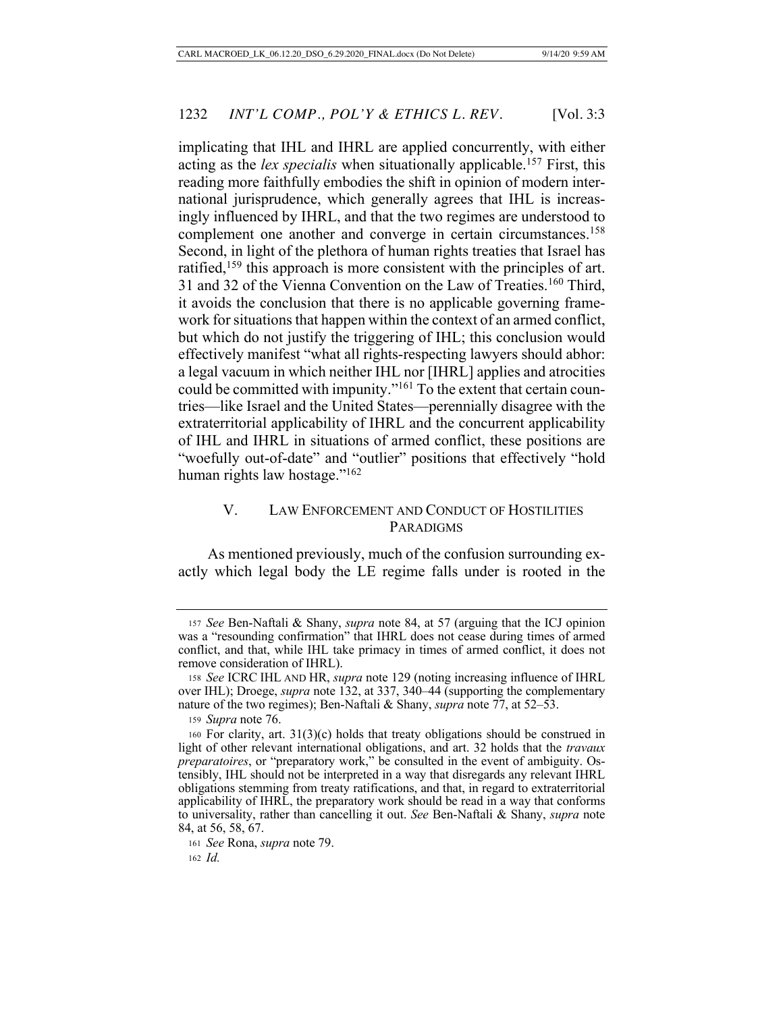implicating that IHL and IHRL are applied concurrently, with either acting as the *lex specialis* when situationally applicable.<sup>157</sup> First, this reading more faithfully embodies the shift in opinion of modern international jurisprudence, which generally agrees that IHL is increasingly influenced by IHRL, and that the two regimes are understood to complement one another and converge in certain circumstances.<sup>158</sup> Second, in light of the plethora of human rights treaties that Israel has ratified,<sup>159</sup> this approach is more consistent with the principles of art. 31 and 32 of the Vienna Convention on the Law of Treaties.<sup>160</sup> Third, it avoids the conclusion that there is no applicable governing framework for situations that happen within the context of an armed conflict, but which do not justify the triggering of IHL; this conclusion would effectively manifest "what all rights-respecting lawyers should abhor: a legal vacuum in which neither IHL nor [IHRL] applies and atrocities could be committed with impunity."161 To the extent that certain countries—like Israel and the United States—perennially disagree with the extraterritorial applicability of IHRL and the concurrent applicability of IHL and IHRL in situations of armed conflict, these positions are "woefully out-of-date" and "outlier" positions that effectively "hold human rights law hostage."<sup>162</sup>

# V. LAW ENFORCEMENT AND CONDUCT OF HOSTILITIES PARADIGMS

As mentioned previously, much of the confusion surrounding exactly which legal body the LE regime falls under is rooted in the

<sup>157</sup> *See* Ben-Naftali & Shany, *supra* note 84, at 57 (arguing that the ICJ opinion was a "resounding confirmation" that IHRL does not cease during times of armed conflict, and that, while IHL take primacy in times of armed conflict, it does not remove consideration of IHRL).

<sup>158</sup> *See* ICRC IHL AND HR, *supra* note 129 (noting increasing influence of IHRL over IHL); Droege, *supra* note 132, at 337, 340–44 (supporting the complementary nature of the two regimes); Ben-Naftali & Shany, *supra* note 77, at 52–53.

<sup>159</sup> *Supra* note 76.

<sup>160</sup> For clarity, art.  $31(3)(c)$  holds that treaty obligations should be construed in light of other relevant international obligations, and art. 32 holds that the *travaux preparatoires*, or "preparatory work," be consulted in the event of ambiguity. Ostensibly, IHL should not be interpreted in a way that disregards any relevant IHRL obligations stemming from treaty ratifications, and that, in regard to extraterritorial applicability of IHRL, the preparatory work should be read in a way that conforms to universality, rather than cancelling it out. *See* Ben-Naftali & Shany, *supra* note 84, at 56, 58, 67.

<sup>161</sup> *See* Rona, *supra* note 79.

<sup>162</sup> *Id.*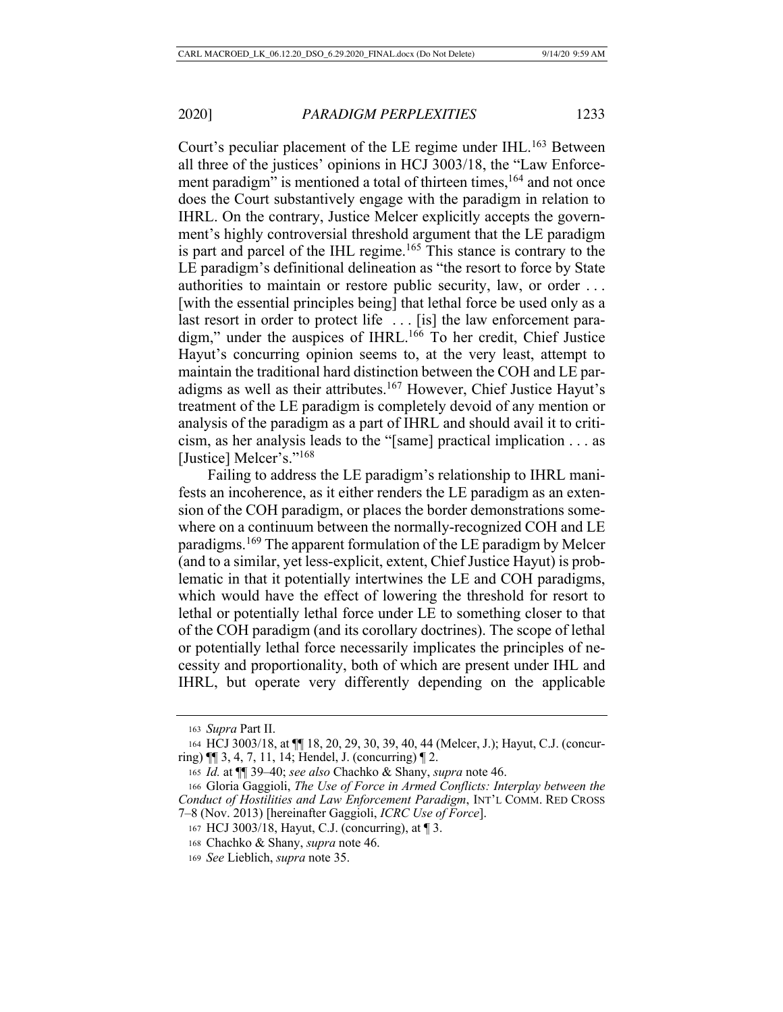Court's peculiar placement of the LE regime under IHL.<sup>163</sup> Between all three of the justices' opinions in HCJ 3003/18, the "Law Enforcement paradigm" is mentioned a total of thirteen times,<sup>164</sup> and not once does the Court substantively engage with the paradigm in relation to IHRL. On the contrary, Justice Melcer explicitly accepts the government's highly controversial threshold argument that the LE paradigm is part and parcel of the IHL regime.<sup>165</sup> This stance is contrary to the LE paradigm's definitional delineation as "the resort to force by State authorities to maintain or restore public security, law, or order . . . [with the essential principles being] that lethal force be used only as a last resort in order to protect life . . . [is] the law enforcement paradigm," under the auspices of IHRL.<sup>166</sup> To her credit, Chief Justice Hayut's concurring opinion seems to, at the very least, attempt to maintain the traditional hard distinction between the COH and LE paradigms as well as their attributes.167 However, Chief Justice Hayut's treatment of the LE paradigm is completely devoid of any mention or analysis of the paradigm as a part of IHRL and should avail it to criticism, as her analysis leads to the "[same] practical implication . . . as [Justice] Melcer's."<sup>168</sup>

Failing to address the LE paradigm's relationship to IHRL manifests an incoherence, as it either renders the LE paradigm as an extension of the COH paradigm, or places the border demonstrations somewhere on a continuum between the normally-recognized COH and LE paradigms.<sup>169</sup> The apparent formulation of the LE paradigm by Melcer (and to a similar, yet less-explicit, extent, Chief Justice Hayut) is problematic in that it potentially intertwines the LE and COH paradigms, which would have the effect of lowering the threshold for resort to lethal or potentially lethal force under LE to something closer to that of the COH paradigm (and its corollary doctrines). The scope of lethal or potentially lethal force necessarily implicates the principles of necessity and proportionality, both of which are present under IHL and IHRL, but operate very differently depending on the applicable

<sup>163</sup> *Supra* Part II.

<sup>164</sup> HCJ 3003/18, at ¶¶ 18, 20, 29, 30, 39, 40, 44 (Melcer, J.); Hayut, C.J. (concurring) ¶¶ 3, 4, 7, 11, 14; Hendel, J. (concurring) ¶ 2.

<sup>165</sup> *Id.* at ¶¶ 39–40; *see also* Chachko & Shany, *supra* note 46.

<sup>166</sup> Gloria Gaggioli, *The Use of Force in Armed Conflicts: Interplay between the Conduct of Hostilities and Law Enforcement Paradigm*, INT'L COMM. RED CROSS 7–8 (Nov. 2013) [hereinafter Gaggioli, *ICRC Use of Force*].

<sup>167</sup> HCJ 3003/18, Hayut, C.J. (concurring), at ¶ 3.

<sup>168</sup> Chachko & Shany, *supra* note 46.

<sup>169</sup> *See* Lieblich, *supra* note 35.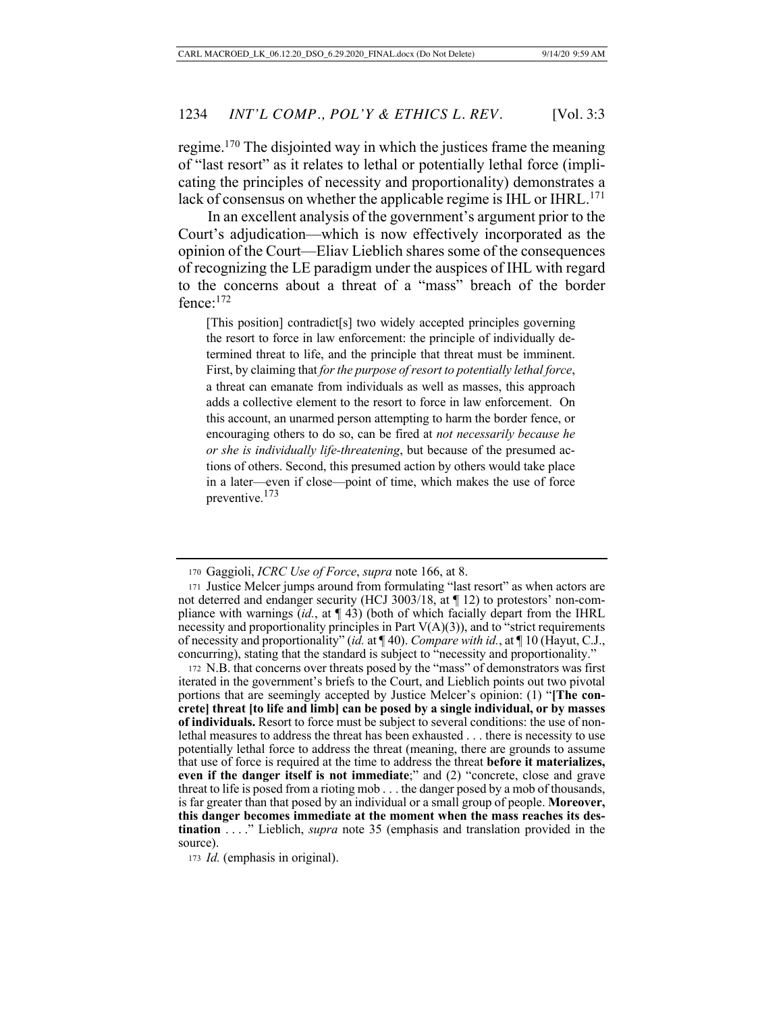regime.170 The disjointed way in which the justices frame the meaning of "last resort" as it relates to lethal or potentially lethal force (implicating the principles of necessity and proportionality) demonstrates a lack of consensus on whether the applicable regime is IHL or IHRL.<sup>171</sup>

In an excellent analysis of the government's argument prior to the Court's adjudication—which is now effectively incorporated as the opinion of the Court—Eliav Lieblich shares some of the consequences of recognizing the LE paradigm under the auspices of IHL with regard to the concerns about a threat of a "mass" breach of the border fence:172

[This position] contradict[s] two widely accepted principles governing the resort to force in law enforcement: the principle of individually determined threat to life, and the principle that threat must be imminent. First, by claiming that *for the purpose of resort to potentially lethal force*, a threat can emanate from individuals as well as masses, this approach adds a collective element to the resort to force in law enforcement. On this account, an unarmed person attempting to harm the border fence, or encouraging others to do so, can be fired at *not necessarily because he or she is individually life-threatening*, but because of the presumed actions of others. Second, this presumed action by others would take place in a later—even if close—point of time, which makes the use of force preventive.<sup>173</sup>

<sup>170</sup> Gaggioli, *ICRC Use of Force*, *supra* note 166, at 8.

<sup>171</sup> Justice Melcer jumps around from formulating "last resort" as when actors are not deterred and endanger security (HCJ 3003/18, at ¶ 12) to protestors' non-compliance with warnings (*id.*, at ¶ 43) (both of which facially depart from the IHRL necessity and proportionality principles in Part  $V(A)(3)$ ), and to "strict requirements of necessity and proportionality" (*id.* at ¶ 40). *Compare with id.*, at ¶ 10 (Hayut, C.J., concurring), stating that the standard is subject to "necessity and proportionality."

<sup>172</sup> N.B. that concerns over threats posed by the "mass" of demonstrators was first iterated in the government's briefs to the Court, and Lieblich points out two pivotal portions that are seemingly accepted by Justice Melcer's opinion: (1) "**[The concrete] threat [to life and limb] can be posed by a single individual, or by masses of individuals.** Resort to force must be subject to several conditions: the use of nonlethal measures to address the threat has been exhausted . . . there is necessity to use potentially lethal force to address the threat (meaning, there are grounds to assume that use of force is required at the time to address the threat **before it materializes, even if the danger itself is not immediate**;" and (2) "concrete, close and grave threat to life is posed from a rioting mob . . . the danger posed by a mob of thousands, is far greater than that posed by an individual or a small group of people. **Moreover, this danger becomes immediate at the moment when the mass reaches its destination** . . . ." Lieblich, *supra* note 35 (emphasis and translation provided in the source).

<sup>173</sup> *Id.* (emphasis in original).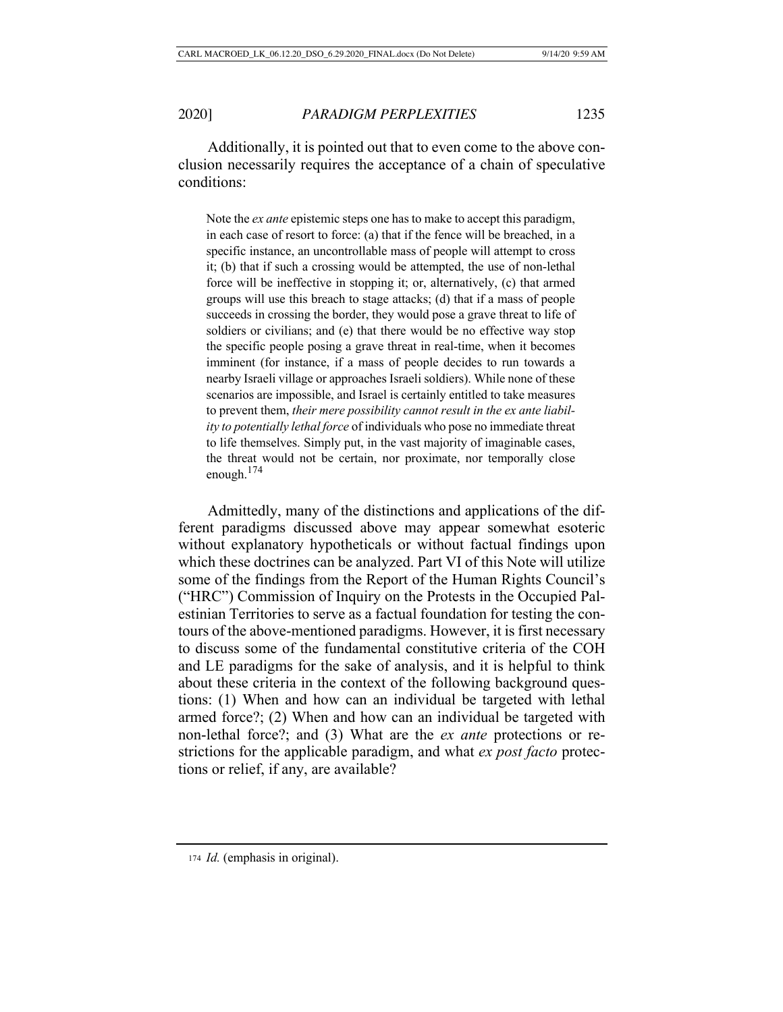Additionally, it is pointed out that to even come to the above conclusion necessarily requires the acceptance of a chain of speculative conditions:

Note the *ex ante* epistemic steps one has to make to accept this paradigm, in each case of resort to force: (a) that if the fence will be breached, in a specific instance, an uncontrollable mass of people will attempt to cross it; (b) that if such a crossing would be attempted, the use of non-lethal force will be ineffective in stopping it; or, alternatively, (c) that armed groups will use this breach to stage attacks; (d) that if a mass of people succeeds in crossing the border, they would pose a grave threat to life of soldiers or civilians; and (e) that there would be no effective way stop the specific people posing a grave threat in real-time, when it becomes imminent (for instance, if a mass of people decides to run towards a nearby Israeli village or approaches Israeli soldiers). While none of these scenarios are impossible, and Israel is certainly entitled to take measures to prevent them, *their mere possibility cannot result in the ex ante liability to potentially lethal force* of individuals who pose no immediate threat to life themselves. Simply put, in the vast majority of imaginable cases, the threat would not be certain, nor proximate, nor temporally close enough.<sup>174</sup>

Admittedly, many of the distinctions and applications of the different paradigms discussed above may appear somewhat esoteric without explanatory hypotheticals or without factual findings upon which these doctrines can be analyzed. Part VI of this Note will utilize some of the findings from the Report of the Human Rights Council's ("HRC") Commission of Inquiry on the Protests in the Occupied Palestinian Territories to serve as a factual foundation for testing the contours of the above-mentioned paradigms. However, it is first necessary to discuss some of the fundamental constitutive criteria of the COH and LE paradigms for the sake of analysis, and it is helpful to think about these criteria in the context of the following background questions: (1) When and how can an individual be targeted with lethal armed force?; (2) When and how can an individual be targeted with non-lethal force?; and (3) What are the *ex ante* protections or restrictions for the applicable paradigm, and what *ex post facto* protections or relief, if any, are available?

<sup>174</sup> *Id.* (emphasis in original).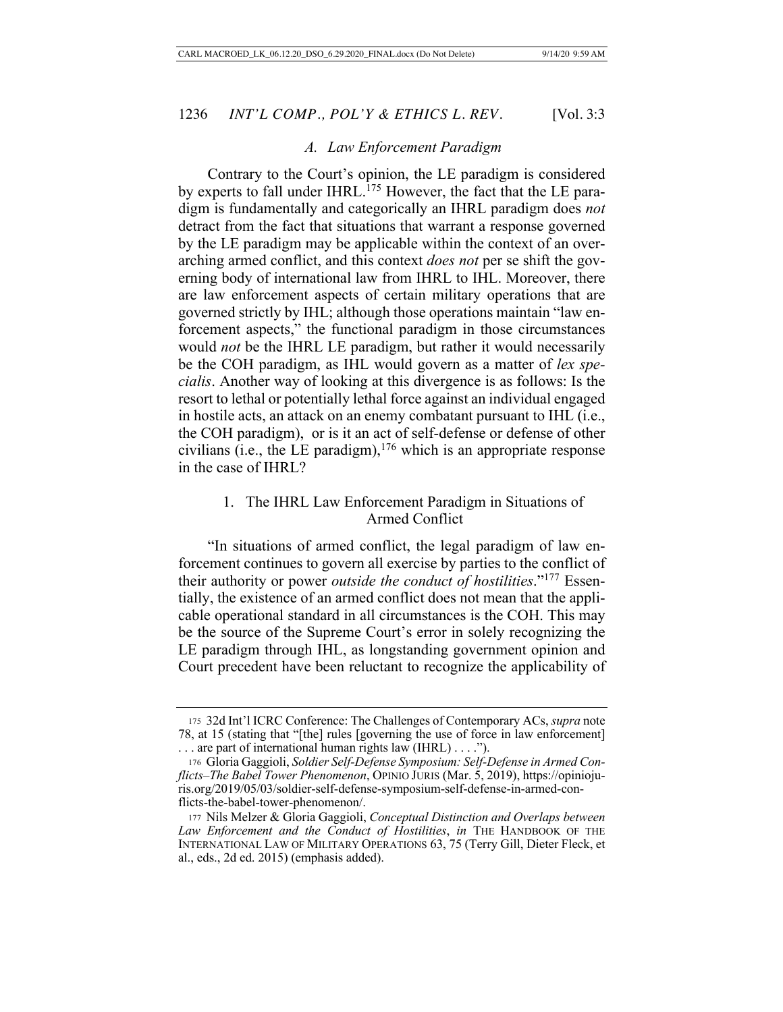### *A. Law Enforcement Paradigm*

Contrary to the Court's opinion, the LE paradigm is considered by experts to fall under IHRL.<sup>175</sup> However, the fact that the LE paradigm is fundamentally and categorically an IHRL paradigm does *not* detract from the fact that situations that warrant a response governed by the LE paradigm may be applicable within the context of an overarching armed conflict, and this context *does not* per se shift the governing body of international law from IHRL to IHL. Moreover, there are law enforcement aspects of certain military operations that are governed strictly by IHL; although those operations maintain "law enforcement aspects," the functional paradigm in those circumstances would *not* be the IHRL LE paradigm, but rather it would necessarily be the COH paradigm, as IHL would govern as a matter of *lex specialis*. Another way of looking at this divergence is as follows: Is the resort to lethal or potentially lethal force against an individual engaged in hostile acts, an attack on an enemy combatant pursuant to IHL (i.e., the COH paradigm), or is it an act of self-defense or defense of other civilians (i.e., the LE paradigm),  $176$  which is an appropriate response in the case of IHRL?

# 1. The IHRL Law Enforcement Paradigm in Situations of Armed Conflict

"In situations of armed conflict, the legal paradigm of law enforcement continues to govern all exercise by parties to the conflict of their authority or power *outside the conduct of hostilities*."177 Essentially, the existence of an armed conflict does not mean that the applicable operational standard in all circumstances is the COH. This may be the source of the Supreme Court's error in solely recognizing the LE paradigm through IHL, as longstanding government opinion and Court precedent have been reluctant to recognize the applicability of

<sup>175</sup> 32d Int'l ICRC Conference: The Challenges of Contemporary ACs, *supra* note 78, at 15 (stating that "[the] rules [governing the use of force in law enforcement] . . . are part of international human rights law (IHRL) . . . .").

<sup>176</sup> Gloria Gaggioli, *Soldier Self-Defense Symposium: Self-Defense in Armed Conflicts–The Babel Tower Phenomenon*, OPINIO JURIS (Mar. 5, 2019), https://opiniojuris.org/2019/05/03/soldier-self-defense-symposium-self-defense-in-armed-conflicts-the-babel-tower-phenomenon/.

<sup>177</sup> Nils Melzer & Gloria Gaggioli, *Conceptual Distinction and Overlaps between Law Enforcement and the Conduct of Hostilities*, *in* THE HANDBOOK OF THE INTERNATIONAL LAW OF MILITARY OPERATIONS 63, 75 (Terry Gill, Dieter Fleck, et al., eds., 2d ed. 2015) (emphasis added).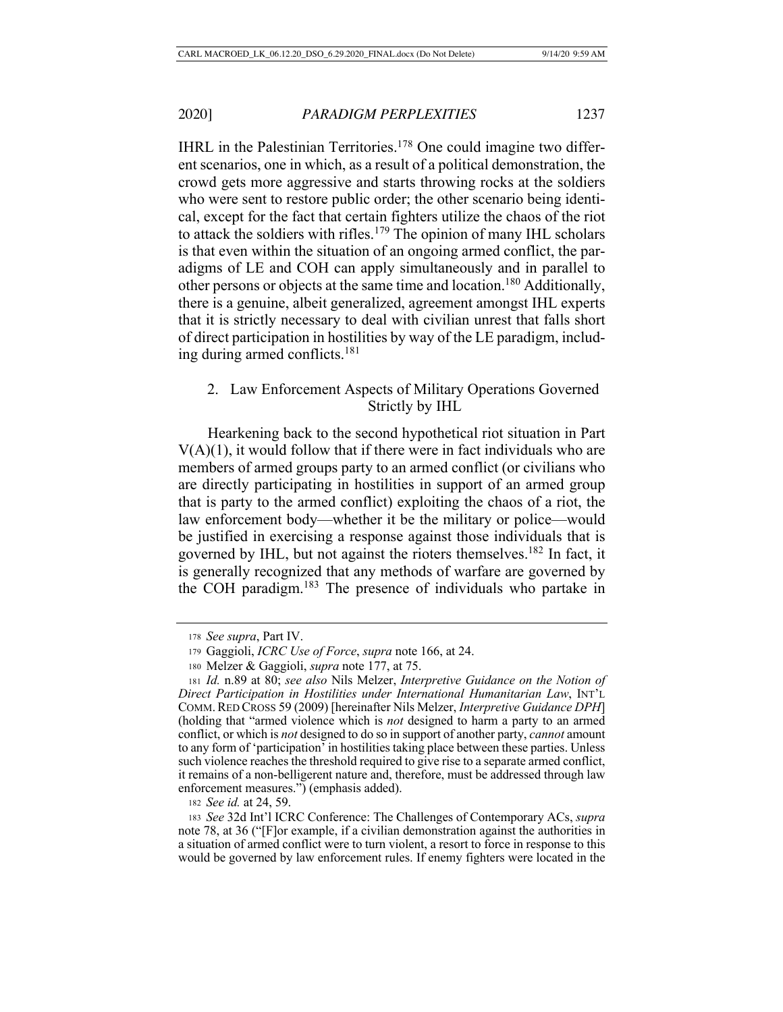IHRL in the Palestinian Territories.<sup>178</sup> One could imagine two different scenarios, one in which, as a result of a political demonstration, the crowd gets more aggressive and starts throwing rocks at the soldiers who were sent to restore public order; the other scenario being identical, except for the fact that certain fighters utilize the chaos of the riot to attack the soldiers with rifles.<sup>179</sup> The opinion of many IHL scholars is that even within the situation of an ongoing armed conflict, the paradigms of LE and COH can apply simultaneously and in parallel to other persons or objects at the same time and location.180 Additionally, there is a genuine, albeit generalized, agreement amongst IHL experts that it is strictly necessary to deal with civilian unrest that falls short of direct participation in hostilities by way of the LE paradigm, including during armed conflicts.181

# 2. Law Enforcement Aspects of Military Operations Governed Strictly by IHL

Hearkening back to the second hypothetical riot situation in Part  $V(A)(1)$ , it would follow that if there were in fact individuals who are members of armed groups party to an armed conflict (or civilians who are directly participating in hostilities in support of an armed group that is party to the armed conflict) exploiting the chaos of a riot, the law enforcement body—whether it be the military or police—would be justified in exercising a response against those individuals that is governed by IHL, but not against the rioters themselves.182 In fact, it is generally recognized that any methods of warfare are governed by the COH paradigm.183 The presence of individuals who partake in

<sup>178</sup> *See supra*, Part IV.

<sup>179</sup> Gaggioli, *ICRC Use of Force*, *supra* note 166, at 24.

<sup>180</sup> Melzer & Gaggioli, *supra* note 177, at 75.

<sup>181</sup> *Id.* n.89 at 80; *see also* Nils Melzer, *Interpretive Guidance on the Notion of Direct Participation in Hostilities under International Humanitarian Law*, INT'L COMM.RED CROSS 59 (2009) [hereinafter Nils Melzer, *Interpretive Guidance DPH*] (holding that "armed violence which is *not* designed to harm a party to an armed conflict, or which is *not* designed to do so in support of another party, *cannot* amount to any form of 'participation' in hostilities taking place between these parties. Unless such violence reaches the threshold required to give rise to a separate armed conflict, it remains of a non-belligerent nature and, therefore, must be addressed through law enforcement measures.") (emphasis added).

<sup>182</sup> *See id.* at 24, 59.

<sup>183</sup> *See* 32d Int'l ICRC Conference: The Challenges of Contemporary ACs, *supra* note 78, at 36 ("[F]or example, if a civilian demonstration against the authorities in a situation of armed conflict were to turn violent, a resort to force in response to this would be governed by law enforcement rules. If enemy fighters were located in the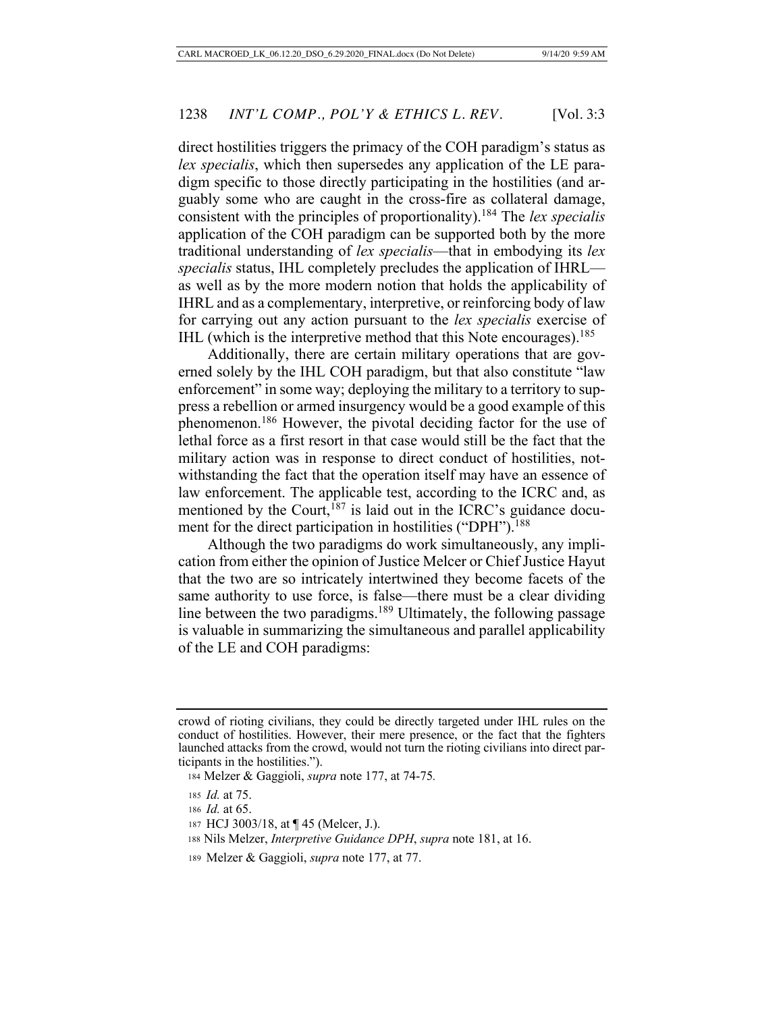direct hostilities triggers the primacy of the COH paradigm's status as *lex specialis*, which then supersedes any application of the LE paradigm specific to those directly participating in the hostilities (and arguably some who are caught in the cross-fire as collateral damage, consistent with the principles of proportionality).184 The *lex specialis*  application of the COH paradigm can be supported both by the more traditional understanding of *lex specialis*—that in embodying its *lex specialis* status, IHL completely precludes the application of IHRL as well as by the more modern notion that holds the applicability of IHRL and as a complementary, interpretive, or reinforcing body of law for carrying out any action pursuant to the *lex specialis* exercise of IHL (which is the interpretive method that this Note encourages).<sup>185</sup>

Additionally, there are certain military operations that are governed solely by the IHL COH paradigm, but that also constitute "law enforcement" in some way; deploying the military to a territory to suppress a rebellion or armed insurgency would be a good example of this phenomenon.186 However, the pivotal deciding factor for the use of lethal force as a first resort in that case would still be the fact that the military action was in response to direct conduct of hostilities, notwithstanding the fact that the operation itself may have an essence of law enforcement. The applicable test, according to the ICRC and, as mentioned by the Court,  $187$  is laid out in the ICRC's guidance document for the direct participation in hostilities ("DPH").<sup>188</sup>

Although the two paradigms do work simultaneously, any implication from either the opinion of Justice Melcer or Chief Justice Hayut that the two are so intricately intertwined they become facets of the same authority to use force, is false—there must be a clear dividing line between the two paradigms.<sup>189</sup> Ultimately, the following passage is valuable in summarizing the simultaneous and parallel applicability of the LE and COH paradigms:

crowd of rioting civilians, they could be directly targeted under IHL rules on the conduct of hostilities. However, their mere presence, or the fact that the fighters launched attacks from the crowd, would not turn the rioting civilians into direct participants in the hostilities.").

 <sup>184</sup> Melzer & Gaggioli, *supra* note 177, at 74-75*.*

<sup>185</sup> *Id.* at 75.

<sup>186</sup> *Id.* at 65.

<sup>187</sup> HCJ 3003/18, at ¶ 45 (Melcer, J.).

 <sup>188</sup> Nils Melzer, *Interpretive Guidance DPH*, *supra* note 181, at 16.

<sup>189</sup> Melzer & Gaggioli, *supra* note 177, at 77.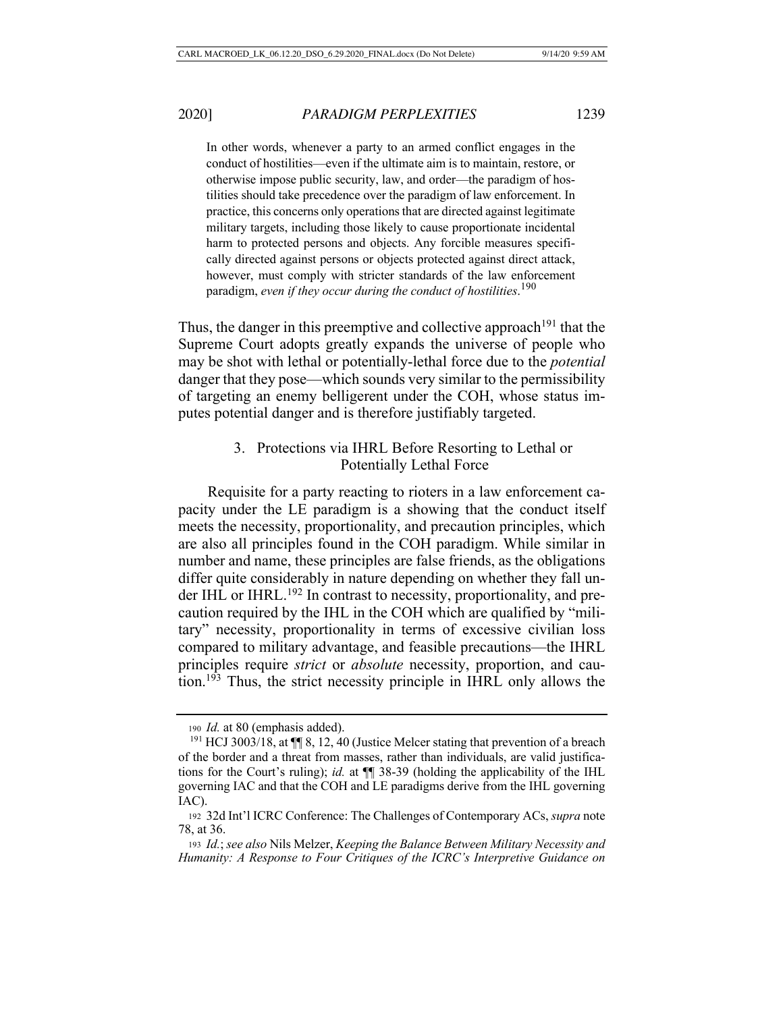In other words, whenever a party to an armed conflict engages in the conduct of hostilities—even if the ultimate aim is to maintain, restore, or otherwise impose public security, law, and order—the paradigm of hostilities should take precedence over the paradigm of law enforcement. In practice, this concerns only operations that are directed against legitimate military targets, including those likely to cause proportionate incidental harm to protected persons and objects. Any forcible measures specifically directed against persons or objects protected against direct attack, however, must comply with stricter standards of the law enforcement paradigm, *even if they occur during the conduct of hostilities*. 190

Thus, the danger in this preemptive and collective approach<sup>191</sup> that the Supreme Court adopts greatly expands the universe of people who may be shot with lethal or potentially-lethal force due to the *potential*  danger that they pose—which sounds very similar to the permissibility of targeting an enemy belligerent under the COH, whose status imputes potential danger and is therefore justifiably targeted.

# 3. Protections via IHRL Before Resorting to Lethal or Potentially Lethal Force

Requisite for a party reacting to rioters in a law enforcement capacity under the LE paradigm is a showing that the conduct itself meets the necessity, proportionality, and precaution principles, which are also all principles found in the COH paradigm. While similar in number and name, these principles are false friends, as the obligations differ quite considerably in nature depending on whether they fall under IHL or IHRL.<sup>192</sup> In contrast to necessity, proportionality, and precaution required by the IHL in the COH which are qualified by "military" necessity, proportionality in terms of excessive civilian loss compared to military advantage, and feasible precautions—the IHRL principles require *strict* or *absolute* necessity, proportion, and caution.193 Thus, the strict necessity principle in IHRL only allows the

<sup>190</sup> *Id.* at 80 (emphasis added).

<sup>191</sup> HCJ 3003/18, at ¶¶ 8, 12, 40 (Justice Melcer stating that prevention of a breach of the border and a threat from masses, rather than individuals, are valid justifications for the Court's ruling); *id.* at ¶¶ 38-39 (holding the applicability of the IHL governing IAC and that the COH and LE paradigms derive from the IHL governing IAC).

<sup>192</sup> 32d Int'l ICRC Conference: The Challenges of Contemporary ACs, *supra* note 78, at 36.

<sup>193</sup> *Id.*; *see also* Nils Melzer, *Keeping the Balance Between Military Necessity and Humanity: A Response to Four Critiques of the ICRC's Interpretive Guidance on*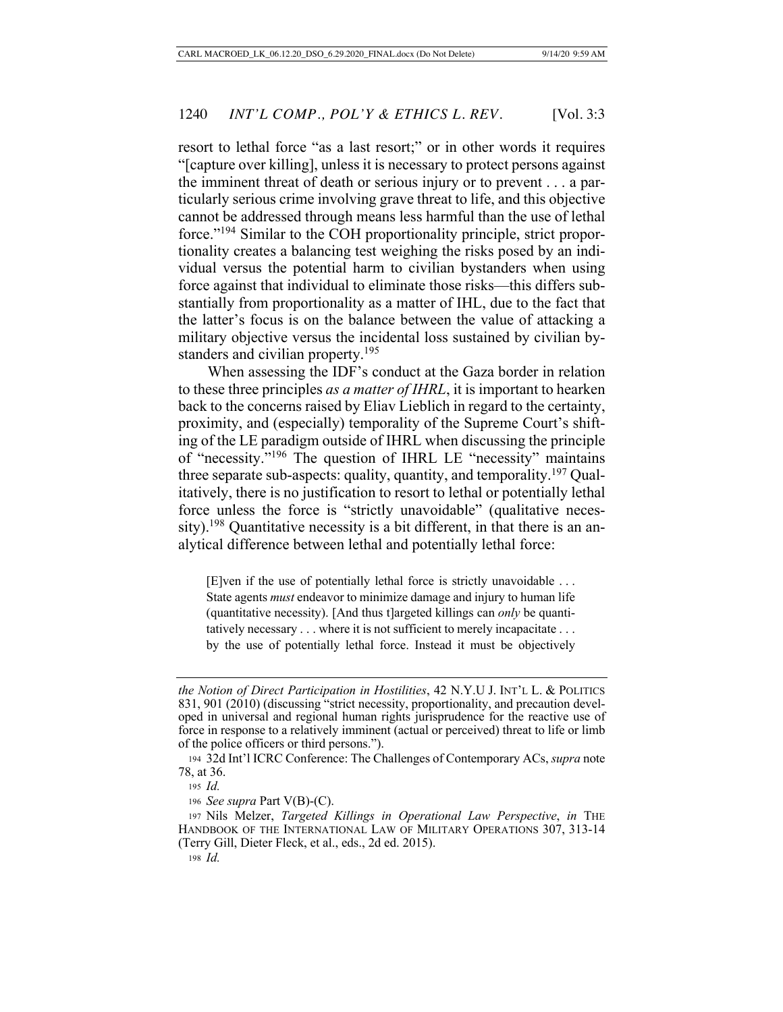resort to lethal force "as a last resort;" or in other words it requires "[capture over killing], unless it is necessary to protect persons against the imminent threat of death or serious injury or to prevent . . . a particularly serious crime involving grave threat to life, and this objective cannot be addressed through means less harmful than the use of lethal force."194 Similar to the COH proportionality principle, strict proportionality creates a balancing test weighing the risks posed by an individual versus the potential harm to civilian bystanders when using force against that individual to eliminate those risks—this differs substantially from proportionality as a matter of IHL, due to the fact that the latter's focus is on the balance between the value of attacking a military objective versus the incidental loss sustained by civilian bystanders and civilian property.<sup>195</sup>

When assessing the IDF's conduct at the Gaza border in relation to these three principles *as a matter of IHRL*, it is important to hearken back to the concerns raised by Eliav Lieblich in regard to the certainty, proximity, and (especially) temporality of the Supreme Court's shifting of the LE paradigm outside of IHRL when discussing the principle of "necessity."196 The question of IHRL LE "necessity" maintains three separate sub-aspects: quality, quantity, and temporality.<sup>197</sup> Qualitatively, there is no justification to resort to lethal or potentially lethal force unless the force is "strictly unavoidable" (qualitative necessity).<sup>198</sup> Quantitative necessity is a bit different, in that there is an analytical difference between lethal and potentially lethal force:

[E]ven if the use of potentially lethal force is strictly unavoidable . . . State agents *must* endeavor to minimize damage and injury to human life (quantitative necessity). [And thus t]argeted killings can *only* be quantitatively necessary . . . where it is not sufficient to merely incapacitate . . . by the use of potentially lethal force. Instead it must be objectively

*the Notion of Direct Participation in Hostilities*, 42 N.Y.U J. INT'L L. & POLITICS 831, 901 (2010) (discussing "strict necessity, proportionality, and precaution developed in universal and regional human rights jurisprudence for the reactive use of force in response to a relatively imminent (actual or perceived) threat to life or limb of the police officers or third persons.").

<sup>194</sup> 32d Int'l ICRC Conference: The Challenges of Contemporary ACs, *supra* note 78, at 36.

<sup>195</sup> *Id.*

<sup>196</sup> *See supra* Part V(B)-(C).

<sup>197</sup> Nils Melzer, *Targeted Killings in Operational Law Perspective*, *in* THE HANDBOOK OF THE INTERNATIONAL LAW OF MILITARY OPERATIONS 307, 313-14 (Terry Gill, Dieter Fleck, et al., eds., 2d ed. 2015).

<sup>198</sup> *Id.*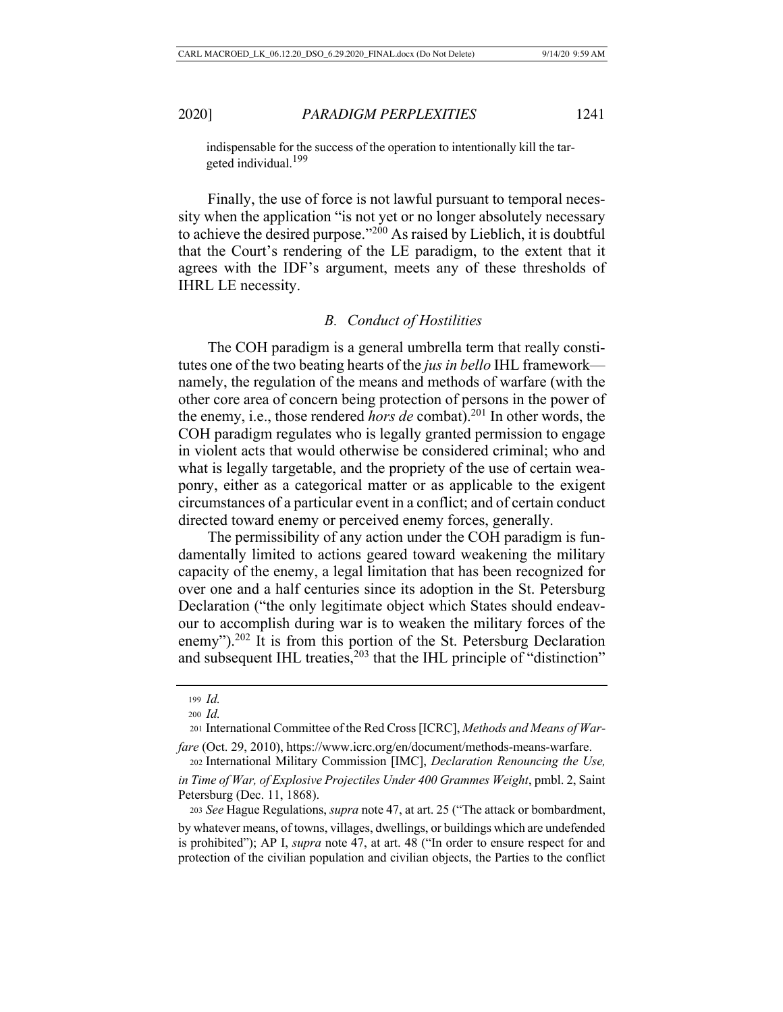indispensable for the success of the operation to intentionally kill the targeted individual.<sup>199</sup>

Finally, the use of force is not lawful pursuant to temporal necessity when the application "is not yet or no longer absolutely necessary to achieve the desired purpose."200 As raised by Lieblich, it is doubtful that the Court's rendering of the LE paradigm, to the extent that it agrees with the IDF's argument, meets any of these thresholds of IHRL LE necessity.

#### *B. Conduct of Hostilities*

The COH paradigm is a general umbrella term that really constitutes one of the two beating hearts of the *jus in bello* IHL framework namely, the regulation of the means and methods of warfare (with the other core area of concern being protection of persons in the power of the enemy, i.e., those rendered *hors de* combat).201 In other words, the COH paradigm regulates who is legally granted permission to engage in violent acts that would otherwise be considered criminal; who and what is legally targetable, and the propriety of the use of certain weaponry, either as a categorical matter or as applicable to the exigent circumstances of a particular event in a conflict; and of certain conduct directed toward enemy or perceived enemy forces, generally.

The permissibility of any action under the COH paradigm is fundamentally limited to actions geared toward weakening the military capacity of the enemy, a legal limitation that has been recognized for over one and a half centuries since its adoption in the St. Petersburg Declaration ("the only legitimate object which States should endeavour to accomplish during war is to weaken the military forces of the enemy").<sup>202</sup> It is from this portion of the St. Petersburg Declaration and subsequent IHL treaties, $203$  that the IHL principle of "distinction"

<sup>202</sup> International Military Commission [IMC], *Declaration Renouncing the Use,* 

*fare* (Oct. 29, 2010), https://www.icrc.org/en/document/methods-means-warfare.

<sup>199</sup> *Id.*

<sup>200</sup> *Id.*

<sup>201</sup> International Committee of the Red Cross [ICRC], *Methods and Means of War-*

*in Time of War, of Explosive Projectiles Under 400 Grammes Weight*, pmbl. 2, Saint Petersburg (Dec. 11, 1868).

<sup>203</sup> *See* Hague Regulations, *supra* note 47, at art. 25 ("The attack or bombardment, by whatever means, of towns, villages, dwellings, or buildings which are undefended is prohibited"); AP I, *supra* note 47, at art. 48 ("In order to ensure respect for and protection of the civilian population and civilian objects, the Parties to the conflict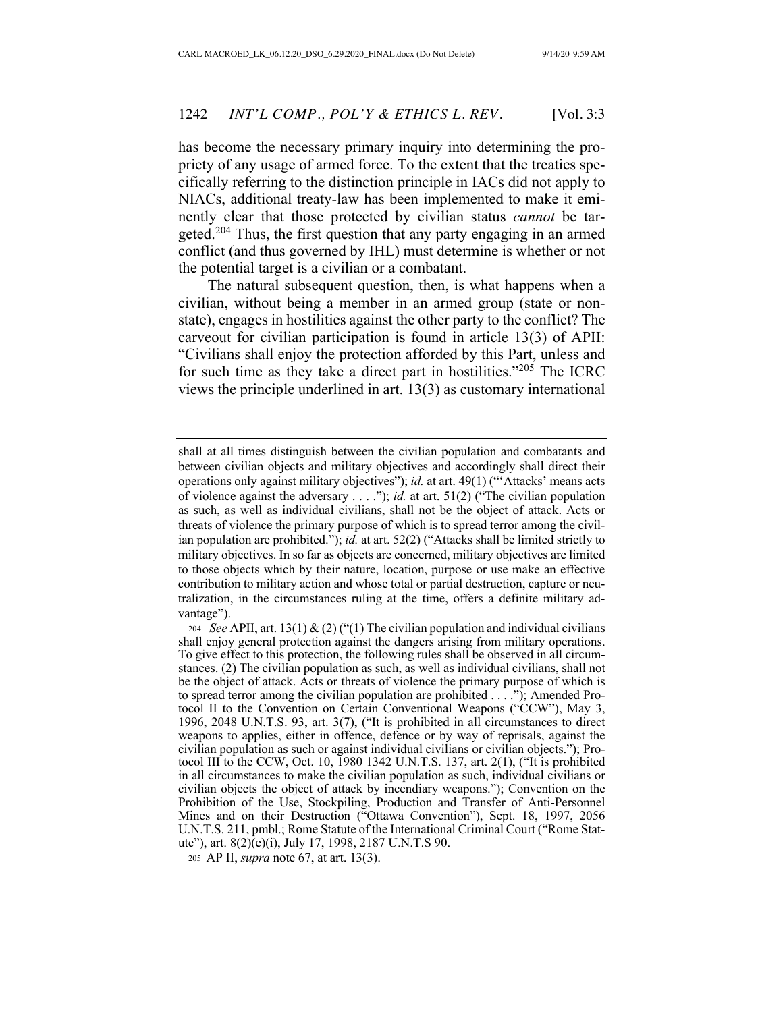has become the necessary primary inquiry into determining the propriety of any usage of armed force. To the extent that the treaties specifically referring to the distinction principle in IACs did not apply to NIACs, additional treaty-law has been implemented to make it eminently clear that those protected by civilian status *cannot* be targeted.204 Thus, the first question that any party engaging in an armed conflict (and thus governed by IHL) must determine is whether or not the potential target is a civilian or a combatant.

The natural subsequent question, then, is what happens when a civilian, without being a member in an armed group (state or nonstate), engages in hostilities against the other party to the conflict? The carveout for civilian participation is found in article 13(3) of APII: "Civilians shall enjoy the protection afforded by this Part, unless and for such time as they take a direct part in hostilities."205 The ICRC views the principle underlined in art. 13(3) as customary international

shall at all times distinguish between the civilian population and combatants and between civilian objects and military objectives and accordingly shall direct their operations only against military objectives"); *id.* at art. 49(1) ("'Attacks' means acts of violence against the adversary . . . ."); *id.* at art. 51(2) ("The civilian population as such, as well as individual civilians, shall not be the object of attack. Acts or threats of violence the primary purpose of which is to spread terror among the civilian population are prohibited."); *id.* at art. 52(2) ("Attacks shall be limited strictly to military objectives. In so far as objects are concerned, military objectives are limited to those objects which by their nature, location, purpose or use make an effective contribution to military action and whose total or partial destruction, capture or neutralization, in the circumstances ruling at the time, offers a definite military advantage").

<sup>204</sup> *See* APII, art. 13(1) & (2) ("(1) The civilian population and individual civilians shall enjoy general protection against the dangers arising from military operations. To give effect to this protection, the following rules shall be observed in all circumstances. (2) The civilian population as such, as well as individual civilians, shall not be the object of attack. Acts or threats of violence the primary purpose of which is to spread terror among the civilian population are prohibited . . . ."); Amended Protocol II to the Convention on Certain Conventional Weapons ("CCW"), May 3, 1996, 2048 U.N.T.S. 93, art. 3(7), ("It is prohibited in all circumstances to direct weapons to applies, either in offence, defence or by way of reprisals, against the civilian population as such or against individual civilians or civilian objects."); Protocol III to the CCW, Oct. 10, 1980 1342 U.N.T.S. 137, art. 2(1), ("It is prohibited in all circumstances to make the civilian population as such, individual civilians or civilian objects the object of attack by incendiary weapons."); Convention on the Prohibition of the Use, Stockpiling, Production and Transfer of Anti-Personnel Mines and on their Destruction ("Ottawa Convention"), Sept. 18, 1997, 2056 U.N.T.S. 211, pmbl.; Rome Statute of the International Criminal Court ("Rome Statute"), art. 8(2)(e)(i), July 17, 1998, 2187 U.N.T.S 90.

<sup>205</sup> AP II, *supra* note 67, at art. 13(3).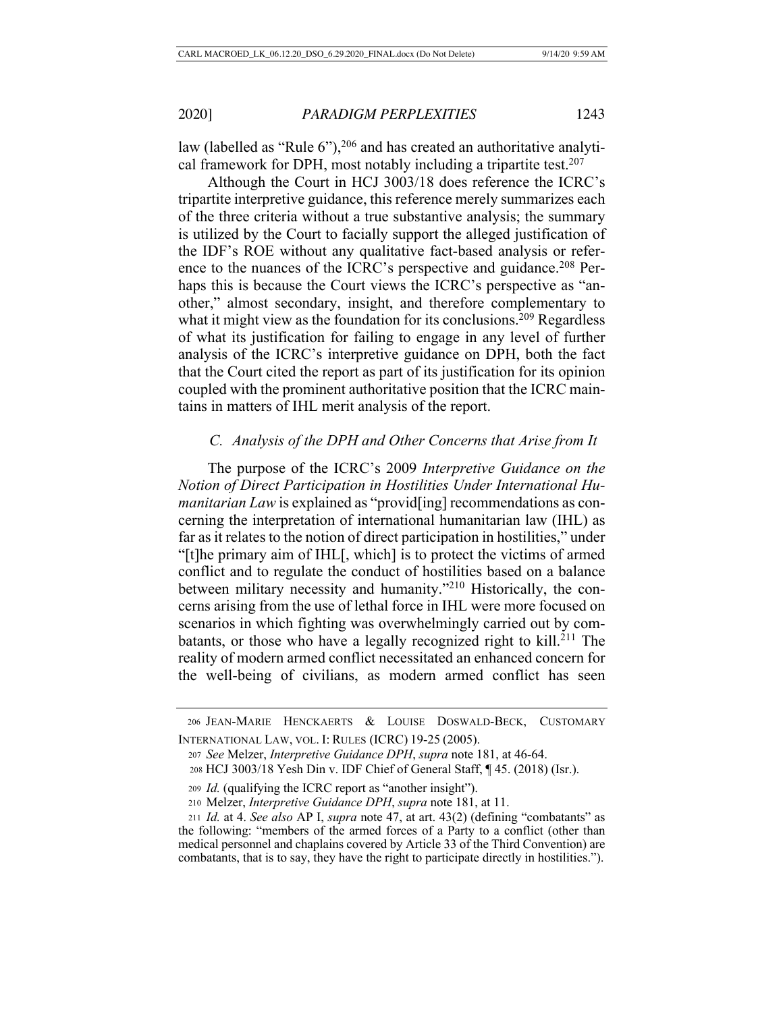law (labelled as "Rule  $6$ "),<sup>206</sup> and has created an authoritative analytical framework for DPH, most notably including a tripartite test.<sup>207</sup>

Although the Court in HCJ 3003/18 does reference the ICRC's tripartite interpretive guidance, this reference merely summarizes each of the three criteria without a true substantive analysis; the summary is utilized by the Court to facially support the alleged justification of the IDF's ROE without any qualitative fact-based analysis or reference to the nuances of the ICRC's perspective and guidance.<sup>208</sup> Perhaps this is because the Court views the ICRC's perspective as "another," almost secondary, insight, and therefore complementary to what it might view as the foundation for its conclusions.<sup>209</sup> Regardless of what its justification for failing to engage in any level of further analysis of the ICRC's interpretive guidance on DPH, both the fact that the Court cited the report as part of its justification for its opinion coupled with the prominent authoritative position that the ICRC maintains in matters of IHL merit analysis of the report.

### *C. Analysis of the DPH and Other Concerns that Arise from It*

The purpose of the ICRC's 2009 *Interpretive Guidance on the Notion of Direct Participation in Hostilities Under International Humanitarian Law* is explained as "provid[ing] recommendations as concerning the interpretation of international humanitarian law (IHL) as far as it relates to the notion of direct participation in hostilities," under "[t]he primary aim of IHL[, which] is to protect the victims of armed conflict and to regulate the conduct of hostilities based on a balance between military necessity and humanity."210 Historically, the concerns arising from the use of lethal force in IHL were more focused on scenarios in which fighting was overwhelmingly carried out by combatants, or those who have a legally recognized right to kill.<sup>211</sup> The reality of modern armed conflict necessitated an enhanced concern for the well-being of civilians, as modern armed conflict has seen

 <sup>206</sup> JEAN-MARIE HENCKAERTS & LOUISE DOSWALD-BECK, CUSTOMARY INTERNATIONAL LAW, VOL. I: RULES (ICRC) 19-25 (2005).

<sup>207</sup> *See* Melzer, *Interpretive Guidance DPH*, *supra* note 181, at 46-64.

<sup>208</sup> HCJ 3003/18 Yesh Din v. IDF Chief of General Staff, ¶ 45. (2018) (Isr.).

<sup>209</sup> *Id.* (qualifying the ICRC report as "another insight").

<sup>210</sup> Melzer, *Interpretive Guidance DPH*, *supra* note 181, at 11.

<sup>211</sup> *Id.* at 4. *See also* AP I, *supra* note 47, at art. 43(2) (defining "combatants" as the following: "members of the armed forces of a Party to a conflict (other than medical personnel and chaplains covered by Article 33 of the Third Convention) are combatants, that is to say, they have the right to participate directly in hostilities.").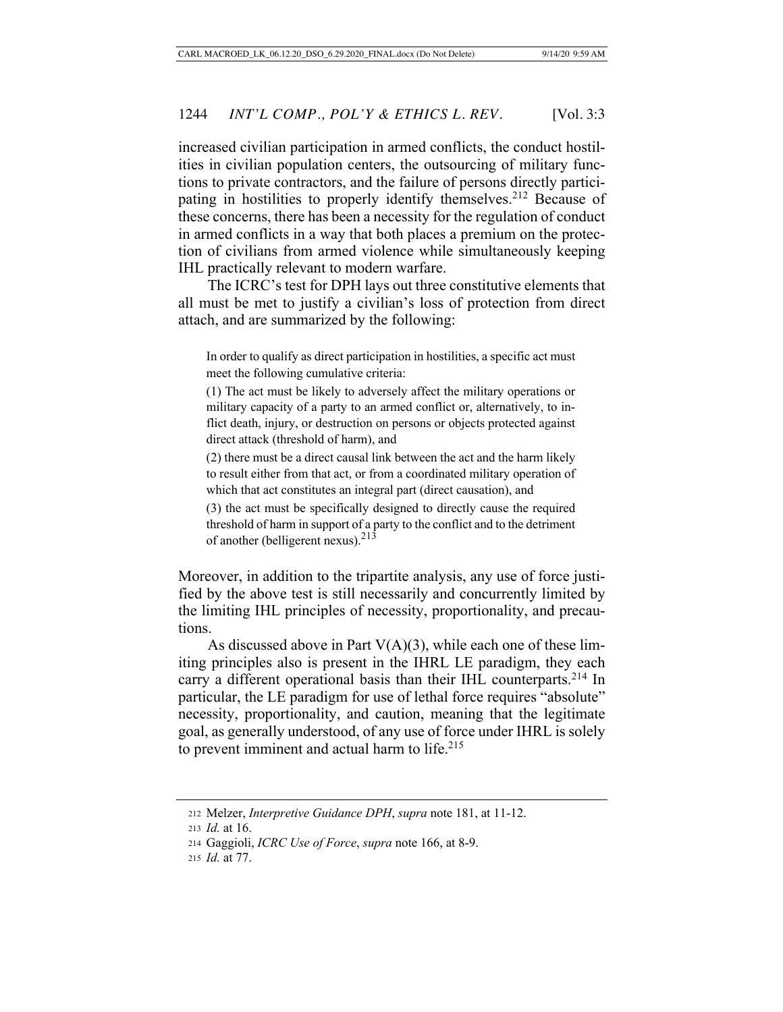increased civilian participation in armed conflicts, the conduct hostilities in civilian population centers, the outsourcing of military functions to private contractors, and the failure of persons directly participating in hostilities to properly identify themselves.<sup>212</sup> Because of these concerns, there has been a necessity for the regulation of conduct in armed conflicts in a way that both places a premium on the protection of civilians from armed violence while simultaneously keeping IHL practically relevant to modern warfare.

The ICRC's test for DPH lays out three constitutive elements that all must be met to justify a civilian's loss of protection from direct attach, and are summarized by the following:

In order to qualify as direct participation in hostilities, a specific act must meet the following cumulative criteria:

(1) The act must be likely to adversely affect the military operations or military capacity of a party to an armed conflict or, alternatively, to inflict death, injury, or destruction on persons or objects protected against direct attack (threshold of harm), and

(2) there must be a direct causal link between the act and the harm likely to result either from that act, or from a coordinated military operation of which that act constitutes an integral part (direct causation), and

(3) the act must be specifically designed to directly cause the required threshold of harm in support of a party to the conflict and to the detriment of another (belligerent nexus).<sup>213</sup>

Moreover, in addition to the tripartite analysis, any use of force justified by the above test is still necessarily and concurrently limited by the limiting IHL principles of necessity, proportionality, and precautions.

As discussed above in Part  $V(A)(3)$ , while each one of these limiting principles also is present in the IHRL LE paradigm, they each carry a different operational basis than their IHL counterparts.<sup>214</sup> In particular, the LE paradigm for use of lethal force requires "absolute" necessity, proportionality, and caution, meaning that the legitimate goal, as generally understood, of any use of force under IHRL is solely to prevent imminent and actual harm to life.<sup>215</sup>

<sup>212</sup> Melzer, *Interpretive Guidance DPH*, *supra* note 181, at 11-12.

<sup>213</sup> *Id.* at 16.

<sup>214</sup> Gaggioli, *ICRC Use of Force*, *supra* note 166, at 8-9.

<sup>215</sup> *Id.* at 77.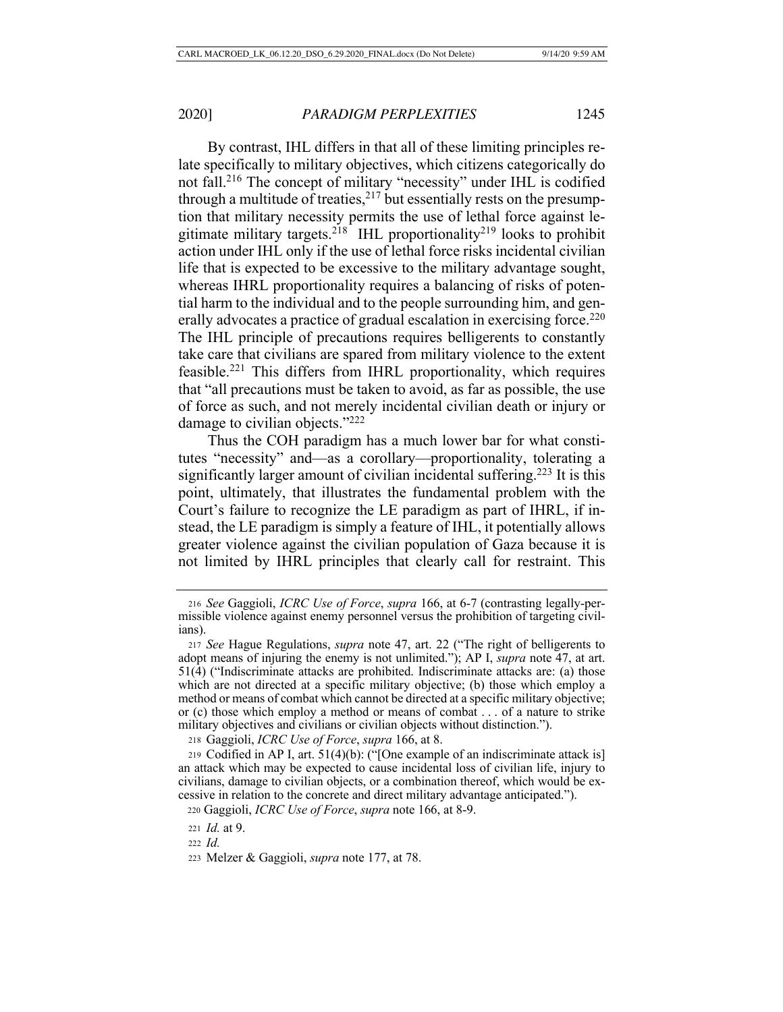By contrast, IHL differs in that all of these limiting principles relate specifically to military objectives, which citizens categorically do not fall.216 The concept of military "necessity" under IHL is codified through a multitude of treaties,  $2^{17}$  but essentially rests on the presumption that military necessity permits the use of lethal force against legitimate military targets.<sup>218</sup> IHL proportionality<sup>219</sup> looks to prohibit action under IHL only if the use of lethal force risks incidental civilian life that is expected to be excessive to the military advantage sought, whereas IHRL proportionality requires a balancing of risks of potential harm to the individual and to the people surrounding him, and generally advocates a practice of gradual escalation in exercising force.<sup>220</sup> The IHL principle of precautions requires belligerents to constantly take care that civilians are spared from military violence to the extent feasible.221 This differs from IHRL proportionality, which requires that "all precautions must be taken to avoid, as far as possible, the use of force as such, and not merely incidental civilian death or injury or damage to civilian objects."222

Thus the COH paradigm has a much lower bar for what constitutes "necessity" and—as a corollary—proportionality, tolerating a significantly larger amount of civilian incidental suffering.<sup>223</sup> It is this point, ultimately, that illustrates the fundamental problem with the Court's failure to recognize the LE paradigm as part of IHRL, if instead, the LE paradigm is simply a feature of IHL, it potentially allows greater violence against the civilian population of Gaza because it is not limited by IHRL principles that clearly call for restraint. This

<sup>216</sup> *See* Gaggioli, *ICRC Use of Force*, *supra* 166, at 6-7 (contrasting legally-permissible violence against enemy personnel versus the prohibition of targeting civilians).

<sup>217</sup> *See* Hague Regulations, *supra* note 47, art. 22 ("The right of belligerents to adopt means of injuring the enemy is not unlimited."); AP I, *supra* note 47, at art. 51(4) ("Indiscriminate attacks are prohibited. Indiscriminate attacks are: (a) those which are not directed at a specific military objective; (b) those which employ a method or means of combat which cannot be directed at a specific military objective; or (c) those which employ a method or means of combat . . . of a nature to strike military objectives and civilians or civilian objects without distinction.").

<sup>218</sup> Gaggioli, *ICRC Use of Force*, *supra* 166, at 8.

<sup>219</sup> Codified in AP I, art. 51(4)(b): ("[One example of an indiscriminate attack is] an attack which may be expected to cause incidental loss of civilian life, injury to civilians, damage to civilian objects, or a combination thereof, which would be excessive in relation to the concrete and direct military advantage anticipated.").

 <sup>220</sup> Gaggioli, *ICRC Use of Force*, *supra* note 166, at 8-9.

<sup>221</sup> *Id.* at 9.

<sup>222</sup> *Id.*

<sup>223</sup> Melzer & Gaggioli, *supra* note 177, at 78.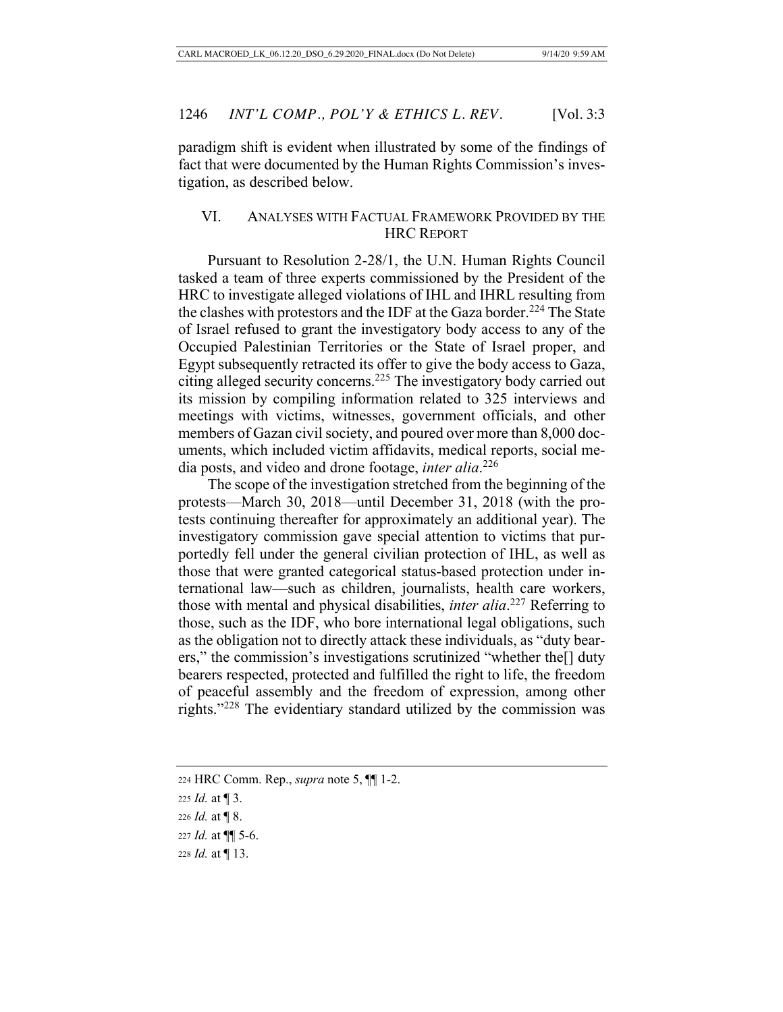paradigm shift is evident when illustrated by some of the findings of fact that were documented by the Human Rights Commission's investigation, as described below.

# VI. ANALYSES WITH FACTUAL FRAMEWORK PROVIDED BY THE HRC REPORT

Pursuant to Resolution 2-28/1, the U.N. Human Rights Council tasked a team of three experts commissioned by the President of the HRC to investigate alleged violations of IHL and IHRL resulting from the clashes with protestors and the IDF at the Gaza border.<sup>224</sup> The State of Israel refused to grant the investigatory body access to any of the Occupied Palestinian Territories or the State of Israel proper, and Egypt subsequently retracted its offer to give the body access to Gaza, citing alleged security concerns.225 The investigatory body carried out its mission by compiling information related to 325 interviews and meetings with victims, witnesses, government officials, and other members of Gazan civil society, and poured over more than 8,000 documents, which included victim affidavits, medical reports, social media posts, and video and drone footage, *inter alia*. 226

The scope of the investigation stretched from the beginning of the protests—March 30, 2018—until December 31, 2018 (with the protests continuing thereafter for approximately an additional year). The investigatory commission gave special attention to victims that purportedly fell under the general civilian protection of IHL, as well as those that were granted categorical status-based protection under international law—such as children, journalists, health care workers, those with mental and physical disabilities, *inter alia*. 227 Referring to those, such as the IDF, who bore international legal obligations, such as the obligation not to directly attack these individuals, as "duty bearers," the commission's investigations scrutinized "whether the[] duty bearers respected, protected and fulfilled the right to life, the freedom of peaceful assembly and the freedom of expression, among other rights."228 The evidentiary standard utilized by the commission was

<sup>224</sup> HRC Comm. Rep., *supra* note 5, ¶¶ 1-2.

<sup>225</sup> *Id.* at ¶ 3.

<sup>226</sup> *Id.* at ¶ 8.

<sup>227</sup> *Id.* at ¶¶ 5-6.

<sup>228</sup> *Id.* at ¶ 13.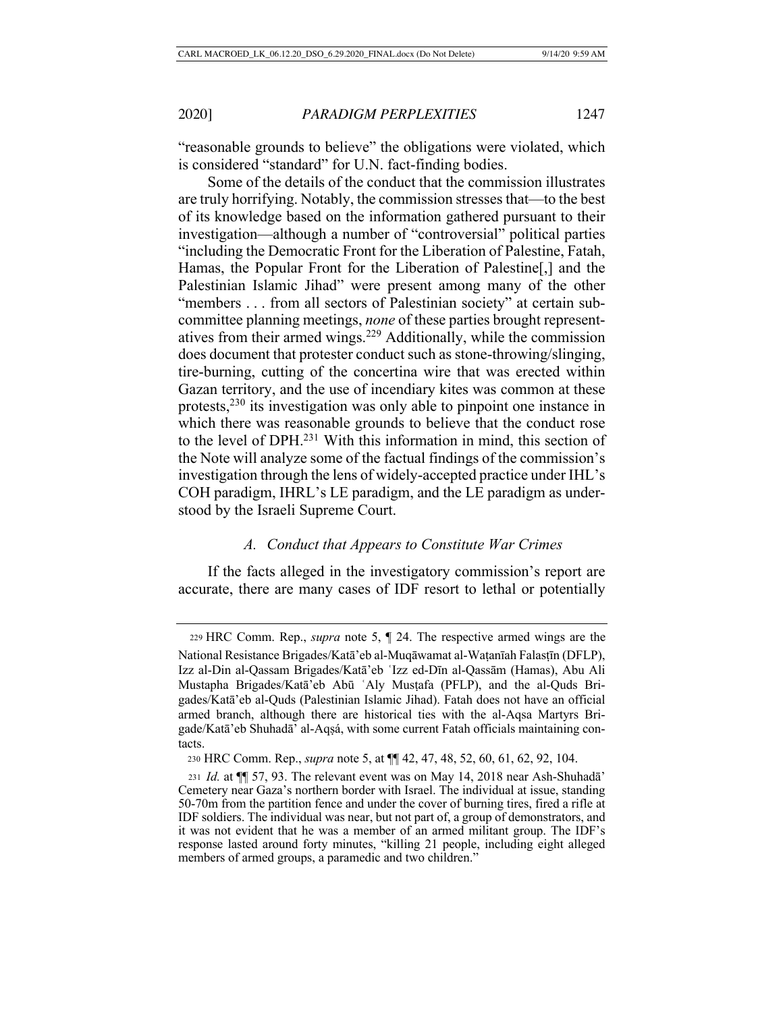"reasonable grounds to believe" the obligations were violated, which is considered "standard" for U.N. fact-finding bodies.

Some of the details of the conduct that the commission illustrates are truly horrifying. Notably, the commission stresses that—to the best of its knowledge based on the information gathered pursuant to their investigation—although a number of "controversial" political parties "including the Democratic Front for the Liberation of Palestine, Fatah, Hamas, the Popular Front for the Liberation of Palestine[,] and the Palestinian Islamic Jihad" were present among many of the other "members . . . from all sectors of Palestinian society" at certain subcommittee planning meetings, *none* of these parties brought representatives from their armed wings.229 Additionally, while the commission does document that protester conduct such as stone-throwing/slinging, tire-burning, cutting of the concertina wire that was erected within Gazan territory, and the use of incendiary kites was common at these protests,<sup>230</sup> its investigation was only able to pinpoint one instance in which there was reasonable grounds to believe that the conduct rose to the level of DPH.231 With this information in mind, this section of the Note will analyze some of the factual findings of the commission's investigation through the lens of widely-accepted practice under IHL's COH paradigm, IHRL's LE paradigm, and the LE paradigm as understood by the Israeli Supreme Court.

### *A. Conduct that Appears to Constitute War Crimes*

If the facts alleged in the investigatory commission's report are accurate, there are many cases of IDF resort to lethal or potentially

<sup>229</sup> HRC Comm. Rep., *supra* note 5, ¶ 24. The respective armed wings are the National Resistance Brigades/Katā'eb al-Muqāwamat al-Waṭanīah Falasṭīn (DFLP), Izz al-Din al-Qassam Brigades/Katā'eb ʿIzz ed-Dīn al-Qassām (Hamas), Abu Ali Mustapha Brigades/Katā'eb Abū ʿAly Musṭafa (PFLP), and the al-Quds Brigades/Katā'eb al-Quds (Palestinian Islamic Jihad). Fatah does not have an official armed branch, although there are historical ties with the al-Aqsa Martyrs Brigade/Katā'eb Shuhadā' al-Aqṣá, with some current Fatah officials maintaining contacts.

 <sup>230</sup> HRC Comm. Rep., *supra* note 5, at ¶¶ 42, 47, 48, 52, 60, 61, 62, 92, 104.

<sup>231</sup> *Id.* at ¶¶ 57, 93. The relevant event was on May 14, 2018 near Ash-Shuhadā' Cemetery near Gaza's northern border with Israel. The individual at issue, standing 50-70m from the partition fence and under the cover of burning tires, fired a rifle at IDF soldiers. The individual was near, but not part of, a group of demonstrators, and it was not evident that he was a member of an armed militant group. The IDF's response lasted around forty minutes, "killing 21 people, including eight alleged members of armed groups, a paramedic and two children."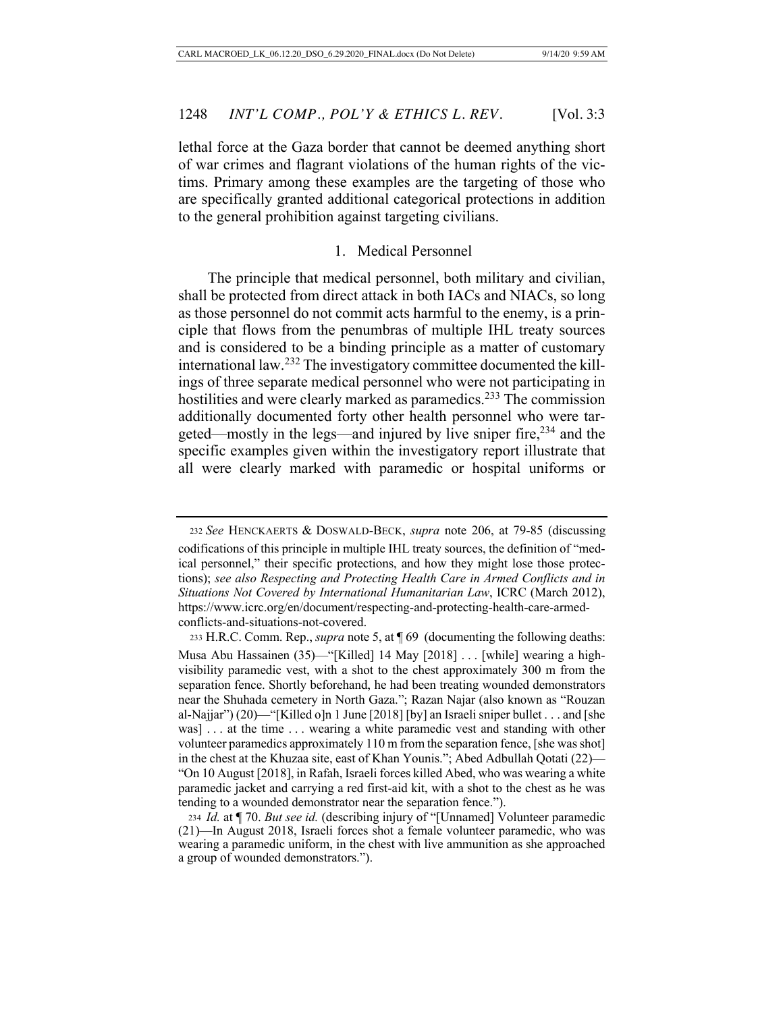lethal force at the Gaza border that cannot be deemed anything short of war crimes and flagrant violations of the human rights of the victims. Primary among these examples are the targeting of those who are specifically granted additional categorical protections in addition to the general prohibition against targeting civilians.

# 1. Medical Personnel

The principle that medical personnel, both military and civilian, shall be protected from direct attack in both IACs and NIACs, so long as those personnel do not commit acts harmful to the enemy, is a principle that flows from the penumbras of multiple IHL treaty sources and is considered to be a binding principle as a matter of customary international law.232 The investigatory committee documented the killings of three separate medical personnel who were not participating in hostilities and were clearly marked as paramedics.<sup>233</sup> The commission additionally documented forty other health personnel who were targeted—mostly in the legs—and injured by live sniper fire,<sup>234</sup> and the specific examples given within the investigatory report illustrate that all were clearly marked with paramedic or hospital uniforms or

<sup>232</sup> *See* HENCKAERTS & DOSWALD-BECK, *supra* note 206, at 79-85 (discussing codifications of this principle in multiple IHL treaty sources, the definition of "medical personnel," their specific protections, and how they might lose those protections); *see also Respecting and Protecting Health Care in Armed Conflicts and in Situations Not Covered by International Humanitarian Law*, ICRC (March 2012), https://www.icrc.org/en/document/respecting-and-protecting-health-care-armedconflicts-and-situations-not-covered.

<sup>233</sup> H.R.C. Comm. Rep., *supra* note 5, at ¶ 69 (documenting the following deaths: Musa Abu Hassainen (35)—"[Killed] 14 May [2018] . . . [while] wearing a highvisibility paramedic vest, with a shot to the chest approximately 300 m from the separation fence. Shortly beforehand, he had been treating wounded demonstrators near the Shuhada cemetery in North Gaza."; Razan Najar (also known as "Rouzan al-Najjar") (20)—"[Killed o]n 1 June [2018] [by] an Israeli sniper bullet . . . and [she was] . . . at the time . . . wearing a white paramedic vest and standing with other volunteer paramedics approximately 110 m from the separation fence, [she was shot] in the chest at the Khuzaa site, east of Khan Younis."; Abed Adbullah Qotati (22)— "On 10 August [2018], in Rafah, Israeli forces killed Abed, who was wearing a white paramedic jacket and carrying a red first-aid kit, with a shot to the chest as he was tending to a wounded demonstrator near the separation fence.").

<sup>234</sup> *Id.* at ¶ 70. *But see id.* (describing injury of "[Unnamed] Volunteer paramedic (21)—In August 2018, Israeli forces shot a female volunteer paramedic, who was wearing a paramedic uniform, in the chest with live ammunition as she approached a group of wounded demonstrators.").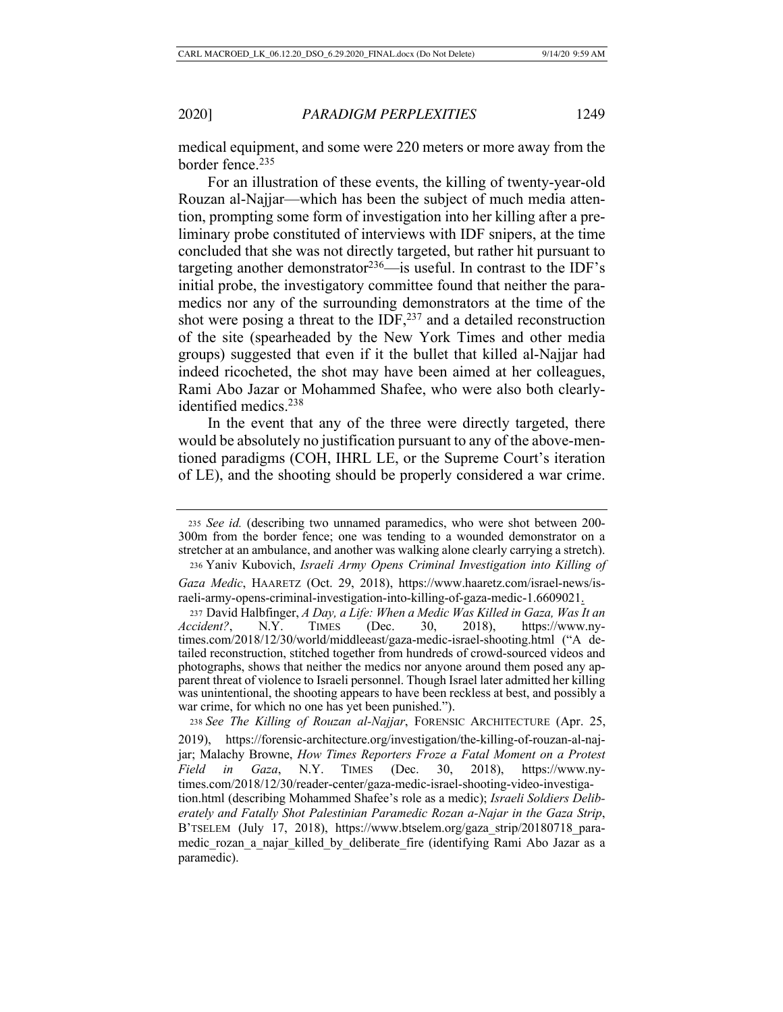medical equipment, and some were 220 meters or more away from the border fence.<sup>235</sup>

For an illustration of these events, the killing of twenty-year-old Rouzan al-Najjar—which has been the subject of much media attention, prompting some form of investigation into her killing after a preliminary probe constituted of interviews with IDF snipers, at the time concluded that she was not directly targeted, but rather hit pursuant to targeting another demonstrator  $236$ —is useful. In contrast to the IDF's initial probe, the investigatory committee found that neither the paramedics nor any of the surrounding demonstrators at the time of the shot were posing a threat to the IDF, $^{237}$  and a detailed reconstruction of the site (spearheaded by the New York Times and other media groups) suggested that even if it the bullet that killed al-Najjar had indeed ricocheted, the shot may have been aimed at her colleagues, Rami Abo Jazar or Mohammed Shafee, who were also both clearlyidentified medics.<sup>238</sup>

In the event that any of the three were directly targeted, there would be absolutely no justification pursuant to any of the above-mentioned paradigms (COH, IHRL LE, or the Supreme Court's iteration of LE), and the shooting should be properly considered a war crime.

<sup>235</sup> *See id.* (describing two unnamed paramedics, who were shot between 200- 300m from the border fence; one was tending to a wounded demonstrator on a stretcher at an ambulance, and another was walking alone clearly carrying a stretch). <sup>236</sup> Yaniv Kubovich, *Israeli Army Opens Criminal Investigation into Killing of* 

*Gaza Medic*, HAARETZ (Oct. 29, 2018), https://www.haaretz.com/israel-news/israeli-army-opens-criminal-investigation-into-killing-of-gaza-medic-1.6609021.

<sup>237</sup> David Halbfinger, *A Day, a Life: When a Medic Was Killed in Gaza, Was It an Accident?*, N.Y. TIMES (Dec. 30, 2018), https://www.nytimes.com/2018/12/30/world/middleeast/gaza-medic-israel-shooting.html ("A detailed reconstruction, stitched together from hundreds of crowd-sourced videos and photographs, shows that neither the medics nor anyone around them posed any apparent threat of violence to Israeli personnel. Though Israel later admitted her killing was unintentional, the shooting appears to have been reckless at best, and possibly a war crime, for which no one has yet been punished.").

<sup>238</sup> *See The Killing of Rouzan al-Najjar*, FORENSIC ARCHITECTURE (Apr. 25, 2019), https://forensic-architecture.org/investigation/the-killing-of-rouzan-al-najjar; Malachy Browne, *How Times Reporters Froze a Fatal Moment on a Protest Field in Gaza*, N.Y. TIMES (Dec. 30, 2018), https://www.nytimes.com/2018/12/30/reader-center/gaza-medic-israel-shooting-video-investigation.html (describing Mohammed Shafee's role as a medic); *Israeli Soldiers Deliberately and Fatally Shot Palestinian Paramedic Rozan a-Najar in the Gaza Strip*, B'TSELEM (July 17, 2018), https://www.btselem.org/gaza\_strip/20180718\_paramedic rozan a najar killed by deliberate fire (identifying Rami Abo Jazar as a paramedic).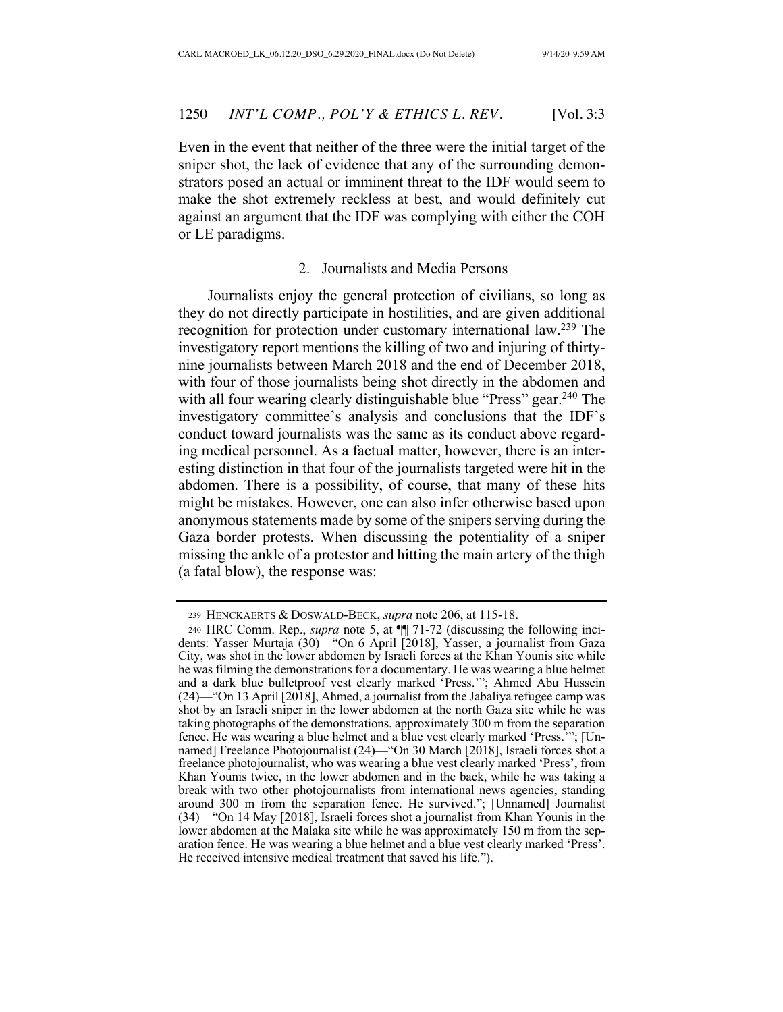Even in the event that neither of the three were the initial target of the sniper shot, the lack of evidence that any of the surrounding demonstrators posed an actual or imminent threat to the IDF would seem to make the shot extremely reckless at best, and would definitely cut against an argument that the IDF was complying with either the COH or LE paradigms.

## 2. Journalists and Media Persons

Journalists enjoy the general protection of civilians, so long as they do not directly participate in hostilities, and are given additional recognition for protection under customary international law.239 The investigatory report mentions the killing of two and injuring of thirtynine journalists between March 2018 and the end of December 2018, with four of those journalists being shot directly in the abdomen and with all four wearing clearly distinguishable blue "Press" gear.<sup>240</sup> The investigatory committee's analysis and conclusions that the IDF's conduct toward journalists was the same as its conduct above regarding medical personnel. As a factual matter, however, there is an interesting distinction in that four of the journalists targeted were hit in the abdomen. There is a possibility, of course, that many of these hits might be mistakes. However, one can also infer otherwise based upon anonymous statements made by some of the snipers serving during the Gaza border protests. When discussing the potentiality of a sniper missing the ankle of a protestor and hitting the main artery of the thigh (a fatal blow), the response was:

<sup>239</sup> HENCKAERTS & DOSWALD-BECK, *supra* note 206, at 115-18.

<sup>240</sup> HRC Comm. Rep., *supra* note 5, at ¶¶ 71-72 (discussing the following incidents: Yasser Murtaja (30)—"On 6 April [2018], Yasser, a journalist from Gaza City, was shot in the lower abdomen by Israeli forces at the Khan Younis site while he was filming the demonstrations for a documentary. He was wearing a blue helmet and a dark blue bulletproof vest clearly marked 'Press.'"; Ahmed Abu Hussein (24)—"On 13 April [2018], Ahmed, a journalist from the Jabaliya refugee camp was shot by an Israeli sniper in the lower abdomen at the north Gaza site while he was taking photographs of the demonstrations, approximately 300 m from the separation fence. He was wearing a blue helmet and a blue vest clearly marked 'Press.'"; [Unnamed] Freelance Photojournalist (24)—"On 30 March [2018], Israeli forces shot a freelance photojournalist, who was wearing a blue vest clearly marked 'Press', from Khan Younis twice, in the lower abdomen and in the back, while he was taking a break with two other photojournalists from international news agencies, standing around 300 m from the separation fence. He survived."; [Unnamed] Journalist (34)—"On 14 May [2018], Israeli forces shot a journalist from Khan Younis in the lower abdomen at the Malaka site while he was approximately 150 m from the separation fence. He was wearing a blue helmet and a blue vest clearly marked 'Press'. He received intensive medical treatment that saved his life.").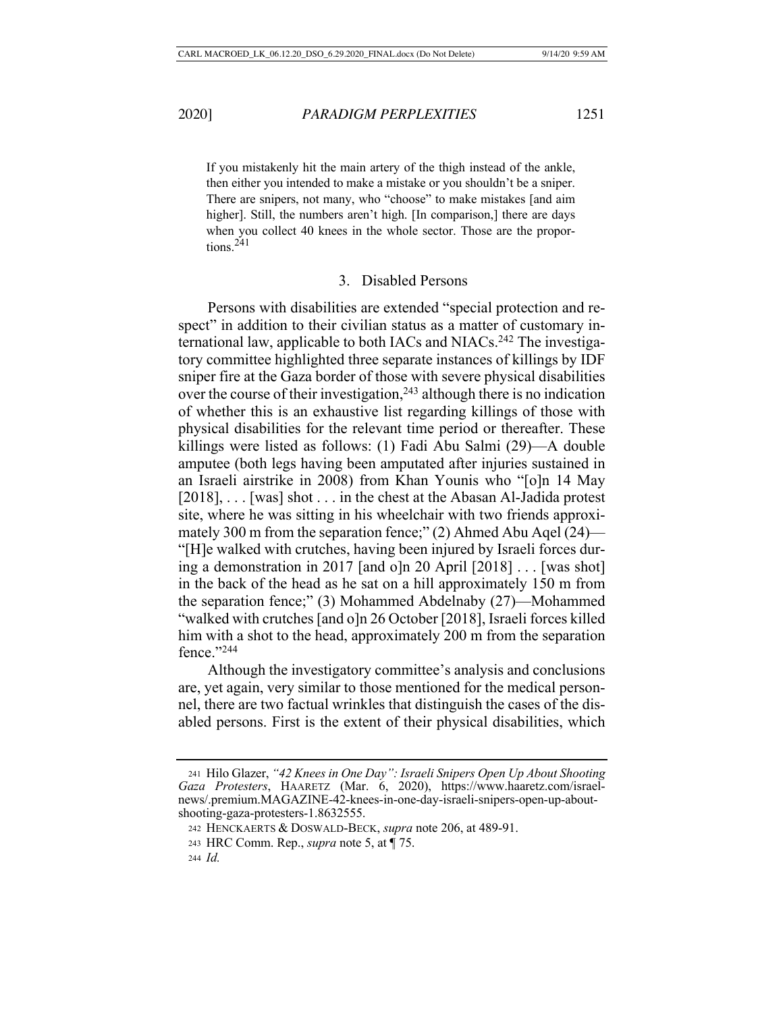If you mistakenly hit the main artery of the thigh instead of the ankle, then either you intended to make a mistake or you shouldn't be a sniper. There are snipers, not many, who "choose" to make mistakes [and aim higher]. Still, the numbers aren't high. [In comparison,] there are days when you collect 40 knees in the whole sector. Those are the proportions. $241$ 

# 3. Disabled Persons

Persons with disabilities are extended "special protection and respect" in addition to their civilian status as a matter of customary international law, applicable to both IACs and NIACs.242 The investigatory committee highlighted three separate instances of killings by IDF sniper fire at the Gaza border of those with severe physical disabilities over the course of their investigation,  $243$  although there is no indication of whether this is an exhaustive list regarding killings of those with physical disabilities for the relevant time period or thereafter. These killings were listed as follows: (1) Fadi Abu Salmi (29)—A double amputee (both legs having been amputated after injuries sustained in an Israeli airstrike in 2008) from Khan Younis who "[o]n 14 May [2018], . . . [was] shot . . . in the chest at the Abasan Al-Jadida protest site, where he was sitting in his wheelchair with two friends approximately 300 m from the separation fence;" (2) Ahmed Abu Aqel (24)— "[H]e walked with crutches, having been injured by Israeli forces during a demonstration in 2017 [and o]n 20 April [2018] . . . [was shot] in the back of the head as he sat on a hill approximately 150 m from the separation fence;" (3) Mohammed Abdelnaby (27)—Mohammed "walked with crutches [and o]n 26 October [2018], Israeli forces killed him with a shot to the head, approximately 200 m from the separation fence."244

Although the investigatory committee's analysis and conclusions are, yet again, very similar to those mentioned for the medical personnel, there are two factual wrinkles that distinguish the cases of the disabled persons. First is the extent of their physical disabilities, which

<sup>241</sup> Hilo Glazer, *"42 Knees in One Day": Israeli Snipers Open Up About Shooting Gaza Protesters*, HAARETZ (Mar. 6, 2020), https://www.haaretz.com/israelnews/.premium.MAGAZINE-42-knees-in-one-day-israeli-snipers-open-up-aboutshooting-gaza-protesters-1.8632555.

<sup>242</sup> HENCKAERTS & DOSWALD-BECK, *supra* note 206, at 489-91.

<sup>243</sup> HRC Comm. Rep., *supra* note 5, at ¶ 75.

<sup>244</sup> *Id.*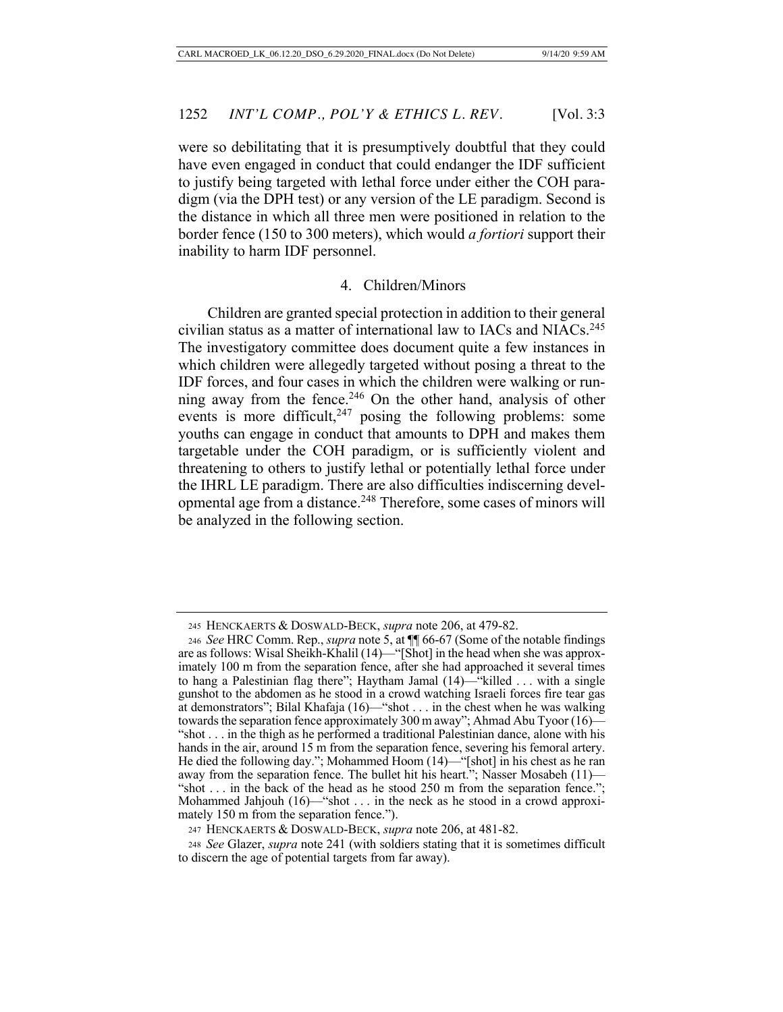were so debilitating that it is presumptively doubtful that they could have even engaged in conduct that could endanger the IDF sufficient to justify being targeted with lethal force under either the COH paradigm (via the DPH test) or any version of the LE paradigm. Second is the distance in which all three men were positioned in relation to the border fence (150 to 300 meters), which would *a fortiori* support their inability to harm IDF personnel.

#### 4. Children/Minors

Children are granted special protection in addition to their general civilian status as a matter of international law to IACs and NIACs.245 The investigatory committee does document quite a few instances in which children were allegedly targeted without posing a threat to the IDF forces, and four cases in which the children were walking or running away from the fence.<sup>246</sup> On the other hand, analysis of other events is more difficult,<sup>247</sup> posing the following problems: some youths can engage in conduct that amounts to DPH and makes them targetable under the COH paradigm, or is sufficiently violent and threatening to others to justify lethal or potentially lethal force under the IHRL LE paradigm. There are also difficulties indiscerning developmental age from a distance.248 Therefore, some cases of minors will be analyzed in the following section.

<sup>245</sup> HENCKAERTS & DOSWALD-BECK, *supra* note 206, at 479-82.

<sup>246</sup> *See* HRC Comm. Rep., *supra* note 5, at ¶¶ 66-67 (Some of the notable findings are as follows: Wisal Sheikh-Khalil (14)—"[Shot] in the head when she was approximately 100 m from the separation fence, after she had approached it several times to hang a Palestinian flag there"; Haytham Jamal (14)—"killed . . . with a single gunshot to the abdomen as he stood in a crowd watching Israeli forces fire tear gas at demonstrators"; Bilal Khafaja (16)—"shot . . . in the chest when he was walking towards the separation fence approximately 300 m away"; Ahmad Abu Tyoor (16)— "shot . . . in the thigh as he performed a traditional Palestinian dance, alone with his hands in the air, around 15 m from the separation fence, severing his femoral artery. He died the following day."; Mohammed Hoom (14)—"[shot] in his chest as he ran away from the separation fence. The bullet hit his heart."; Nasser Mosabeh (11)— "shot . . . in the back of the head as he stood 250 m from the separation fence."; Mohammed Jahjouh (16)—"shot . . . in the neck as he stood in a crowd approximately 150 m from the separation fence.").

<sup>247</sup> HENCKAERTS & DOSWALD-BECK, *supra* note 206, at 481-82.

<sup>248</sup> *See* Glazer, *supra* note 241 (with soldiers stating that it is sometimes difficult to discern the age of potential targets from far away).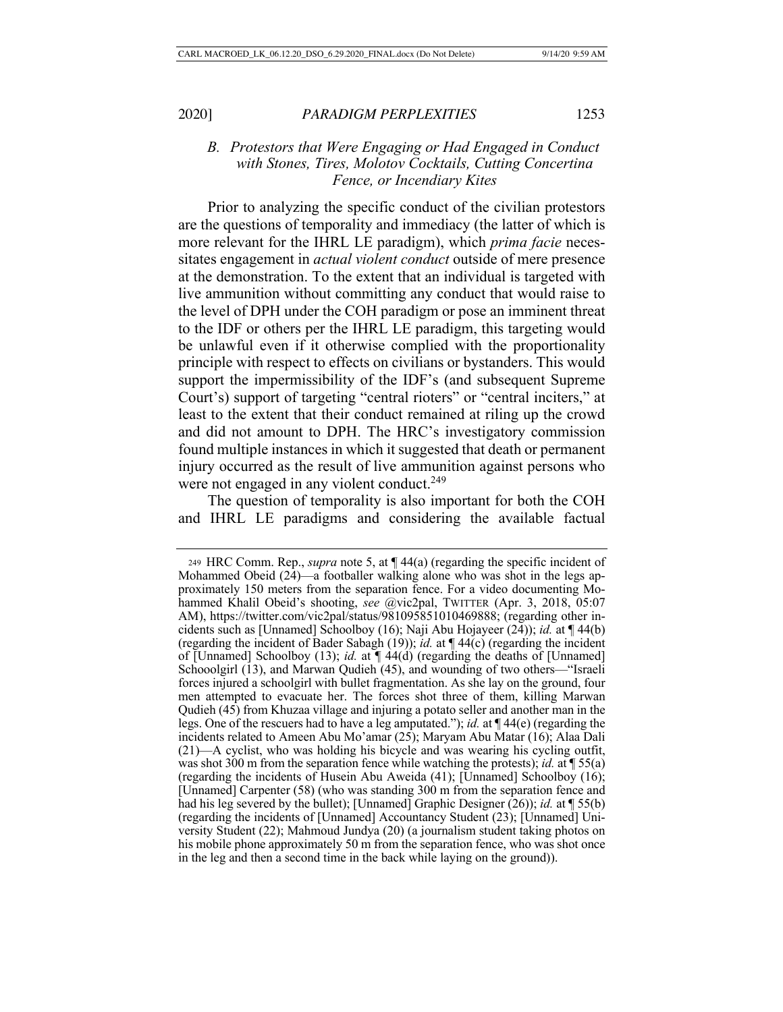*B. Protestors that Were Engaging or Had Engaged in Conduct with Stones, Tires, Molotov Cocktails, Cutting Concertina Fence, or Incendiary Kites* 

Prior to analyzing the specific conduct of the civilian protestors are the questions of temporality and immediacy (the latter of which is more relevant for the IHRL LE paradigm), which *prima facie* necessitates engagement in *actual violent conduct* outside of mere presence at the demonstration. To the extent that an individual is targeted with live ammunition without committing any conduct that would raise to the level of DPH under the COH paradigm or pose an imminent threat to the IDF or others per the IHRL LE paradigm, this targeting would be unlawful even if it otherwise complied with the proportionality principle with respect to effects on civilians or bystanders. This would support the impermissibility of the IDF's (and subsequent Supreme Court's) support of targeting "central rioters" or "central inciters," at least to the extent that their conduct remained at riling up the crowd and did not amount to DPH. The HRC's investigatory commission found multiple instances in which it suggested that death or permanent injury occurred as the result of live ammunition against persons who were not engaged in any violent conduct.<sup>249</sup>

The question of temporality is also important for both the COH and IHRL LE paradigms and considering the available factual

<sup>249</sup> HRC Comm. Rep., *supra* note 5, at ¶ 44(a) (regarding the specific incident of Mohammed Obeid (24)—a footballer walking alone who was shot in the legs approximately 150 meters from the separation fence. For a video documenting Mohammed Khalil Obeid's shooting, *see* @vic2pal, TWITTER (Apr. 3, 2018, 05:07 AM), https://twitter.com/vic2pal/status/981095851010469888; (regarding other incidents such as [Unnamed] Schoolboy (16); Naji Abu Hojayeer (24)); *id.* at ¶ 44(b) (regarding the incident of Bader Sabagh (19)); *id.* at ¶ 44(c) (regarding the incident of [Unnamed] Schoolboy (13); *id.* at ¶ 44(d) (regarding the deaths of [Unnamed] Schooolgirl (13), and Marwan Qudieh (45), and wounding of two others—"Israeli forces injured a schoolgirl with bullet fragmentation. As she lay on the ground, four men attempted to evacuate her. The forces shot three of them, killing Marwan Qudieh (45) from Khuzaa village and injuring a potato seller and another man in the legs. One of the rescuers had to have a leg amputated."); *id.* at ¶ 44(e) (regarding the incidents related to Ameen Abu Mo'amar (25); Maryam Abu Matar (16); Alaa Dali (21)—A cyclist, who was holding his bicycle and was wearing his cycling outfit, was shot 300 m from the separation fence while watching the protests); *id.* at ¶ 55(a) (regarding the incidents of Husein Abu Aweida (41); [Unnamed] Schoolboy (16); [Unnamed] Carpenter (58) (who was standing 300 m from the separation fence and had his leg severed by the bullet); [Unnamed] Graphic Designer (26)); *id.* at ¶ 55(b) (regarding the incidents of [Unnamed] Accountancy Student (23); [Unnamed] University Student (22); Mahmoud Jundya (20) (a journalism student taking photos on his mobile phone approximately 50 m from the separation fence, who was shot once in the leg and then a second time in the back while laying on the ground)).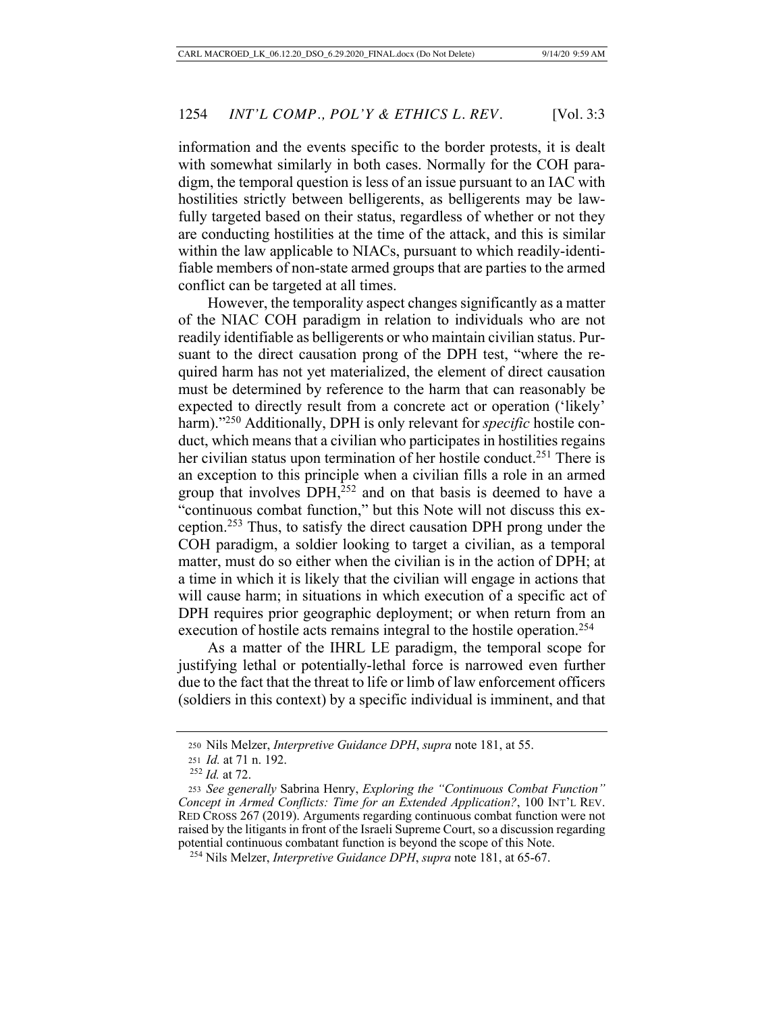information and the events specific to the border protests, it is dealt with somewhat similarly in both cases. Normally for the COH paradigm, the temporal question is less of an issue pursuant to an IAC with hostilities strictly between belligerents, as belligerents may be lawfully targeted based on their status, regardless of whether or not they are conducting hostilities at the time of the attack, and this is similar within the law applicable to NIACs, pursuant to which readily-identifiable members of non-state armed groups that are parties to the armed conflict can be targeted at all times.

However, the temporality aspect changes significantly as a matter of the NIAC COH paradigm in relation to individuals who are not readily identifiable as belligerents or who maintain civilian status. Pursuant to the direct causation prong of the DPH test, "where the required harm has not yet materialized, the element of direct causation must be determined by reference to the harm that can reasonably be expected to directly result from a concrete act or operation ('likely' harm)."<sup>250</sup> Additionally, DPH is only relevant for *specific* hostile conduct, which means that a civilian who participates in hostilities regains her civilian status upon termination of her hostile conduct.<sup>251</sup> There is an exception to this principle when a civilian fills a role in an armed group that involves DPH,<sup>252</sup> and on that basis is deemed to have a "continuous combat function," but this Note will not discuss this exception.253 Thus, to satisfy the direct causation DPH prong under the COH paradigm, a soldier looking to target a civilian, as a temporal matter, must do so either when the civilian is in the action of DPH; at a time in which it is likely that the civilian will engage in actions that will cause harm; in situations in which execution of a specific act of DPH requires prior geographic deployment; or when return from an execution of hostile acts remains integral to the hostile operation.<sup>254</sup>

As a matter of the IHRL LE paradigm, the temporal scope for justifying lethal or potentially-lethal force is narrowed even further due to the fact that the threat to life or limb of law enforcement officers (soldiers in this context) by a specific individual is imminent, and that

<sup>250</sup> Nils Melzer, *Interpretive Guidance DPH*, *supra* note 181, at 55.

<sup>251</sup> *Id.* at 71 n. 192.

<sup>252</sup> *Id.* at 72.

<sup>253</sup> *See generally* Sabrina Henry, *Exploring the "Continuous Combat Function" Concept in Armed Conflicts: Time for an Extended Application?*, 100 INT'L REV. RED CROSS 267 (2019). Arguments regarding continuous combat function were not raised by the litigants in front of the Israeli Supreme Court, so a discussion regarding potential continuous combatant function is beyond the scope of this Note.

<sup>254</sup> Nils Melzer, *Interpretive Guidance DPH*, *supra* note 181, at 65-67.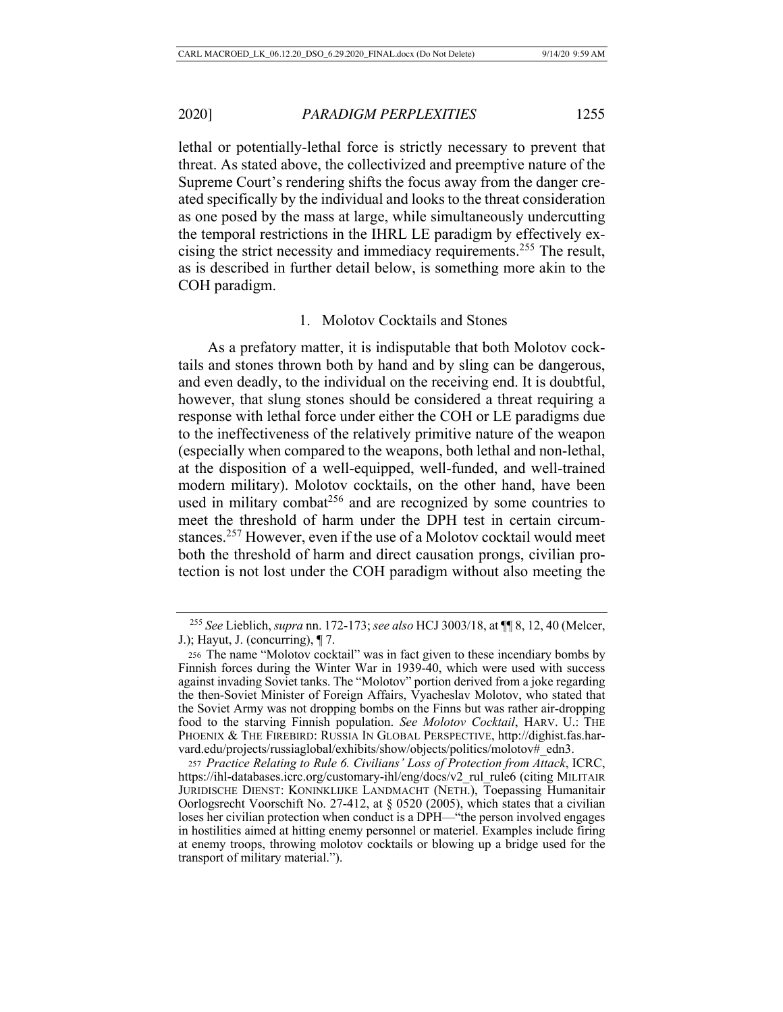lethal or potentially-lethal force is strictly necessary to prevent that threat. As stated above, the collectivized and preemptive nature of the Supreme Court's rendering shifts the focus away from the danger created specifically by the individual and looks to the threat consideration as one posed by the mass at large, while simultaneously undercutting the temporal restrictions in the IHRL LE paradigm by effectively excising the strict necessity and immediacy requirements.255 The result, as is described in further detail below, is something more akin to the COH paradigm.

### 1. Molotov Cocktails and Stones

As a prefatory matter, it is indisputable that both Molotov cocktails and stones thrown both by hand and by sling can be dangerous, and even deadly, to the individual on the receiving end. It is doubtful, however, that slung stones should be considered a threat requiring a response with lethal force under either the COH or LE paradigms due to the ineffectiveness of the relatively primitive nature of the weapon (especially when compared to the weapons, both lethal and non-lethal, at the disposition of a well-equipped, well-funded, and well-trained modern military). Molotov cocktails, on the other hand, have been used in military combat<sup>256</sup> and are recognized by some countries to meet the threshold of harm under the DPH test in certain circumstances.257 However, even if the use of a Molotov cocktail would meet both the threshold of harm and direct causation prongs, civilian protection is not lost under the COH paradigm without also meeting the

<sup>255</sup> *See* Lieblich, *supra* nn. 172-173; *see also* HCJ 3003/18, at ¶¶ 8, 12, 40 (Melcer, J.); Hayut, J. (concurring), ¶ 7.

<sup>256</sup> The name "Molotov cocktail" was in fact given to these incendiary bombs by Finnish forces during the Winter War in 1939-40, which were used with success against invading Soviet tanks. The "Molotov" portion derived from a joke regarding the then-Soviet Minister of Foreign Affairs, Vyacheslav Molotov, who stated that the Soviet Army was not dropping bombs on the Finns but was rather air-dropping food to the starving Finnish population. *See Molotov Cocktail*, HARV. U.: THE PHOENIX & THE FIREBIRD: RUSSIA IN GLOBAL PERSPECTIVE, http://dighist.fas.harvard.edu/projects/russiaglobal/exhibits/show/objects/politics/molotov#edn3.

<sup>257</sup> *Practice Relating to Rule 6. Civilians' Loss of Protection from Attack*, ICRC, https://ihl-databases.icrc.org/customary-ihl/eng/docs/v2\_rul\_rule6 (citing MILITAIR JURIDISCHE DIENST: KONINKLIJKE LANDMACHT (NETH.), Toepassing Humanitair Oorlogsrecht Voorschift No. 27-412, at § 0520 (2005), which states that a civilian loses her civilian protection when conduct is a DPH—"the person involved engages in hostilities aimed at hitting enemy personnel or materiel. Examples include firing at enemy troops, throwing molotov cocktails or blowing up a bridge used for the transport of military material.").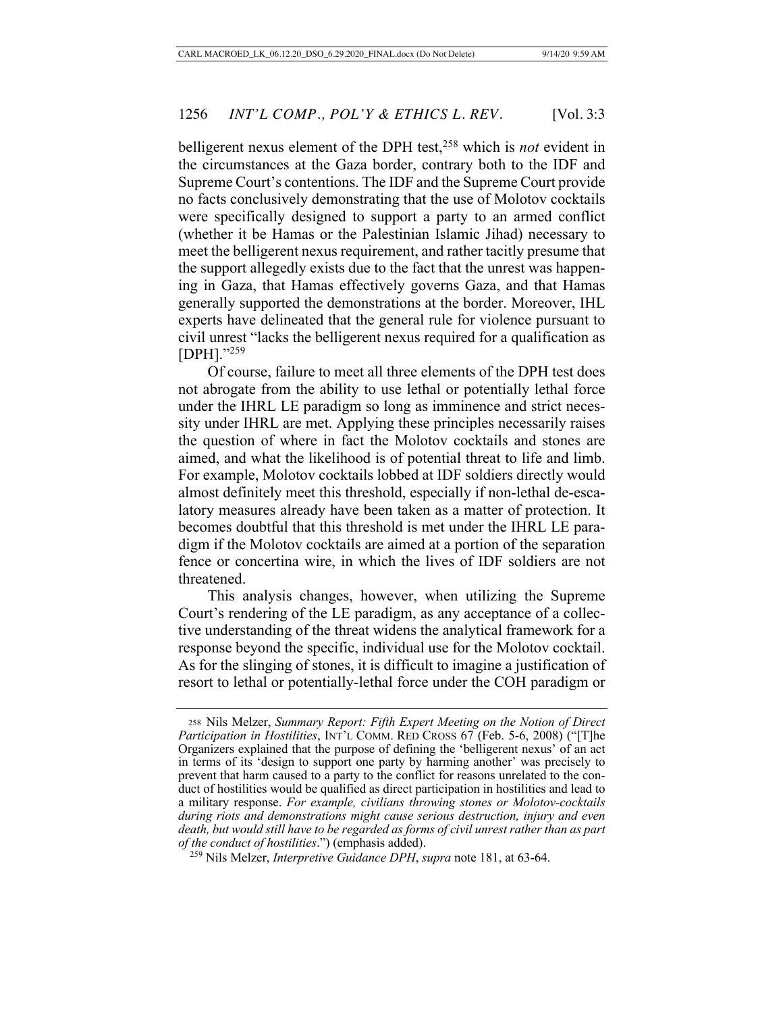belligerent nexus element of the DPH test,258 which is *not* evident in the circumstances at the Gaza border, contrary both to the IDF and Supreme Court's contentions. The IDF and the Supreme Court provide no facts conclusively demonstrating that the use of Molotov cocktails were specifically designed to support a party to an armed conflict (whether it be Hamas or the Palestinian Islamic Jihad) necessary to meet the belligerent nexus requirement, and rather tacitly presume that the support allegedly exists due to the fact that the unrest was happening in Gaza, that Hamas effectively governs Gaza, and that Hamas generally supported the demonstrations at the border. Moreover, IHL experts have delineated that the general rule for violence pursuant to civil unrest "lacks the belligerent nexus required for a qualification as [DPH]."259

Of course, failure to meet all three elements of the DPH test does not abrogate from the ability to use lethal or potentially lethal force under the IHRL LE paradigm so long as imminence and strict necessity under IHRL are met. Applying these principles necessarily raises the question of where in fact the Molotov cocktails and stones are aimed, and what the likelihood is of potential threat to life and limb. For example, Molotov cocktails lobbed at IDF soldiers directly would almost definitely meet this threshold, especially if non-lethal de-escalatory measures already have been taken as a matter of protection. It becomes doubtful that this threshold is met under the IHRL LE paradigm if the Molotov cocktails are aimed at a portion of the separation fence or concertina wire, in which the lives of IDF soldiers are not threatened.

This analysis changes, however, when utilizing the Supreme Court's rendering of the LE paradigm, as any acceptance of a collective understanding of the threat widens the analytical framework for a response beyond the specific, individual use for the Molotov cocktail. As for the slinging of stones, it is difficult to imagine a justification of resort to lethal or potentially-lethal force under the COH paradigm or

<sup>258</sup> Nils Melzer, *Summary Report: Fifth Expert Meeting on the Notion of Direct Participation in Hostilities*, INT'L COMM. RED CROSS 67 (Feb. 5-6, 2008) ("[T]he Organizers explained that the purpose of defining the 'belligerent nexus' of an act in terms of its 'design to support one party by harming another' was precisely to prevent that harm caused to a party to the conflict for reasons unrelated to the conduct of hostilities would be qualified as direct participation in hostilities and lead to a military response. *For example, civilians throwing stones or Molotov-cocktails during riots and demonstrations might cause serious destruction, injury and even death, but would still have to be regarded as forms of civil unrest rather than as part of the conduct of hostilities*.") (emphasis added).

<sup>259</sup> Nils Melzer, *Interpretive Guidance DPH*, *supra* note 181, at 63-64.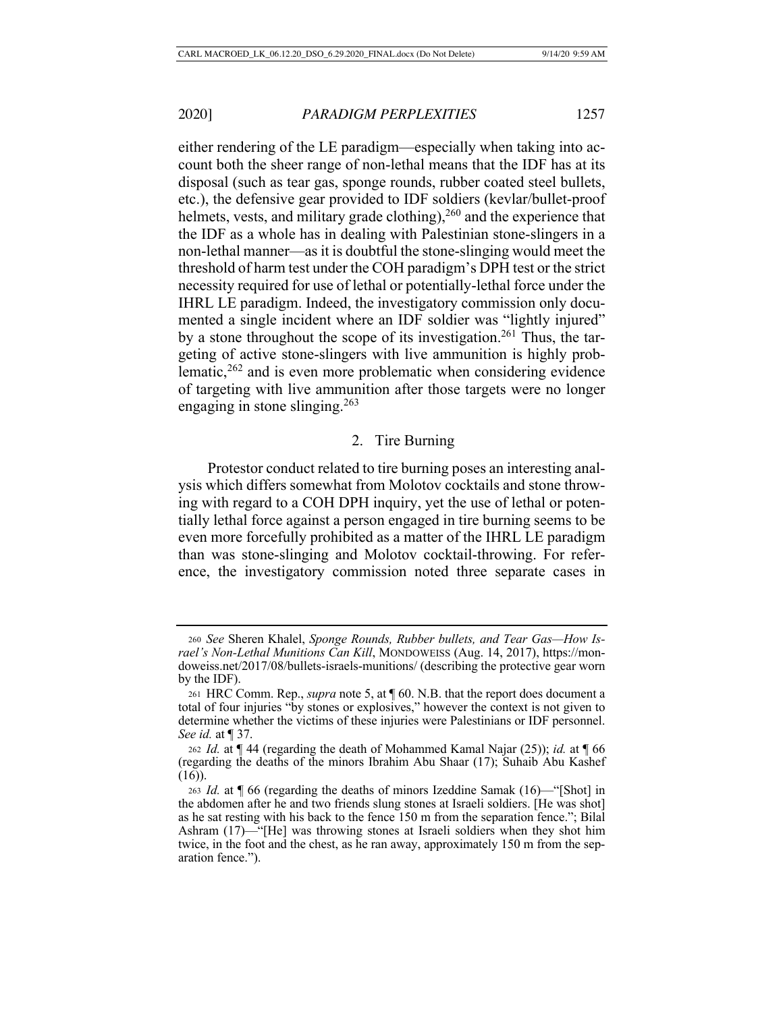either rendering of the LE paradigm—especially when taking into account both the sheer range of non-lethal means that the IDF has at its disposal (such as tear gas, sponge rounds, rubber coated steel bullets, etc.), the defensive gear provided to IDF soldiers (kevlar/bullet-proof helmets, vests, and military grade clothing),  $260$  and the experience that the IDF as a whole has in dealing with Palestinian stone-slingers in a non-lethal manner—as it is doubtful the stone-slinging would meet the threshold of harm test under the COH paradigm's DPH test or the strict necessity required for use of lethal or potentially-lethal force under the IHRL LE paradigm. Indeed, the investigatory commission only documented a single incident where an IDF soldier was "lightly injured" by a stone throughout the scope of its investigation.<sup>261</sup> Thus, the targeting of active stone-slingers with live ammunition is highly problematic,262 and is even more problematic when considering evidence of targeting with live ammunition after those targets were no longer engaging in stone slinging.<sup>263</sup>

#### 2. Tire Burning

Protestor conduct related to tire burning poses an interesting analysis which differs somewhat from Molotov cocktails and stone throwing with regard to a COH DPH inquiry, yet the use of lethal or potentially lethal force against a person engaged in tire burning seems to be even more forcefully prohibited as a matter of the IHRL LE paradigm than was stone-slinging and Molotov cocktail-throwing. For reference, the investigatory commission noted three separate cases in

<sup>260</sup> *See* Sheren Khalel, *Sponge Rounds, Rubber bullets, and Tear Gas—How Israel's Non-Lethal Munitions Can Kill*, MONDOWEISS (Aug. 14, 2017), https://mondoweiss.net/2017/08/bullets-israels-munitions/ (describing the protective gear worn by the IDF).

<sup>261</sup> HRC Comm. Rep., *supra* note 5, at ¶ 60. N.B. that the report does document a total of four injuries "by stones or explosives," however the context is not given to determine whether the victims of these injuries were Palestinians or IDF personnel. *See id.* at ¶ 37.

<sup>262</sup> *Id.* at ¶ 44 (regarding the death of Mohammed Kamal Najar (25)); *id.* at ¶ 66 (regarding the deaths of the minors Ibrahim Abu Shaar (17); Suhaib Abu Kashef (16)).

<sup>263</sup> *Id.* at ¶ 66 (regarding the deaths of minors Izeddine Samak (16)—"[Shot] in the abdomen after he and two friends slung stones at Israeli soldiers. [He was shot] as he sat resting with his back to the fence 150 m from the separation fence."; Bilal Ashram (17)—"[He] was throwing stones at Israeli soldiers when they shot him twice, in the foot and the chest, as he ran away, approximately 150 m from the separation fence.").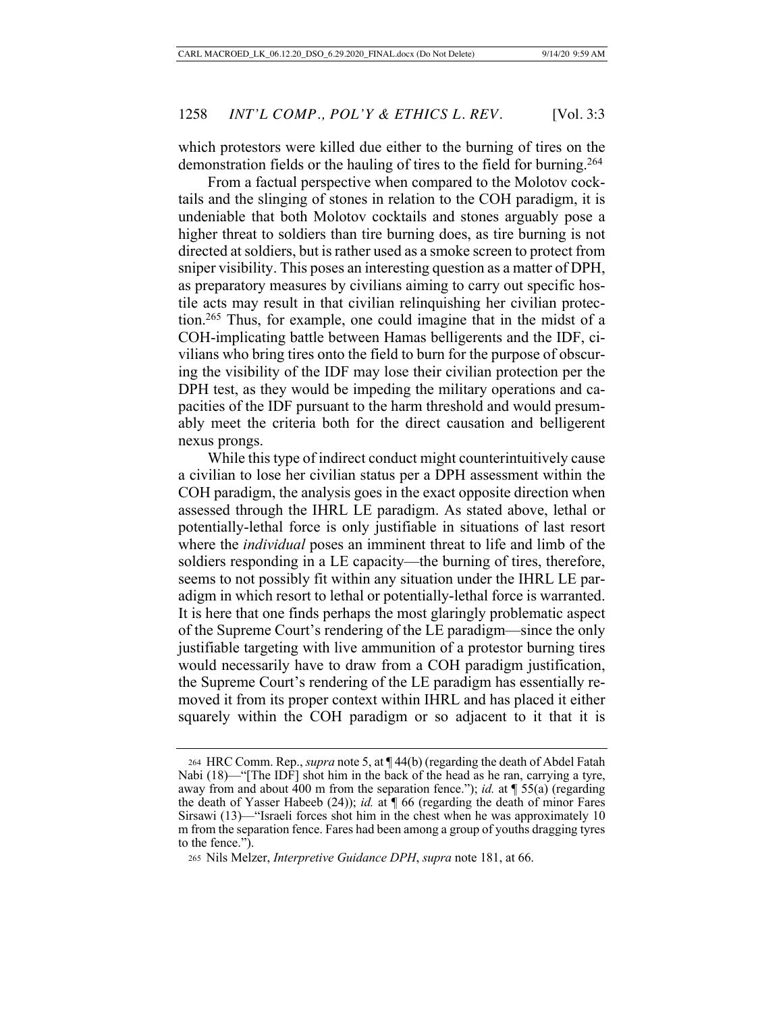which protestors were killed due either to the burning of tires on the demonstration fields or the hauling of tires to the field for burning.264

From a factual perspective when compared to the Molotov cocktails and the slinging of stones in relation to the COH paradigm, it is undeniable that both Molotov cocktails and stones arguably pose a higher threat to soldiers than tire burning does, as tire burning is not directed at soldiers, but is rather used as a smoke screen to protect from sniper visibility. This poses an interesting question as a matter of DPH, as preparatory measures by civilians aiming to carry out specific hostile acts may result in that civilian relinquishing her civilian protection.265 Thus, for example, one could imagine that in the midst of a COH-implicating battle between Hamas belligerents and the IDF, civilians who bring tires onto the field to burn for the purpose of obscuring the visibility of the IDF may lose their civilian protection per the DPH test, as they would be impeding the military operations and capacities of the IDF pursuant to the harm threshold and would presumably meet the criteria both for the direct causation and belligerent nexus prongs.

While this type of indirect conduct might counterintuitively cause a civilian to lose her civilian status per a DPH assessment within the COH paradigm, the analysis goes in the exact opposite direction when assessed through the IHRL LE paradigm. As stated above, lethal or potentially-lethal force is only justifiable in situations of last resort where the *individual* poses an imminent threat to life and limb of the soldiers responding in a LE capacity—the burning of tires, therefore, seems to not possibly fit within any situation under the IHRL LE paradigm in which resort to lethal or potentially-lethal force is warranted. It is here that one finds perhaps the most glaringly problematic aspect of the Supreme Court's rendering of the LE paradigm—since the only justifiable targeting with live ammunition of a protestor burning tires would necessarily have to draw from a COH paradigm justification, the Supreme Court's rendering of the LE paradigm has essentially removed it from its proper context within IHRL and has placed it either squarely within the COH paradigm or so adjacent to it that it is

<sup>264</sup> HRC Comm. Rep., *supra* note 5, at ¶ 44(b) (regarding the death of Abdel Fatah Nabi (18)—"[The IDF] shot him in the back of the head as he ran, carrying a tyre, away from and about 400 m from the separation fence."); *id.* at ¶ 55(a) (regarding the death of Yasser Habeeb (24)); *id.* at ¶ 66 (regarding the death of minor Fares Sirsawi (13)—"Israeli forces shot him in the chest when he was approximately 10 m from the separation fence. Fares had been among a group of youths dragging tyres to the fence.").

<sup>265</sup> Nils Melzer, *Interpretive Guidance DPH*, *supra* note 181, at 66.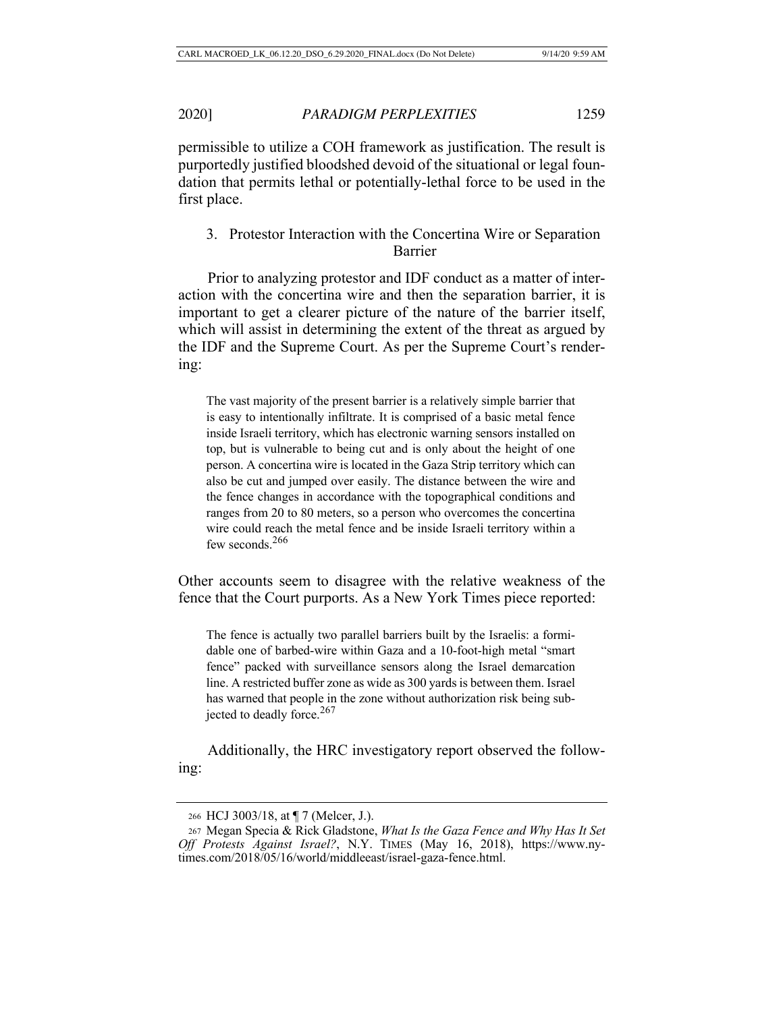permissible to utilize a COH framework as justification. The result is purportedly justified bloodshed devoid of the situational or legal foundation that permits lethal or potentially-lethal force to be used in the first place.

3. Protestor Interaction with the Concertina Wire or Separation Barrier

Prior to analyzing protestor and IDF conduct as a matter of interaction with the concertina wire and then the separation barrier, it is important to get a clearer picture of the nature of the barrier itself, which will assist in determining the extent of the threat as argued by the IDF and the Supreme Court. As per the Supreme Court's rendering:

The vast majority of the present barrier is a relatively simple barrier that is easy to intentionally infiltrate. It is comprised of a basic metal fence inside Israeli territory, which has electronic warning sensors installed on top, but is vulnerable to being cut and is only about the height of one person. A concertina wire is located in the Gaza Strip territory which can also be cut and jumped over easily. The distance between the wire and the fence changes in accordance with the topographical conditions and ranges from 20 to 80 meters, so a person who overcomes the concertina wire could reach the metal fence and be inside Israeli territory within a few seconds.<sup>266</sup>

Other accounts seem to disagree with the relative weakness of the fence that the Court purports. As a New York Times piece reported:

The fence is actually two parallel barriers built by the Israelis: a formidable one of barbed-wire within Gaza and a 10-foot-high metal "smart fence" packed with surveillance sensors along the Israel demarcation line. A restricted buffer zone as wide as 300 yards is between them. Israel has warned that people in the zone without authorization risk being subjected to deadly force. $267$ 

Additionally, the HRC investigatory report observed the following:

<sup>266</sup> HCJ 3003/18, at ¶ 7 (Melcer, J.).

<sup>267</sup> Megan Specia & Rick Gladstone, *What Is the Gaza Fence and Why Has It Set Off Protests Against Israel?*, N.Y. TIMES (May 16, 2018), https://www.nytimes.com/2018/05/16/world/middleeast/israel-gaza-fence.html.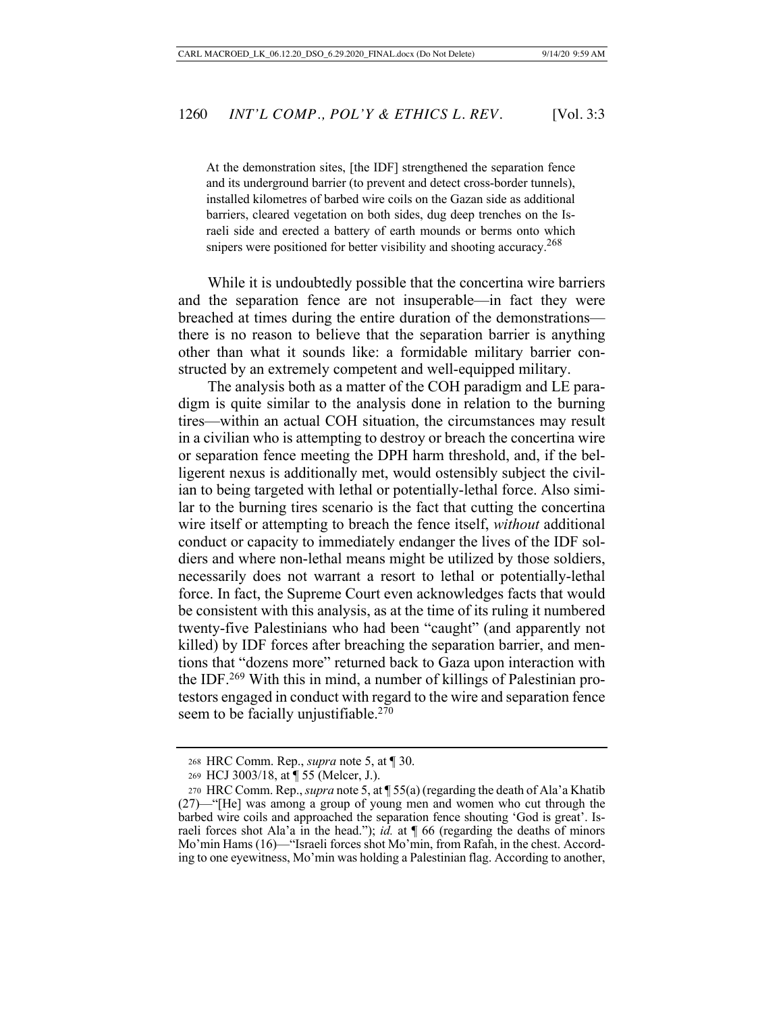At the demonstration sites, [the IDF] strengthened the separation fence and its underground barrier (to prevent and detect cross-border tunnels), installed kilometres of barbed wire coils on the Gazan side as additional barriers, cleared vegetation on both sides, dug deep trenches on the Israeli side and erected a battery of earth mounds or berms onto which snipers were positioned for better visibility and shooting accuracy.<sup>268</sup>

While it is undoubtedly possible that the concertina wire barriers and the separation fence are not insuperable—in fact they were breached at times during the entire duration of the demonstrations there is no reason to believe that the separation barrier is anything other than what it sounds like: a formidable military barrier constructed by an extremely competent and well-equipped military.

The analysis both as a matter of the COH paradigm and LE paradigm is quite similar to the analysis done in relation to the burning tires—within an actual COH situation, the circumstances may result in a civilian who is attempting to destroy or breach the concertina wire or separation fence meeting the DPH harm threshold, and, if the belligerent nexus is additionally met, would ostensibly subject the civilian to being targeted with lethal or potentially-lethal force. Also similar to the burning tires scenario is the fact that cutting the concertina wire itself or attempting to breach the fence itself, *without* additional conduct or capacity to immediately endanger the lives of the IDF soldiers and where non-lethal means might be utilized by those soldiers, necessarily does not warrant a resort to lethal or potentially-lethal force. In fact, the Supreme Court even acknowledges facts that would be consistent with this analysis, as at the time of its ruling it numbered twenty-five Palestinians who had been "caught" (and apparently not killed) by IDF forces after breaching the separation barrier, and mentions that "dozens more" returned back to Gaza upon interaction with the IDF.269 With this in mind, a number of killings of Palestinian protestors engaged in conduct with regard to the wire and separation fence seem to be facially unjustifiable. $270$ 

<sup>268</sup> HRC Comm. Rep., *supra* note 5, at ¶ 30.

<sup>269</sup> HCJ 3003/18, at ¶ 55 (Melcer, J.).

<sup>270</sup> HRC Comm. Rep., *supra* note 5, at ¶ 55(a) (regarding the death of Ala'a Khatib (27)—"[He] was among a group of young men and women who cut through the barbed wire coils and approached the separation fence shouting 'God is great'. Israeli forces shot Ala'a in the head."); *id.* at ¶ 66 (regarding the deaths of minors Mo'min Hams (16)—"Israeli forces shot Mo'min, from Rafah, in the chest. According to one eyewitness, Mo'min was holding a Palestinian flag. According to another,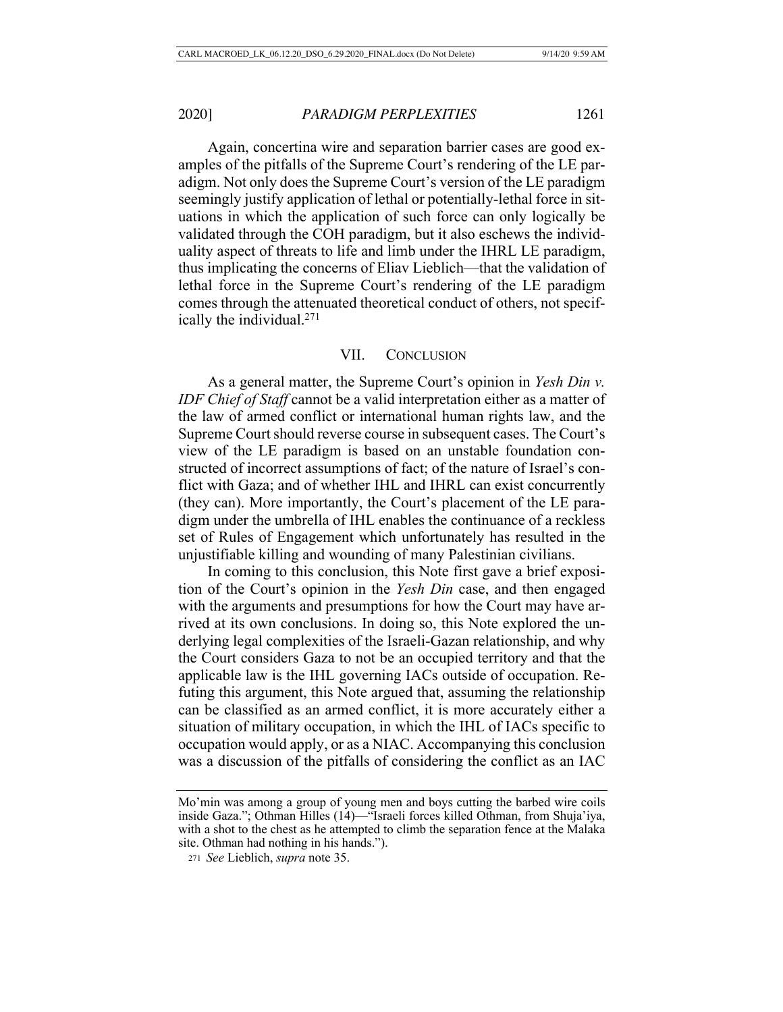Again, concertina wire and separation barrier cases are good examples of the pitfalls of the Supreme Court's rendering of the LE paradigm. Not only does the Supreme Court's version of the LE paradigm seemingly justify application of lethal or potentially-lethal force in situations in which the application of such force can only logically be validated through the COH paradigm, but it also eschews the individuality aspect of threats to life and limb under the IHRL LE paradigm, thus implicating the concerns of Eliav Lieblich—that the validation of lethal force in the Supreme Court's rendering of the LE paradigm comes through the attenuated theoretical conduct of others, not specifically the individual.271

### VII. CONCLUSION

As a general matter, the Supreme Court's opinion in *Yesh Din v. IDF Chief of Staff* cannot be a valid interpretation either as a matter of the law of armed conflict or international human rights law, and the Supreme Court should reverse course in subsequent cases. The Court's view of the LE paradigm is based on an unstable foundation constructed of incorrect assumptions of fact; of the nature of Israel's conflict with Gaza; and of whether IHL and IHRL can exist concurrently (they can). More importantly, the Court's placement of the LE paradigm under the umbrella of IHL enables the continuance of a reckless set of Rules of Engagement which unfortunately has resulted in the unjustifiable killing and wounding of many Palestinian civilians.

In coming to this conclusion, this Note first gave a brief exposition of the Court's opinion in the *Yesh Din* case, and then engaged with the arguments and presumptions for how the Court may have arrived at its own conclusions. In doing so, this Note explored the underlying legal complexities of the Israeli-Gazan relationship, and why the Court considers Gaza to not be an occupied territory and that the applicable law is the IHL governing IACs outside of occupation. Refuting this argument, this Note argued that, assuming the relationship can be classified as an armed conflict, it is more accurately either a situation of military occupation, in which the IHL of IACs specific to occupation would apply, or as a NIAC. Accompanying this conclusion was a discussion of the pitfalls of considering the conflict as an IAC

Mo'min was among a group of young men and boys cutting the barbed wire coils inside Gaza."; Othman Hilles (14)—"Israeli forces killed Othman, from Shuja'iya, with a shot to the chest as he attempted to climb the separation fence at the Malaka site. Othman had nothing in his hands.").

<sup>271</sup> *See* Lieblich, *supra* note 35.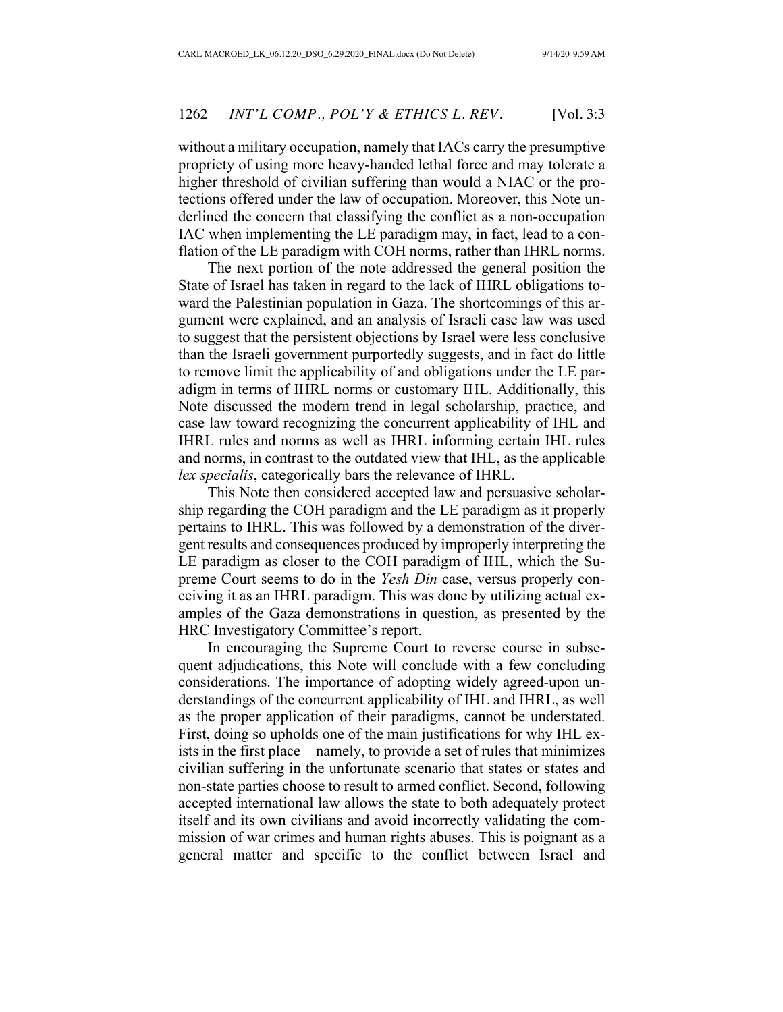without a military occupation, namely that IACs carry the presumptive propriety of using more heavy-handed lethal force and may tolerate a higher threshold of civilian suffering than would a NIAC or the protections offered under the law of occupation. Moreover, this Note underlined the concern that classifying the conflict as a non-occupation IAC when implementing the LE paradigm may, in fact, lead to a conflation of the LE paradigm with COH norms, rather than IHRL norms.

The next portion of the note addressed the general position the State of Israel has taken in regard to the lack of IHRL obligations toward the Palestinian population in Gaza. The shortcomings of this argument were explained, and an analysis of Israeli case law was used to suggest that the persistent objections by Israel were less conclusive than the Israeli government purportedly suggests, and in fact do little to remove limit the applicability of and obligations under the LE paradigm in terms of IHRL norms or customary IHL. Additionally, this Note discussed the modern trend in legal scholarship, practice, and case law toward recognizing the concurrent applicability of IHL and IHRL rules and norms as well as IHRL informing certain IHL rules and norms, in contrast to the outdated view that IHL, as the applicable *lex specialis*, categorically bars the relevance of IHRL.

This Note then considered accepted law and persuasive scholarship regarding the COH paradigm and the LE paradigm as it properly pertains to IHRL. This was followed by a demonstration of the divergent results and consequences produced by improperly interpreting the LE paradigm as closer to the COH paradigm of IHL, which the Supreme Court seems to do in the *Yesh Din* case, versus properly conceiving it as an IHRL paradigm. This was done by utilizing actual examples of the Gaza demonstrations in question, as presented by the HRC Investigatory Committee's report.

In encouraging the Supreme Court to reverse course in subsequent adjudications, this Note will conclude with a few concluding considerations. The importance of adopting widely agreed-upon understandings of the concurrent applicability of IHL and IHRL, as well as the proper application of their paradigms, cannot be understated. First, doing so upholds one of the main justifications for why IHL exists in the first place—namely, to provide a set of rules that minimizes civilian suffering in the unfortunate scenario that states or states and non-state parties choose to result to armed conflict. Second, following accepted international law allows the state to both adequately protect itself and its own civilians and avoid incorrectly validating the commission of war crimes and human rights abuses. This is poignant as a general matter and specific to the conflict between Israel and